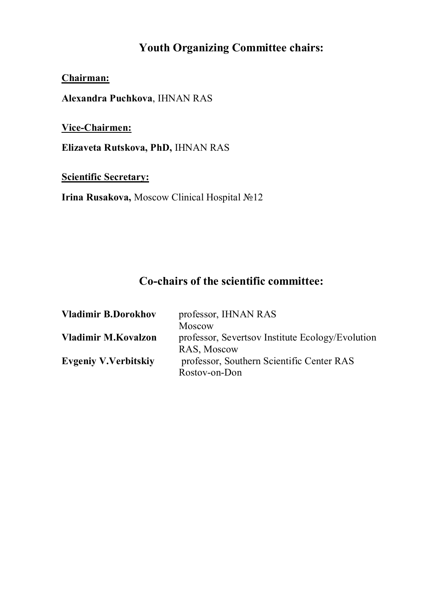# **Youth Organizing Committee chairs:**

## **Chairman:**

**Alexandra Puchkova**, IHNAN RAS

**Vice-Chairmen:**

**Elizaveta Rutskova, PhD,** IHNAN RAS

**Scientific Secretary:**

**Irina Rusakova,** Moscow Clinical Hospital №12

## **Co-chairs of the scientific committee:**

| <b>Vladimir B.Dorokhov</b>  | professor, IHNAN RAS                             |
|-----------------------------|--------------------------------------------------|
|                             | <b>Moscow</b>                                    |
| <b>Vladimir M.Kovalzon</b>  | professor, Severtsov Institute Ecology/Evolution |
|                             | RAS, Moscow                                      |
| <b>Evgeniy V.Verbitskiy</b> | professor, Southern Scientific Center RAS        |
|                             | Rostov-on-Don                                    |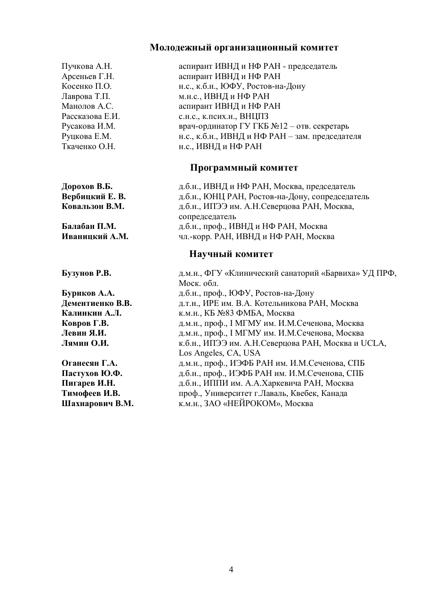# **Молодежный организационный комитет**

| Пучкова А.Н.<br>Арсеньев Г.Н.<br>Косенко П.О.<br>Лаврова Т.П.<br>Манолов А.С.<br>Рассказова Е.И.<br>Русакова И.М.<br>Руцкова Е.М.<br>Ткаченко О.Н. | аспирант ИВНД и НФ РАН - председатель<br>аспирант ИВНД и НФ РАН<br>н.с., к.б.н., ЮФУ, Ростов-на-Дону<br>м.н.с., ИВНД и НФ РАН<br>аспирант ИВНД и НФ РАН<br>с.н.с., к.псих.н., ВНЦПЗ<br>врач-ординатор ГУ ГКБ $N_2$ 12 – отв. секретарь<br>н.с., к.б.н., ИВНД и НФ РАН - зам. председателя<br>н.с., ИВНД и НФ РАН |  |
|----------------------------------------------------------------------------------------------------------------------------------------------------|------------------------------------------------------------------------------------------------------------------------------------------------------------------------------------------------------------------------------------------------------------------------------------------------------------------|--|
|                                                                                                                                                    | Программный комитет                                                                                                                                                                                                                                                                                              |  |
| Дорохов В.Б.<br>Вербицкий Е. В.<br>Ковальзон В.М.                                                                                                  | д.б.н., ИВНД и НФ РАН, Москва, председатель<br>д.б.н., ЮНЦ РАН, Ростов-на-Дону, сопредседатель<br>д.б.н., ИПЭЭ им. А.Н.Северцова РАН, Москва,<br>сопредседатель                                                                                                                                                  |  |
| Балабан П.М.<br>Иваницкий А.М.                                                                                                                     | д.б.н., проф., ИВНД и НФ РАН, Москва<br>чл.-корр. РАН, ИВНД и НФ РАН, Москва                                                                                                                                                                                                                                     |  |
|                                                                                                                                                    | Научный комитет                                                                                                                                                                                                                                                                                                  |  |
| Бузунов Р.В.                                                                                                                                       | д.м.н., ФГУ «Клинический санаторий «Барвиха» УД ПРФ.<br>Моск. обл.                                                                                                                                                                                                                                               |  |
| Буриков А.А.                                                                                                                                       | д.б.н., проф., ЮФУ, Ростов-на-Дону                                                                                                                                                                                                                                                                               |  |
| Дементиенко В.В.                                                                                                                                   | д.т.н., ИРЕ им. В.А. Котельникова РАН, Москва                                                                                                                                                                                                                                                                    |  |
| Калинкин А.Л.                                                                                                                                      | к.м.н., КБ №83 ФМБА, Москва                                                                                                                                                                                                                                                                                      |  |
| Ковров Г.В.                                                                                                                                        | д.м.н., проф., І МГМУ им. И.М.Сеченова, Москва                                                                                                                                                                                                                                                                   |  |
| Левин Я.И.                                                                                                                                         | д.м.н., проф., І МГМУ им. И.М.Сеченова, Москва                                                                                                                                                                                                                                                                   |  |
| Лямин О.И.                                                                                                                                         | к.б.н., ИПЭЭ им. А.Н.Северцова РАН, Москва и UCLA,                                                                                                                                                                                                                                                               |  |
| Оганесян Г.А.                                                                                                                                      | Los Angeles, CA, USA<br>д.м.н., проф., ИЭФБ РАН им. И.М.Сеченова, СПБ                                                                                                                                                                                                                                            |  |
| Пастухов Ю.Ф.                                                                                                                                      | д.б.н., проф., ИЭФБ РАН им. И.М.Сеченова, СПБ                                                                                                                                                                                                                                                                    |  |
| Пигарев И.Н.                                                                                                                                       | д.б.н., ИППИ им. А.А.Харкевича РАН, Москва                                                                                                                                                                                                                                                                       |  |
| Тимофеев И.В.                                                                                                                                      | проф., Университет г.Лаваль, Квебек, Канада                                                                                                                                                                                                                                                                      |  |
| Шахнарович В.М.                                                                                                                                    | к.м.н., ЗАО «НЕЙРОКОМ», Москва                                                                                                                                                                                                                                                                                   |  |
|                                                                                                                                                    |                                                                                                                                                                                                                                                                                                                  |  |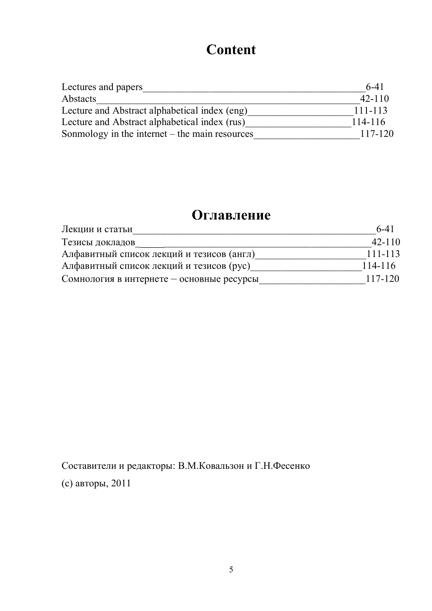# **Content**

| Lectures and papers                              | $6-41$      |
|--------------------------------------------------|-------------|
| Abstacts                                         | $42 - 110$  |
| Lecture and Abstract alphabetical index (eng)    | $111 - 113$ |
| Lecture and Abstract alphabetical index (rus)    | 114-116     |
| Sonmology in the internet $-$ the main resources | 117-120     |

# **Оглавление**

| Лекции и статьи                           | $6 - 41$    |
|-------------------------------------------|-------------|
| Тезисы докладов                           | $42 - 110$  |
| Алфавитный список лекций и тезисов (англ) | $111 - 113$ |
| Алфавитный список лекций и тезисов (рус)  | 114-116     |
| Сомнология в интернете – основные ресурсы | $117 - 120$ |

Составители и редакторы: В.М.Ковальзон и Г.Н.Фесенко (с) авторы, 2011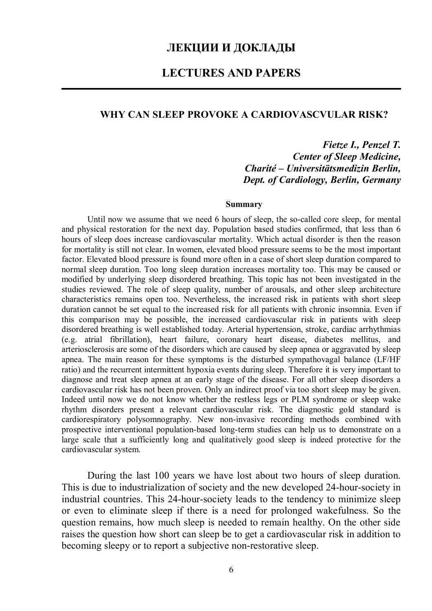## **ЛЕКЦИИ И ДОКЛАДЫ**

## **LECTURES AND PAPERS**

#### **WHY CAN SLEEP PROVOKE A CARDIOVASCVULAR RISK?**

## *Fietze I., Penzel T. Center of Sleep Medicine, Charité – Universitätsmedizin Berlin, Dept. of Cardiology, Berlin, Germany*

#### **Summary**

Until now we assume that we need 6 hours of sleep, the so-called core sleep, for mental and physical restoration for the next day. Population based studies confirmed, that less than 6 hours of sleep does increase cardiovascular mortality. Which actual disorder is then the reason for mortality is still not clear. In women, elevated blood pressure seems to be the most important factor. Elevated blood pressure is found more often in a case of short sleep duration compared to normal sleep duration. Too long sleep duration increases mortality too. This may be caused or modified by underlying sleep disordered breathing. This topic has not been investigated in the studies reviewed. The role of sleep quality, number of arousals, and other sleep architecture characteristics remains open too. Nevertheless, the increased risk in patients with short sleep duration cannot be set equal to the increased risk for all patients with chronic insomnia. Even if this comparison may be possible, the increased cardiovascular risk in patients with sleep disordered breathing is well established today. Arterial hypertension, stroke, cardiac arrhythmias (e.g. atrial fibrillation), heart failure, coronary heart disease, diabetes mellitus, and arteriosclerosis are some of the disorders which are caused by sleep apnea or aggravated by sleep apnea. The main reason for these symptoms is the disturbed sympathovagal balance (LF/HF ratio) and the recurrent intermittent hypoxia events during sleep. Therefore it is very important to diagnose and treat sleep apnea at an early stage of the disease. For all other sleep disorders a cardiovascular risk has not been proven. Only an indirect proof via too short sleep may be given. Indeed until now we do not know whether the restless legs or PLM syndrome or sleep wake rhythm disorders present a relevant cardiovascular risk. The diagnostic gold standard is cardiorespiratory polysomnography. New non-invasive recording methods combined with prospective interventional population-based long-term studies can help us to demonstrate on a large scale that a sufficiently long and qualitatively good sleep is indeed protective for the cardiovascular system.

During the last 100 years we have lost about two hours of sleep duration. This is due to industrialization of society and the new developed 24-hour-society in industrial countries. This 24-hour-society leads to the tendency to minimize sleep or even to eliminate sleep if there is a need for prolonged wakefulness. So the question remains, how much sleep is needed to remain healthy. On the other side raises the question how short can sleep be to get a cardiovascular risk in addition to becoming sleepy or to report a subjective non-restorative sleep.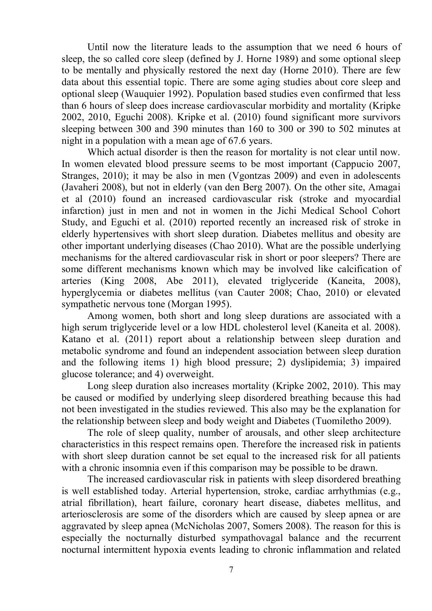Until now the literature leads to the assumption that we need 6 hours of sleep, the so called core sleep (defined by J. Horne 1989) and some optional sleep to be mentally and physically restored the next day (Horne 2010). There are few data about this essential topic. There are some aging studies about core sleep and optional sleep (Wauquier 1992). Population based studies even confirmed that less than 6 hours of sleep does increase cardiovascular morbidity and mortality (Kripke 2002, 2010, Eguchi 2008). Kripke et al. (2010) found significant more survivors sleeping between 300 and 390 minutes than 160 to 300 or 390 to 502 minutes at night in a population with a mean age of 67.6 years.

Which actual disorder is then the reason for mortality is not clear until now. In women elevated blood pressure seems to be most important (Cappucio 2007, Stranges, 2010); it may be also in men (Vgontzas 2009) and even in adolescents (Javaheri 2008), but not in elderly (van den Berg 2007). On the other site, Amagai et al (2010) found an increased cardiovascular risk (stroke and myocardial infarction) just in men and not in women in the Jichi Medical School Cohort Study, and Eguchi et al. (2010) reported recently an increased risk of stroke in elderly hypertensives with short sleep duration. Diabetes mellitus and obesity are other important underlying diseases (Chao 2010). What are the possible underlying mechanisms for the altered cardiovascular risk in short or poor sleepers? There are some different mechanisms known which may be involved like calcification of arteries (King 2008, Abe 2011), elevated triglyceride (Kaneita, 2008), hyperglycemia or diabetes mellitus (van Cauter 2008; Chao, 2010) or elevated sympathetic nervous tone (Morgan 1995).

Among women, both short and long sleep durations are associated with a high serum triglyceride level or a low HDL cholesterol level (Kaneita et al. 2008). Katano et al. (2011) report about a relationship between sleep duration and metabolic syndrome and found an independent association between sleep duration and the following items 1) high blood pressure; 2) dyslipidemia; 3) impaired glucose tolerance; and 4) overweight.

Long sleep duration also increases mortality (Kripke 2002, 2010). This may be caused or modified by underlying sleep disordered breathing because this had not been investigated in the studies reviewed. This also may be the explanation for the relationship between sleep and body weight and Diabetes (Tuomiletho 2009).

The role of sleep quality, number of arousals, and other sleep architecture characteristics in this respect remains open. Therefore the increased risk in patients with short sleep duration cannot be set equal to the increased risk for all patients with a chronic insomnia even if this comparison may be possible to be drawn.

The increased cardiovascular risk in patients with sleep disordered breathing is well established today. Arterial hypertension, stroke, cardiac arrhythmias (e.g., atrial fibrillation), heart failure, coronary heart disease, diabetes mellitus, and arteriosclerosis are some of the disorders which are caused by sleep apnea or are aggravated by sleep apnea (McNicholas 2007, Somers 2008). The reason for this is especially the nocturnally disturbed sympathovagal balance and the recurrent nocturnal intermittent hypoxia events leading to chronic inflammation and related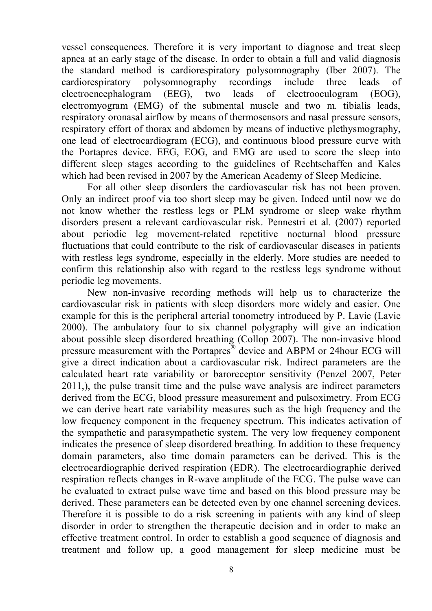vessel consequences. Therefore it is very important to diagnose and treat sleep apnea at an early stage of the disease. In order to obtain a full and valid diagnosis the standard method is cardiorespiratory polysomnography (Iber 2007). The cardiorespiratory polysomnography recordings include three leads of electroencephalogram (EEG), two leads of electrooculogram (EOG), electromyogram (EMG) of the submental muscle and two m. tibialis leads, respiratory oronasal airflow by means of thermosensors and nasal pressure sensors, respiratory effort of thorax and abdomen by means of inductive plethysmography, one lead of electrocardiogram (ECG), and continuous blood pressure curve with the Portapres device. EEG, EOG, and EMG are used to score the sleep into different sleep stages according to the guidelines of Rechtschaffen and Kales which had been revised in 2007 by the American Academy of Sleep Medicine.

For all other sleep disorders the cardiovascular risk has not been proven. Only an indirect proof via too short sleep may be given. Indeed until now we do not know whether the restless legs or PLM syndrome or sleep wake rhythm disorders present a relevant cardiovascular risk. Pennestri et al. (2007) reported about periodic leg movement-related repetitive nocturnal blood pressure fluctuations that could contribute to the risk of cardiovascular diseases in patients with restless legs syndrome, especially in the elderly. More studies are needed to confirm this relationship also with regard to the restless legs syndrome without periodic leg movements.

New non-invasive recording methods will help us to characterize the cardiovascular risk in patients with sleep disorders more widely and easier. One example for this is the peripheral arterial tonometry introduced by P. Lavie (Lavie 2000). The ambulatory four to six channel polygraphy will give an indication about possible sleep disordered breathing (Collop 2007). The non-invasive blood pressure measurement with the Portapres<sup>®</sup> device and ABPM or 24hour ECG will give a direct indication about a cardiovascular risk. Indirect parameters are the calculated heart rate variability or baroreceptor sensitivity (Penzel 2007, Peter 2011,), the pulse transit time and the pulse wave analysis are indirect parameters derived from the ECG, blood pressure measurement and pulsoximetry. From ECG we can derive heart rate variability measures such as the high frequency and the low frequency component in the frequency spectrum. This indicates activation of the sympathetic and parasympathetic system. The very low frequency component indicates the presence of sleep disordered breathing. In addition to these frequency domain parameters, also time domain parameters can be derived. This is the electrocardiographic derived respiration (EDR). The electrocardiographic derived respiration reflects changes in R-wave amplitude of the ECG. The pulse wave can be evaluated to extract pulse wave time and based on this blood pressure may be derived. These parameters can be detected even by one channel screening devices. Therefore it is possible to do a risk screening in patients with any kind of sleep disorder in order to strengthen the therapeutic decision and in order to make an effective treatment control. In order to establish a good sequence of diagnosis and treatment and follow up, a good management for sleep medicine must be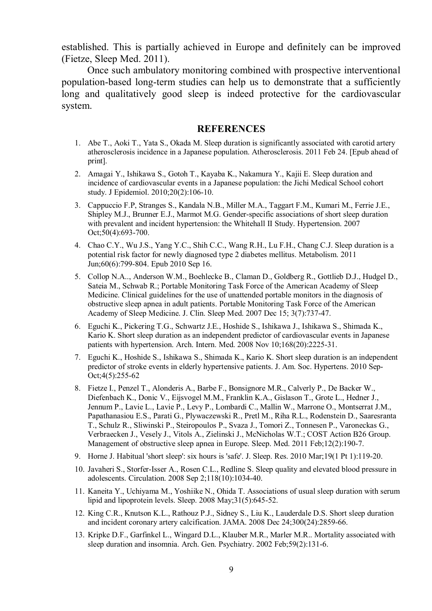established. This is partially achieved in Europe and definitely can be improved (Fietze, Sleep Med. 2011).

Once such ambulatory monitoring combined with prospective interventional population-based long-term studies can help us to demonstrate that a sufficiently long and qualitatively good sleep is indeed protective for the cardiovascular system.

#### **REFERENCES**

- 1. Abe T., Aoki T., Yata S., Okada M. [Sleep duration is significantly associated with carotid artery](http://www.ncbi.nlm.nih.gov/pubmed/21411100) [atherosclerosis incidence in a Japanese population.](http://www.ncbi.nlm.nih.gov/pubmed/21411100) Atherosclerosis. 2011 Feb 24. [Epub ahead of print].
- 2. [Amagai Y](http://www.ncbi.nlm.nih.gov/pubmed?term=%22Amagai%20Y%22%5BAuthor%5D)., [Ishikawa S.](http://www.ncbi.nlm.nih.gov/pubmed?term=%22Ishikawa%20S%22%5BAuthor%5D), [Gotoh T](http://www.ncbi.nlm.nih.gov/pubmed?term=%22Gotoh%20T%22%5BAuthor%5D)., [Kayaba K.](http://www.ncbi.nlm.nih.gov/pubmed?term=%22Kayaba%20K%22%5BAuthor%5D), [Nakamura Y.](http://www.ncbi.nlm.nih.gov/pubmed?term=%22Nakamura%20Y%22%5BAuthor%5D), [Kajii E](http://www.ncbi.nlm.nih.gov/pubmed?term=%22Kajii%20E%22%5BAuthor%5D). Sleep duration and incidence of cardiovascular events in a Japanese population: the Jichi Medical School cohort study. [J Epidemiol.](http://www.ncbi.nlm.nih.gov/pubmed?term=Amagai%20sleep%202010) 2010;20(2):106-10.
- 3. Cappuccio F.P, Stranges S., Kandala N.B., Miller M.A., Taggart F.M., Kumari M., Ferrie J.E., Shipley M.J., Brunner E.J., Marmot M.G. [Gender-specific associations of short sleep duration](http://www.ncbi.nlm.nih.gov/pubmed/17785629) [with prevalent and incident hypertension: the Whitehall II Study.](http://www.ncbi.nlm.nih.gov/pubmed/17785629) Hypertension. 2007 Oct;50(4):693-700.
- 4. Chao C.Y., Wu J.S., Yang Y.C., Shih C.C., Wang R.H., Lu F.H., Chang C.J. [Sleep duration is a](http://www.ncbi.nlm.nih.gov/pubmed/20846701) [potential risk factor for newly diagnosed type 2 diabetes mellitus.](http://www.ncbi.nlm.nih.gov/pubmed/20846701) Metabolism. 2011 Jun;60(6):799-804. Epub 2010 Sep 16.
- 5. Collop N.A.., Anderson W.M., Boehlecke B., Claman D., Goldberg R., Gottlieb D.J., Hudgel D., Sateia M., Schwab R.; Portable Monitoring Task Force of the American Academy of Sleep Medicine. [Clinical guidelines for the use of unattended portable monitors in the diagnosis of](http://www.ncbi.nlm.nih.gov/pubmed/18198809) [obstructive sleep apnea in adult patients. Portable Monitoring Task Force of the American](http://www.ncbi.nlm.nih.gov/pubmed/18198809) [Academy of Sleep Medicine.](http://www.ncbi.nlm.nih.gov/pubmed/18198809) J. Clin. Sleep Med. 2007 Dec 15; 3(7):737-47.
- 6. Eguchi K., Pickering T.G., Schwartz J.E., Hoshide S., Ishikawa J., Ishikawa S., Shimada K., Kario K. [Short sleep duration as an independent predictor of cardiovascular events in Japanese](http://www.ncbi.nlm.nih.gov/pubmed/19001199) [patients with hypertension.](http://www.ncbi.nlm.nih.gov/pubmed/19001199) Arch. Intern. Med. 2008 Nov 10;168(20):2225-31.
- 7. Eguchi K., Hoshide S., Ishikawa S., Shimada K., Kario K. [Short sleep duration is an independent](http://www.ncbi.nlm.nih.gov/pubmed/20940066) [predictor of stroke events in elderly hypertensive patients.](http://www.ncbi.nlm.nih.gov/pubmed/20940066) J. Am. Soc. Hypertens. 2010 Sep-Oct;4(5):255-62
- 8. Fietze I., Penzel T., Alonderis A., Barbe F., Bonsignore M.R., Calverly P., De Backer W., Diefenbach K., Donic V., Eijsvogel M.M., Franklin K.A., Gislason T., Grote L., Hedner J., Jennum P., Lavie L., Lavie P., Levy P., Lombardi C., Mallin W., Marrone O., Montserrat J.M., Papathanasiou E.S., Parati G., Plywaczewski R., Pretl M., Riha R.L., Rodenstein D., Saaresranta T., Schulz R., Sliwinski P., Steiropoulos P., Svaza J., Tomori Z., Tonnesen P., Varoneckas G., Verbraecken J., Vesely J., Vitols A., Zielinski J., McNicholas W.T.; COST Action B26 Group. [Management of obstructive sleep apnea in Europe.](http://www.ncbi.nlm.nih.gov/pubmed/21167776) Sleep. Med. 2011 Feb:12(2):190-7.
- 9. Horne J. [Habitual 'short sleep': six hours is 'safe'.](http://www.ncbi.nlm.nih.gov/pubmed/20470265) J. Sleep. Res. 2010 Mar;19(1 Pt 1):119-20.
- 10. Javaheri S., Storfer-Isser A., Rosen C.L., Redline S. [Sleep quality and elevated blood pressure in](http://www.ncbi.nlm.nih.gov/pubmed/18711015) [adolescents.](http://www.ncbi.nlm.nih.gov/pubmed/18711015) Circulation. 2008 Sep 2;118(10):1034-40.
- 11. Kaneita Y., Uchiyama M., Yoshiike N., Ohida T. [Associations of usual sleep duration with serum](http://www.ncbi.nlm.nih.gov/pubmed/18517035) [lipid and lipoprotein levels.](http://www.ncbi.nlm.nih.gov/pubmed/18517035) Sleep. 2008 May;31(5):645-52.
- 12. King C.R., Knutson K.L., Rathouz P.J., Sidney S., Liu K., Lauderdale D.S. [Short sleep duration](http://www.ncbi.nlm.nih.gov/pubmed/19109114) [and incident coronary artery calcification.](http://www.ncbi.nlm.nih.gov/pubmed/19109114) JAMA. 2008 Dec 24;300(24):2859-66.
- 13. Kripke D.F., Garfinkel L., Wingard D.L., Klauber M.R., Marler M.R.. [Mortality associated with](http://www.ncbi.nlm.nih.gov/pubmed/11825133) [sleep duration and insomnia.](http://www.ncbi.nlm.nih.gov/pubmed/11825133) Arch. Gen. Psychiatry. 2002 Feb;59(2):131-6.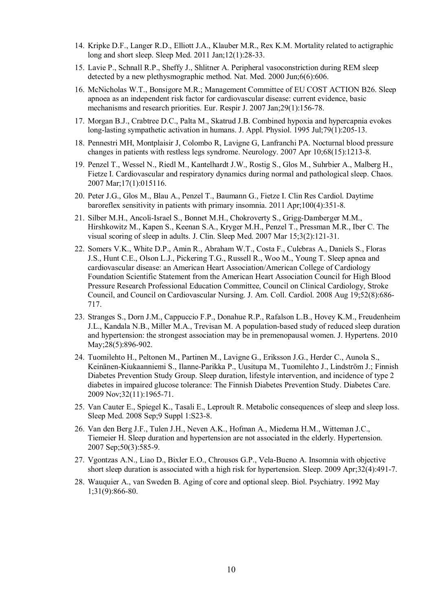- 14. Kripke D.F., Langer R.D., Elliott J.A., Klauber M.R., Rex K.M. [Mortality related to actigraphic](http://www.ncbi.nlm.nih.gov/pubmed/20870457) [long and short sleep.](http://www.ncbi.nlm.nih.gov/pubmed/20870457) Sleep Med. 2011 Jan;12(1):28-33.
- 15. Lavie P., Schnall R.P., Sheffy J., Shlitner A. [Peripheral vasoconstriction during REM sleep](http://www.ncbi.nlm.nih.gov/pubmed/10835649) [detected by a new plethysmographic method.](http://www.ncbi.nlm.nih.gov/pubmed/10835649) Nat. Med. 2000 Jun;6(6):606.
- 16. McNicholas W.T., Bonsigore M.R.; Management Committee of EU COST ACTION B26. [Sleep](http://www.ncbi.nlm.nih.gov/pubmed/17197482) [apnoea as an independent risk factor for cardiovascular disease: current evidence, basic](http://www.ncbi.nlm.nih.gov/pubmed/17197482) [mechanisms and research priorities.](http://www.ncbi.nlm.nih.gov/pubmed/17197482) Eur. Respir J. 2007 Jan;29(1):156-78.
- 17. Morgan B.J., Crabtree D.C., Palta M., Skatrud J.B. [Combined hypoxia and hypercapnia evokes](http://www.ncbi.nlm.nih.gov/pubmed/7559221) [long-lasting sympathetic activation in humans.](http://www.ncbi.nlm.nih.gov/pubmed/7559221) J. Appl. Physiol. 1995 Jul;79(1):205-13.
- 18. Pennestri MH, Montplaisir J, Colombo R, Lavigne G, Lanfranchi PA. [Nocturnal blood pressure](http://www.ncbi.nlm.nih.gov/pubmed/17420405) [changes in patients with restless legs syndrome.](http://www.ncbi.nlm.nih.gov/pubmed/17420405) Neurology. 2007 Apr 10;68(15):1213-8.
- 19. [Penzel T.](http://www.ncbi.nlm.nih.gov/pubmed?term=%22Penzel%20T%22%5BAuthor%5D), [Wessel N.](http://www.ncbi.nlm.nih.gov/pubmed?term=%22Wessel%20N%22%5BAuthor%5D), [Riedl M](http://www.ncbi.nlm.nih.gov/pubmed?term=%22Riedl%20M%22%5BAuthor%5D)., [Kantelhardt J.W](http://www.ncbi.nlm.nih.gov/pubmed?term=%22Kantelhardt%20JW%22%5BAuthor%5D)., [Rostig S](http://www.ncbi.nlm.nih.gov/pubmed?term=%22Rostig%20S%22%5BAuthor%5D)., [Glos M](http://www.ncbi.nlm.nih.gov/pubmed?term=%22Glos%20M%22%5BAuthor%5D)., [Suhrbier A.](http://www.ncbi.nlm.nih.gov/pubmed?term=%22Suhrbier%20A%22%5BAuthor%5D), [Malberg H.](http://www.ncbi.nlm.nih.gov/pubmed?term=%22Malberg%20H%22%5BAuthor%5D), [Fietze I.](http://www.ncbi.nlm.nih.gov/pubmed?term=%22Fietze%20I%22%5BAuthor%5D) Cardiovascular and respiratory dynamics during normal and pathological sleep. [Chaos.](http://www.ncbi.nlm.nih.gov/pubmed?term=Penzel%20Chaos%20fietze) 2007 Mar;17(1):015116.
- 20. Peter J.G., Glos M., Blau A., Penzel T., Baumann G., Fietze I. Clin Res Cardiol. [Daytime](http://www.ncbi.nlm.nih.gov/pubmed/21107584) [baroreflex sensitivity in patients with primary insomnia.](http://www.ncbi.nlm.nih.gov/pubmed/21107584) 2011 Apr;100(4):351-8.
- 21. Silber M.H., Ancoli-Israel S., Bonnet M.H., Chokroverty S., Grigg-Damberger M.M., Hirshkowitz M., Kapen S., Keenan S.A., Kryger M.H., Penzel T., Pressman M.R., Iber C. [The](http://www.ncbi.nlm.nih.gov/pubmed/17557422) [visual scoring of sleep in adults.](http://www.ncbi.nlm.nih.gov/pubmed/17557422) J. Clin. Sleep Med. 2007 Mar 15;3(2):121-31.
- 22. Somers V.K., White D.P., Amin R., Abraham W.T., Costa F., Culebras A., Daniels S., Floras J.S., Hunt C.E., Olson L.J., Pickering T.G., Russell R., Woo M., Young T. [Sleep apnea and](http://www.ncbi.nlm.nih.gov/pubmed/18702977) [cardiovascular disease: an American Heart Association/American College of Cardiology](http://www.ncbi.nlm.nih.gov/pubmed/18702977) [Foundation Scientific Statement from the American Heart Association Council for High Blood](http://www.ncbi.nlm.nih.gov/pubmed/18702977) [Pressure Research Professional Education Committee, Council on Clinical Cardiology, Stroke](http://www.ncbi.nlm.nih.gov/pubmed/18702977) [Council, and Council on Cardiovascular Nursing.](http://www.ncbi.nlm.nih.gov/pubmed/18702977) J. Am. Coll. Cardiol. 2008 Aug 19;52(8):686- 717.
- 23. Stranges S., Dorn J.M., Cappuccio F.P., Donahue R.P., Rafalson L.B., Hovey K.M., Freudenheim J.L., Kandala N.B., Miller M.A., Trevisan M. [A population-based study of reduced sleep duration](http://www.ncbi.nlm.nih.gov/pubmed/20040890) [and hypertension: the strongest association may be in premenopausal women.](http://www.ncbi.nlm.nih.gov/pubmed/20040890) J. Hypertens. 2010 May; 28(5): 896-902.
- 24. Tuomilehto H., Peltonen M., Partinen M., Lavigne G., Eriksson J.G., Herder C., Aunola S., Keinänen-Kiukaanniemi S., Ilanne-Parikka P., Uusitupa M., Tuomilehto J., Lindström J.; Finnish Diabetes Prevention Study Group. [Sleep duration, lifestyle intervention, and incidence of type 2](http://www.ncbi.nlm.nih.gov/pubmed/19651919) [diabetes in impaired glucose tolerance: The Finnish Diabetes Prevention Study.](http://www.ncbi.nlm.nih.gov/pubmed/19651919) Diabetes Care. 2009 Nov;32(11):1965-71.
- 25. Van Cauter E., Spiegel K., Tasali E., Leproult R. [Metabolic consequences of sleep and sleep loss.](http://www.ncbi.nlm.nih.gov/pubmed/18929315) Sleep Med. 2008 Sep;9 Suppl 1:S23-8.
- 26. Van den Berg J.F., Tulen J.H., Neven A.K., Hofman A., Miedema H.M., Witteman J.C., Tiemeier H. [Sleep duration and hypertension are not associated in the elderly.](http://www.ncbi.nlm.nih.gov/pubmed/17635854) Hypertension. 2007 Sep;50(3):585-9.
- 27. Vgontzas A.N., Liao D., Bixler E.O., Chrousos G.P., Vela-Bueno A. [Insomnia with objective](http://www.ncbi.nlm.nih.gov/pubmed/19413143) [short sleep duration is associated with a high risk for hypertension.](http://www.ncbi.nlm.nih.gov/pubmed/19413143) Sleep. 2009 Apr;32(4):491-7.
- 28. Wauquier A., van Sweden B. [Aging of core and optional sleep.](http://www.ncbi.nlm.nih.gov/pubmed/1637928) Biol. Psychiatry. 1992 May 1;31(9):866-80.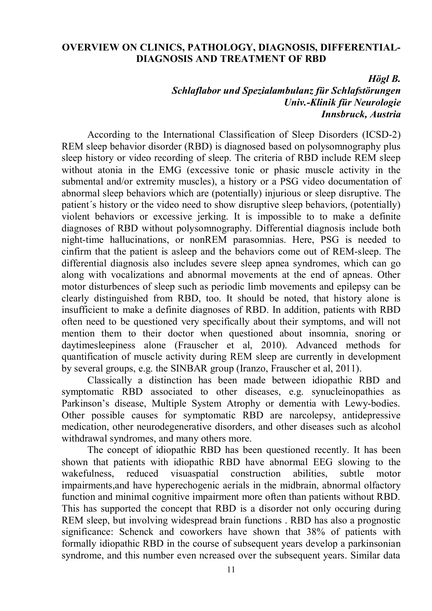## **OVERVIEW ON CLINICS, PATHOLOGY, DIAGNOSIS, DIFFERENTIAL-DIAGNOSIS AND TREATMENT OF RBD**

*Högl B.*

## *Schlaflabor und Spezialambulanz für Schlafstörungen Univ.-Klinik für Neurologie Innsbruck, Austria*

According to the International Classification of Sleep Disorders (ICSD-2) REM sleep behavior disorder (RBD) is diagnosed based on polysomnography plus sleep history or video recording of sleep. The criteria of RBD include REM sleep without atonia in the EMG (excessive tonic or phasic muscle activity in the submental and/or extremity muscles), a history or a PSG video documentation of abnormal sleep behaviors which are (potentially) injurious or sleep disruptive. The patient´s history or the video need to show disruptive sleep behaviors, (potentially) violent behaviors or excessive jerking. It is impossible to to make a definite diagnoses of RBD without polysomnography. Differential diagnosis include both night-time hallucinations, or nonREM parasomnias. Here, PSG is needed to cinfirm that the patient is asleep and the behaviors come out of REM-sleep. The differential diagnosis also includes severe sleep apnea syndromes, which can go along with vocalizations and abnormal movements at the end of apneas. Other motor disturbences of sleep such as periodic limb movements and epilepsy can be clearly distinguished from RBD, too. It should be noted, that history alone is insufficient to make a definite diagnoses of RBD. In addition, patients with RBD often need to be questioned very specifically about their symptoms, and will not mention them to their doctor when questioned about insomnia, snoring or daytimesleepiness alone (Frauscher et al, 2010). Advanced methods for quantification of muscle activity during REM sleep are currently in development by several groups, e.g. the SINBAR group (Iranzo, Frauscher et al, 2011).

Classically a distinction has been made between idiopathic RBD and symptomatic RBD associated to other diseases, e.g. synucleinopathies as Parkinson's disease, Multiple System Atrophy or dementia with Lewy-bodies. Other possible causes for symptomatic RBD are narcolepsy, antidepressive medication, other neurodegenerative disorders, and other diseases such as alcohol withdrawal syndromes, and many others more.

The concept of idiopathic RBD has been questioned recently. It has been shown that patients with idiopathic RBD have abnormal EEG slowing to the wakefulness, reduced visuaspatial construction abilities, subtle motor impairments,and have hyperechogenic aerials in the midbrain, abnormal olfactory function and minimal cognitive impairment more often than patients without RBD. This has supported the concept that RBD is a disorder not only occuring during REM sleep, but involving widespread brain functions . RBD has also a prognostic significance: Schenck and coworkers have shown that 38% of patients with formally idiopathic RBD in the course of subsequent years develop a parkinsonian syndrome, and this number even ncreased over the subsequent years. Similar data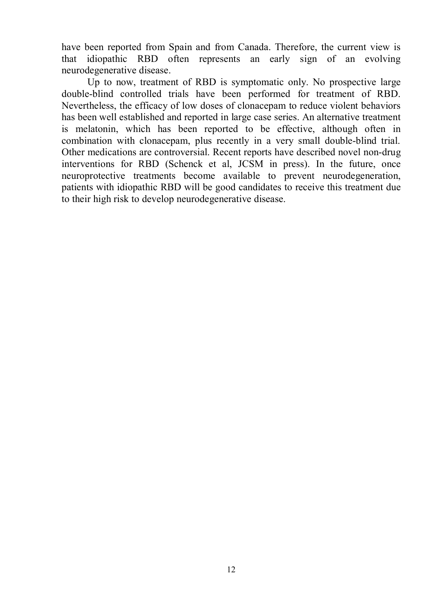have been reported from Spain and from Canada. Therefore, the current view is that idiopathic RBD often represents an early sign of an evolving neurodegenerative disease.

Up to now, treatment of RBD is symptomatic only. No prospective large double-blind controlled trials have been performed for treatment of RBD. Nevertheless, the efficacy of low doses of clonacepam to reduce violent behaviors has been well established and reported in large case series. An alternative treatment is melatonin, which has been reported to be effective, although often in combination with clonacepam, plus recently in a very small double-blind trial. Other medications are controversial. Recent reports have described novel non-drug interventions for RBD (Schenck et al, JCSM in press). In the future, once neuroprotective treatments become available to prevent neurodegeneration, patients with idiopathic RBD will be good candidates to receive this treatment due to their high risk to develop neurodegenerative disease.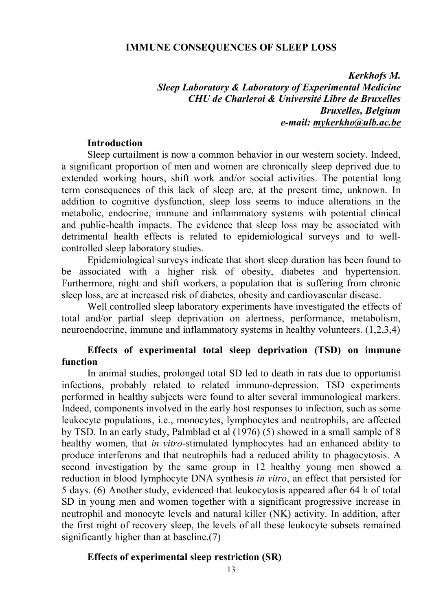#### **IMMUNE CONSEQUENCES OF SLEEP LOSS**

*Kerkhofs M. Sleep Laboratory & Laboratory of Experimental Medicine CHU de Charleroi & Université Libre de Bruxelles Bruxelles, Belgium e-mail: [mykerkho@ulb.ac.be](mailto:mykerkho@ulb.ac.be)*

#### **Introduction**

Sleep curtailment is now a common behavior in our western society. Indeed, a significant proportion of men and women are chronically sleep deprived due to extended working hours, shift work and/or social activities. The potential long term consequences of this lack of sleep are, at the present time, unknown. In addition to cognitive dysfunction, sleep loss seems to induce alterations in the metabolic, endocrine, immune and inflammatory systems with potential clinical and public-health impacts. The evidence that sleep loss may be associated with detrimental health effects is related to epidemiological surveys and to wellcontrolled sleep laboratory studies.

Epidemiological surveys indicate that short sleep duration has been found to be associated with a higher risk of obesity, diabetes and hypertension. Furthermore, night and shift workers, a population that is suffering from chronic sleep loss, are at increased risk of diabetes, obesity and cardiovascular disease.

Well controlled sleep laboratory experiments have investigated the effects of total and/or partial sleep deprivation on alertness, performance, metabolism, neuroendocrine, immune and inflammatory systems in healthy volunteers. (1,2,3,4)

## **Effects of experimental total sleep deprivation (TSD) on immune function**

In animal studies, prolonged total SD led to death in rats due to opportunist infections, probably related to related immuno-depression. TSD experiments performed in healthy subjects were found to alter several immunological markers. Indeed, components involved in the early host responses to infection, such as some leukocyte populations, i.e., monocytes, lymphocytes and neutrophils, are affected by TSD. In an early study, Palmblad et al (1976) (5) showed in a small sample of 8 healthy women, that *in vitro*-stimulated lymphocytes had an enhanced ability to produce interferons and that neutrophils had a reduced ability to phagocytosis. A second investigation by the same group in 12 healthy young men showed a reduction in blood lymphocyte DNA synthesis *in vitro*, an effect that persisted for 5 days. (6) Another study, evidenced that leukocytosis appeared after 64 h of total SD in young men and women together with a significant progressive increase in neutrophil and monocyte levels and natural killer (NK) activity. In addition, after the first night of recovery sleep, the levels of all these leukocyte subsets remained significantly higher than at baseline.(7)

#### **Effects of experimental sleep restriction (SR)**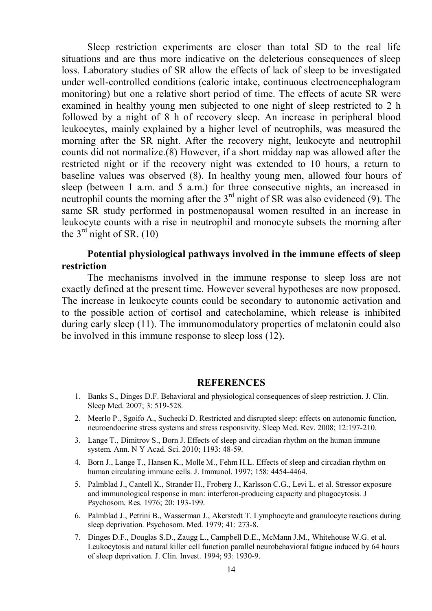Sleep restriction experiments are closer than total SD to the real life situations and are thus more indicative on the deleterious consequences of sleep loss. Laboratory studies of SR allow the effects of lack of sleep to be investigated under well-controlled conditions (caloric intake, continuous electroencephalogram monitoring) but one a relative short period of time. The effects of acute SR were examined in healthy young men subjected to one night of sleep restricted to 2 h followed by a night of 8 h of recovery sleep. An increase in peripheral blood leukocytes, mainly explained by a higher level of neutrophils, was measured the morning after the SR night. After the recovery night, leukocyte and neutrophil counts did not normalize.(8) However, if a short midday nap was allowed after the restricted night or if the recovery night was extended to 10 hours, a return to baseline values was observed (8). In healthy young men, allowed four hours of sleep (between 1 a.m. and 5 a.m.) for three consecutive nights, an increased in neutrophil counts the morning after the 3<sup>rd</sup> night of SR was also evidenced (9). The same SR study performed in postmenopausal women resulted in an increase in leukocyte counts with a rise in neutrophil and monocyte subsets the morning after the  $3<sup>rd</sup>$  night of SR. (10)

## **Potential physiological pathways involved in the immune effects of sleep restriction**

The mechanisms involved in the immune response to sleep loss are not exactly defined at the present time. However several hypotheses are now proposed. The increase in leukocyte counts could be secondary to autonomic activation and to the possible action of cortisol and catecholamine, which release is inhibited during early sleep (11). The immunomodulatory properties of melatonin could also be involved in this immune response to sleep loss (12).

#### **REFERENCES**

- 1. Banks S., Dinges D.F. Behavioral and physiological consequences of sleep restriction. J. Clin. Sleep Med. 2007; 3: 519-528.
- 2. Meerlo P., Sgoifo A., Suchecki D. Restricted and disrupted sleep: effects on autonomic function, neuroendocrine stress systems and stress responsivity. Sleep Med. Rev. 2008; 12:197-210.
- 3. Lange T., Dimitrov S., Born J. Effects of sleep and circadian rhythm on the human immune system. Ann. N Y Acad. Sci. 2010; 1193: 48-59.
- 4. Born J., Lange T., Hansen K., Molle M., Fehm H.L. Effects of sleep and circadian rhythm on human circulating immune cells. J. Immunol. 1997; 158: 4454-4464.
- 5. Palmblad J., Cantell K., Strander H., Froberg J., Karlsson C.G., Levi L. et al. Stressor exposure and immunological response in man: interferon-producing capacity and phagocytosis. J Psychosom. Res. 1976; 20: 193-199.
- 6. Palmblad J., Petrini B., Wasserman J., Akerstedt T. Lymphocyte and granulocyte reactions during sleep deprivation. Psychosom. Med. 1979; 41: 273-8.
- 7. Dinges D.F., Douglas S.D., Zaugg L., Campbell D.E., McMann J.M., Whitehouse W.G. et al. Leukocytosis and natural killer cell function parallel neurobehavioral fatigue induced by 64 hours of sleep deprivation. J. Clin. Invest. 1994; 93: 1930-9.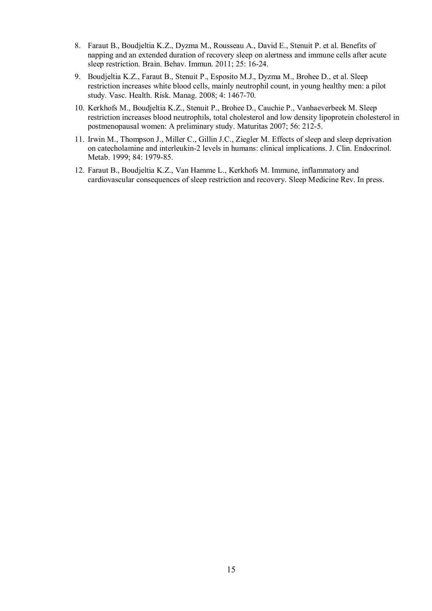- 8. Faraut B., Boudjeltia K.Z., Dyzma M., Rousseau A., David E., Stenuit P. et al. Benefits of napping and an extended duration of recovery sleep on alertness and immune cells after acute sleep restriction. Brain. Behav. Immun. 2011; 25: 16-24.
- 9. Boudjeltia K.Z., Faraut B., Stenuit P., Esposito M.J., Dyzma M., Brohee D., et al. Sleep restriction increases white blood cells, mainly neutrophil count, in young healthy men: a pilot study. Vasc. Health. Risk. Manag. 2008; 4: 1467-70.
- 10. Kerkhofs M., Boudjeltia K.Z., Stenuit P., Brohee D., Cauchie P., Vanhaeverbeek M. Sleep restriction increases blood neutrophils, total cholesterol and low density lipoprotein cholesterol in postmenopausal women: A preliminary study. Maturitas 2007; 56: 212-5.
- 11. Irwin M., Thompson J., Miller C., Gillin J.C., Ziegler M. Effects of sleep and sleep deprivation on catecholamine and interleukin-2 levels in humans: clinical implications. J. Clin. Endocrinol. Metab. 1999; 84: 1979-85.
- 12. Faraut B., Boudjeltia K.Z., Van Hamme L., Kerkhofs M. Immune, inflammatory and cardiovascular consequences of sleep restriction and recovery. Sleep Medicine Rev. In press.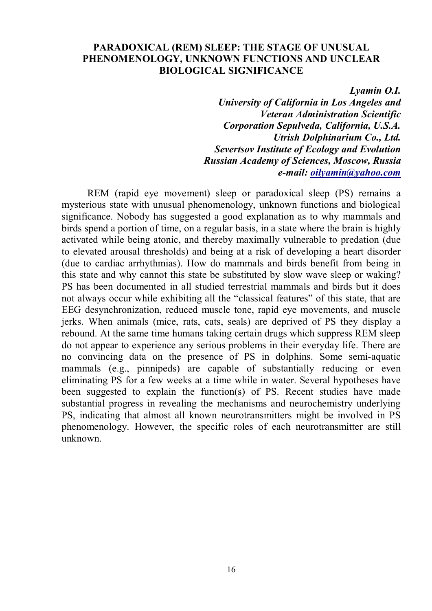## **PARADOXICAL (REM) SLEEP: THE STAGE OF UNUSUAL PHENOMENOLOGY, UNKNOWN FUNCTIONS AND UNCLEAR BIOLOGICAL SIGNIFICANCE**

*Lyamin O.I.*

*University of California in Los Angeles and Veteran Administration Scientific Corporation Sepulveda, California, U.S.A. Utrish Dolphinarium Co., Ltd. Severtsov Institute of Ecology and Evolution Russian Academy of Sciences, Moscow, Russia e-mail: [oilyamin@yahoo.com](mailto:oilyamin@yahoo.com)*

REM (rapid eye movement) sleep or paradoxical sleep (PS) remains a mysterious state with unusual phenomenology, unknown functions and biological significance. Nobody has suggested a good explanation as to why mammals and birds spend a portion of time, on a regular basis, in a state where the brain is highly activated while being atonic, and thereby maximally vulnerable to predation (due to elevated arousal thresholds) and being at a risk of developing a heart disorder (due to cardiac arrhythmias). How do mammals and birds benefit from being in this state and why cannot this state be substituted by slow wave sleep or waking? PS has been documented in all studied terrestrial mammals and birds but it does not always occur while exhibiting all the "classical features" of this state, that are EEG desynchronization, reduced muscle tone, rapid eye movements, and muscle jerks. When animals (mice, rats, cats, seals) are deprived of PS they display a rebound. At the same time humans taking certain drugs which suppress REM sleep do not appear to experience any serious problems in their everyday life. There are no convincing data on the presence of PS in dolphins. Some semi-aquatic mammals (e.g., pinnipeds) are capable of substantially reducing or even eliminating PS for a few weeks at a time while in water. Several hypotheses have been suggested to explain the function(s) of PS. Recent studies have made substantial progress in revealing the mechanisms and neurochemistry underlying PS, indicating that almost all known neurotransmitters might be involved in PS phenomenology. However, the specific roles of each neurotransmitter are still unknown.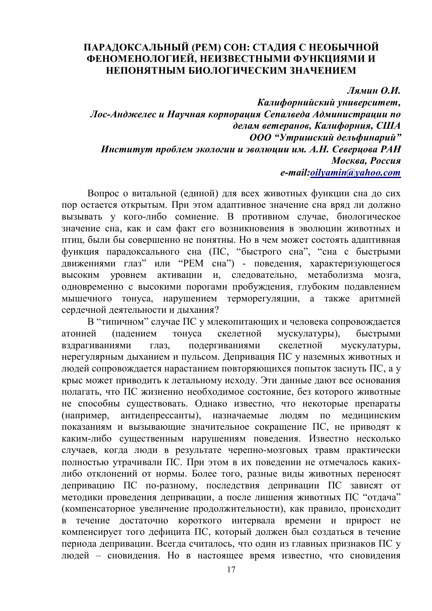## **ПАРАДОКСАЛЬНЫЙ (РЕМ) СОН: СТАДИЯ С НЕОБЫЧНОЙ ФЕНОМЕНОЛОГИЕЙ, НЕИЗВЕСТНЫМИ ФУНКЦИЯМИ И НЕПОНЯТНЫМ БИОЛОГИЧЕСКИМ ЗНАЧЕНИЕМ**

*Лямин О.И.*

*Калифорнийский университет, Лос-Анджелес и Научная корпорация Сепалведа Администрации по делам ветеранов, Калифорния, США ООО "Утришский дельфинарий" Институт проблем экологии и эволюции им. А.Н. Северцова РАН Москва, Россия e-mail:[oilyamin@yahoo.com](mailto:oilyamin@yahoo.com)*

Вопрос о витальной (единой) для всех животных функции сна до сих пор остается открытым. При этом адаптивное значение сна вряд ли должно вызывать у кого-либо сомнение. В противном случае, биологическое значение сна, как и сам факт его возникновения в эволюции животных и птиц, были бы совершенно не понятны. Но в чем может состоять адаптивная функция парадоксального сна (ПС, "быстрого сна", "сна с быстрыми движениями глаз" или "РЕМ сна") - поведения, характеризующегося высоким уровнем активации и, следовательно, метаболизма мозга, одновременно с высокими порогами пробуждения, глубоким подавлением мышечного тонуса, нарушением терморегуляции, а также аритмией сердечной деятельности и дыхания?

В "типичном" случае ПС у млекопитающих и человека сопровождается атонией (падением тонуса скелетной мускулатуры), быстрыми вздрагиваниями глаз, подергиваниями скелетной мускулатуры, нерегулярным дыханием и пульсом. Депривация ПС у наземных животных и людей сопровождается нарастанием повторяющихся попыток заснуть ПС, а у крыс может приводить к летальному исходу. Эти данные дают все основания полагать, что ПС жизненно необходимое состояние, без которого животные не способны существовать. Однако известно, что некоторые препараты (например, антидепрессанты), назначаемые людям по медицинским показаниям и вызывающие значительное сокращение ПС, не приводят к каким-либо существенным нарушениям поведения. Известно несколько случаев, когда люди в результате черепно-мозговых травм практически полностью утрачивали ПС. При этом в их поведении не отмечалось какихлибо отклонений от нормы. Более того, разные виды животных переносят депривацию ПС по-разному, последствия депривации ПС зависят от методики проведения депривации, а после лишения животных ПС "отдача" (компенсаторное увеличение продолжительности), как правило, происходит в течение достаточно короткого интервала времени и прирост не компенсирует того дефицита ПС, который должен был создаться в течение периода депривации. Всегда считалось, что один из главных признаков ПС у людей – сновидения. Но в настоящее время известно, что сновидения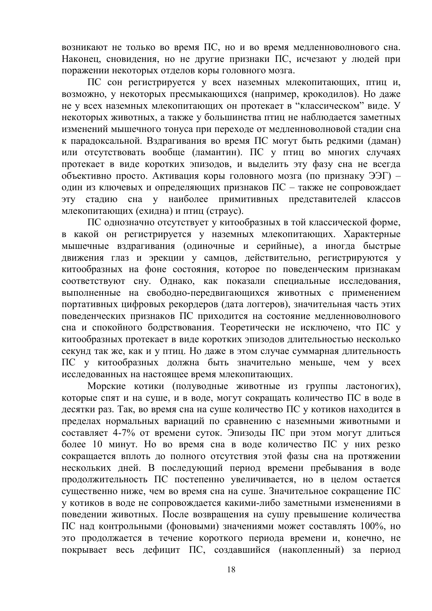возникают не только во время ПС, но и во время медленноволнового сна. Наконец, сновидения, но не другие признаки ПС, исчезают у людей при поражении некоторых отделов коры головного мозга.

ПС сон регистрируется у всех наземных млекопитающих, птиц и, возможно, у некоторых пресмыкающихся (например, крокодилов). Но даже не у всех наземных млекопитающих он протекает в "классическом" виде. У некоторых животных, а также у большинства птиц не наблюдается заметных изменений мышечного тонуса при переходе от медленноволновой стадии сна к парадоксальной. Вздрагивания во время ПС могут быть редкими (даман) или отсутствовать вообще (ламантин). ПС у птиц во многих случаях протекает в виде коротких эпизодов, и выделить эту фазу сна не всегда объективно просто. Активация коры головного мозга (по признаку ЭЭГ) – один из ключевых и определяющих признаков ПС – также не сопровождает эту стадию сна у наиболее примитивных представителей классов млекопитающих (ехидна) и птиц (страус).

ПС однозначно отсутствует у китообразных в той классической форме, в какой он регистрируется у наземных млекопитающих. Характерные мышечные вздрагивания (одиночные и серийные), а иногда быстрые движения глаз и эрекции у самцов, действительно, регистрируются у китообразных на фоне состояния, которое по поведенческим признакам соответствуют сну. Однако, как показали специальные исследования, выполненные на свободно-передвигающихся животных с применением портативных цифровых рекордеров (дата логгеров), значительная часть этих поведенческих признаков ПС приходится на состояние медленноволнового сна и спокойного бодрствования. Теоретически не исключено, что ПС у китообразных протекает в виде коротких эпизодов длительностью несколько секунд так же, как и у птиц. Но даже в этом случае суммарная длительность ПС у китообразных должна быть значительно меньше, чем у всех исследованных на настоящее время млекопитающих.

Морские котики (полуводные животные из группы ластоногих), которые спят и на суше, и в воде, могут сокращать количество ПС в воде в десятки раз. Так, во время сна на суше количество ПС у котиков находится в пределах нормальных вариаций по сравнению с наземными животными и составляет 4-7% от времени суток. Эпизоды ПС при этом могут длиться более 10 минут. Но во время сна в воде количество ПС у них резко сокращается вплоть до полного отсутствия этой фазы сна на протяжении нескольких дней. В последующий период времени пребывания в воде продолжительность ПС постепенно увеличивается, но в целом остается существенно ниже, чем во время сна на суше. Значительное сокращение ПС у котиков в воде не сопровождается какими-либо заметными изменениями в поведении животных. После возвращения на сушу превышение количества ПС над контрольными (фоновыми) значениями может составлять 100%, но это продолжается в течение короткого периода времени и, конечно, не покрывает весь дефицит ПС, создавшийся (накопленный) за период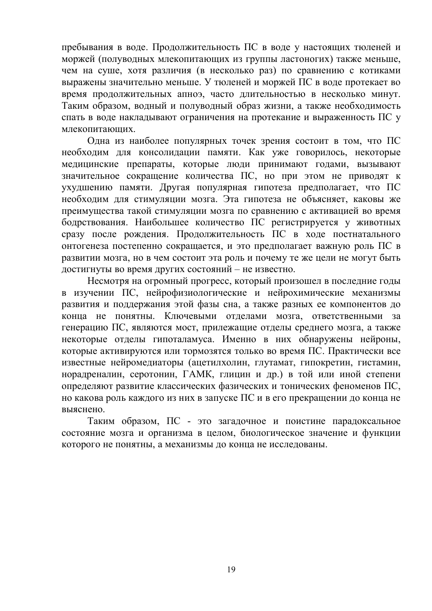пребывания в воде. Продолжительность ПС в воде у настоящих тюленей и моржей (полуводных млекопитающих из группы ластоногих) также меньше, чем на суше, хотя различия (в несколько раз) по сравнению с котиками выражены значительно меньше. У тюленей и моржей ПС в воде протекает во время продолжительных апноэ, часто длительностью в несколько минут. Таким образом, водный и полуводный образ жизни, а также необходимость спать в воде накладывают ограничения на протекание и выраженность ПС у млекопитающих.

Одна из наиболее популярных точек зрения состоит в том, что ПС необходим для консолидации памяти. Как уже говорилось, некоторые медицинские препараты, которые люди принимают годами, вызывают значительное сокращение количества ПС, но при этом не приводят к ухудшению памяти. Другая популярная гипотеза предполагает, что ПС необходим для стимуляции мозга. Эта гипотеза не объясняет, каковы же преимущества такой стимуляции мозга по сравнению с активацией во время бодрствования. Наибольшее количество ПС регистрируется у животных сразу после рождения. Продолжительность ПС в ходе постнатального онтогенеза постепенно сокращается, и это предполагает важную роль ПС в развитии мозга, но в чем состоит эта роль и почему те же цели не могут быть достигнуты во время других состояний – не известно.

Несмотря на огромный прогресс, который произошел в последние годы в изучении ПС, нейрофизиологические и нейрохимические механизмы развития и поддержания этой фазы сна, а также разных ее компонентов до конца не понятны. Ключевыми отделами мозга, ответственными за генерацию ПС, являются мост, прилежащие отделы среднего мозга, а также некоторые отделы гипоталамуса. Именно в них обнаружены нейроны, которые активируются или тормозятся только во время ПС. Практически все известные нейромедиаторы (ацетилхолин, глутамат, гипокретин, гистамин, норадреналин, серотонин, ГАМК, глицин и др.) в той или иной степени определяют развитие классических фазических и тонических феноменов ПС, но какова роль каждого из них в запуске ПС и в его прекращении до конца не выяснено.

Таким образом, ПС - это загадочное и поистине парадоксальное состояние мозга и организма в целом, биологическое значение и функции которого не понятны, а механизмы до конца не исследованы.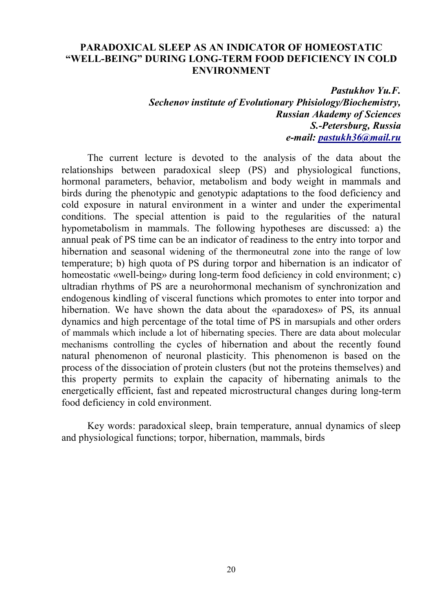## **PARADOXICAL SLEEP AS AN INDICATOR OF HOMEOSTATIC "WELL-BEING" DURING LONG-TERM FOOD DEFICIENCY IN COLD ENVIRONMENT**

*Pastukhov Yu.F. Sechenov institute of Evolutionary Phisiology/Biochemistry, Russian Akademy of Sciences S.-Petersburg, Russia e-mail: [pastukh36@mail.ru](mailto:pastukh36@mail.ru)*

The current lecture is devoted to the analysis of the data about the relationships between paradoxical sleep (PS) and physiological functions, hormonal parameters, behavior, metabolism and body weight in mammals and birds during the phenotypic and genotypic adaptations to the food deficiency and cold exposure in natural environment in a winter and under the experimental conditions. The special attention is paid to the regularities of the natural hypometabolism in mammals. The following hypotheses are discussed: a) the annual peak of PS time can be an indicator of readiness to the entry into torpor and hibernation and seasonal widening of the thermoneutral zone into the range of low temperature; b) high quota of PS during torpor and hibernation is an indicator of homeostatic «well-being» during long-term food deficiency in cold environment; c) ultradian rhythms of PS are a neurohormonal mechanism of synchronization and endogenous kindling of visceral functions which promotes to enter into torpor and hibernation. We have shown the data about the «paradoxes» of PS, its annual dynamics and high percentage of the total time of PS in marsupials and other orders of mammals which include a lot of hibernating species. There are data about molecular mechanisms controlling the cycles of hibernation and about the recently found natural phenomenon of neuronal plasticity. This phenomenon is based on the process of the dissociation of protein clusters (but not the proteins themselves) and this property permits to explain the capacity of hibernating animals to the energetically efficient, fast and repeated microstructural changes during long-term food deficiency in cold environment.

Key words: paradoxical sleep, brain temperature, annual dynamics of sleep and physiological functions; torpor, hibernation, mammals, birds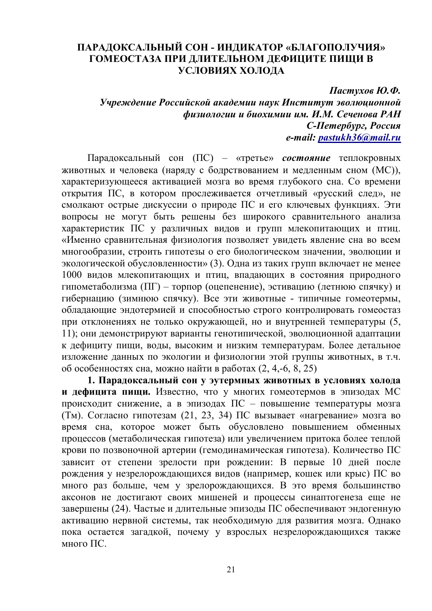## **ПАРАДОКСАЛЬНЫЙ СОН - ИНДИКАТОР «БЛАГОПОЛУЧИЯ» ГОМЕОСТАЗА ПРИ ДЛИТЕЛЬНОМ ДЕФИЦИТЕ ПИЩИ В УСЛОВИЯХ ХОЛОДА**

*Пастухов Ю.Ф. Учреждение Российской академии наук Институт эволюционной физиологии и биохимии им. И.М. Сеченова РАН С-Петербург, Россия e-mail: [pastukh36@mail.ru](mailto:pastukh36@mail.ru)*

Парадоксальный сон (ПС) – «третье» *состояние* теплокровных животных и человека (наряду с бодрствованием и медленным сном (МС)), характеризующееся активацией мозга во время глубокого сна. Со времени открытия ПС, в котором прослеживается отчетливый «русский след», не смолкают острые дискуссии о природе ПС и его ключевых функциях. Эти вопросы не могут быть решены без широкого сравнительного анализа характеристик ПС у различных видов и групп млекопитающих и птиц. «Именно сравнительная физиология позволяет увидеть явление сна во всем многообразии, строить гипотезы о его биологическом значении, эволюции и экологической обусловленности» (3). Одна из таких групп включает не менее 1000 видов млекопитающих и птиц, впадающих в состояния природного гипометаболизма (ПГ) – торпор (оцепенение), эстивацию (летнюю спячку) и гибернацию (зимнюю спячку). Все эти животные - типичные гомеотермы, обладающие эндотермией и способностью строго контролировать гомеостаз при отклонениях не только окружающей, но и внутренней температуры (5, 11); они демонстрируют варианты генотипической, эволюционной адаптации к дефициту пищи, воды, высоким и низким температурам. Более детальное изложение данных по экологии и физиологии этой группы животных, в т.ч. об особенностях сна, можно найти в работах (2, 4,-6, 8, 25)

**1. Парадоксальный сон у эутермных животных в условиях холода и дефицита пищи.** Известно, что у многих гомеотермов в эпизодах МС происходит снижение, а в эпизодах ПС – повышение температуры мозга (Тм). Согласно гипотезам (21, 23, 34) ПС вызывает «нагревание» мозга во время сна, которое может быть обусловлено повышением обменных процессов (метаболическая гипотеза) или увеличением притока более теплой крови по позвоночной артерии (гемодинамическая гипотеза). Количество ПС зависит от степени зрелости при рождении: В первые 10 дней после рождения у незрелорождающихся видов (например, кошек или крыс) ПС во много раз больше, чем у зрелорождающихся. В это время большинство аксонов не достигают своих мишеней и процессы синаптогенеза еще не завершены (24). Частые и длительные эпизоды ПС обеспечивают эндогенную активацию нервной системы, так необходимую для развития мозга. Однако пока остается загадкой, почему у взрослых незрелорождающихся также много ПС.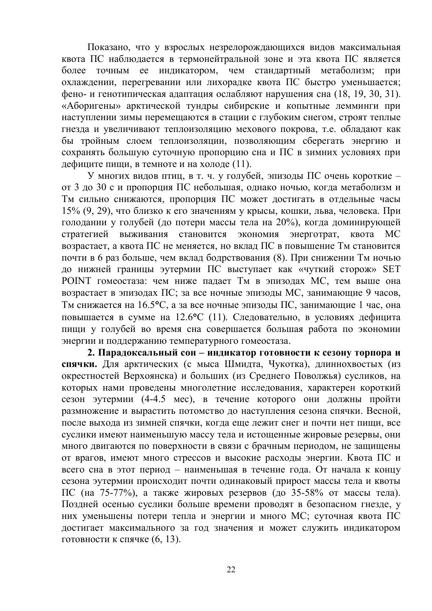Показано, что у взрослых незрелорождающихся видов максимальная квота ПС наблюдается в термонейтральной зоне и эта квота ПС является более точным ее индикатором, чем стандартный метаболизм; при охлаждении, перегревании или лихорадке квота ПС быстро уменьшается; фено- и генотипическая адаптация ослабляют нарушения сна (18, 19, 30, 31). «Аборигены» арктической тундры сибирские и копытные лемминги при наступлении зимы перемещаются в стации с глубоким снегом, строят теплые гнезда и увеличивают теплоизоляцию мехового покрова, т.е. обладают как бы тройным слоем теплоизоляции, позволяющим сберегать энергию и сохранять большую суточную пропорцию сна и ПС в зимних условиях при дефиците пищи, в темноте и на холоде (11).

У многих видов птиц, в т. ч. у голубей, эпизоды ПС очень короткие – от 3 до 30 с и пропорция ПС небольшая, однако ночью, когда метаболизм и Тм сильно снижаются, пропорция ПС может достигать в отдельные часы 15% (9, 29), что близко к его значениям у крысы, кошки, льва, человека. При голодании у голубей (до потери массы тела на 20%), когда доминирующей стратегией выживания становится экономия энерготрат, квота МС возрастает, а квота ПС не меняется, но вклад ПС в повышение Тм становится почти в 6 раз больше, чем вклад бодрствования (8). При снижении Тм ночью до нижней границы эутермии ПС выступает как «чуткий сторож» SET POINT гомеостаза: чем ниже падает Тм в эпизодах МС, тем выше она возрастает в эпизодах ПС; за все ночные эпизоды МС, занимающие 9 часов, Тм снижается на 16.5°С, а за все ночные эпизоды ПС, занимающие 1 час, она повышается в сумме на 12.6°С (11). Следовательно, в условиях дефицита пищи у голубей во время сна совершается большая работа по экономии энергии и поддержанию температурного гомеостаза.

**2. Парадоксальный сон – индикатор готовности к сезону торпора и спячки.** Для арктических (с мыса Шмидта, Чукотка), длиннохвостых (из окрестностей Верхоянска) и больших (из Среднего Поволжья) сусликов, на которых нами проведены многолетние исследования, характерен короткий сезон эутермии (4-4.5 мес), в течение которого они должны пройти размножение и вырастить потомство до наступления сезона спячки. Весной, после выхода из зимней спячки, когда еще лежит снег и почти нет пищи, все суслики имеют наименьшую массу тела и истощенные жировые резервы, они много двигаются по поверхности в связи с брачным периодом, не защищены от врагов, имеют много стрессов и высокие расходы энергии. Квота ПС и всего сна в этот период – наименьшая в течение года. От начала к концу сезона эутермии происходит почти одинаковый прирост массы тела и квоты ПС (на 75-77%), а также жировых резервов (до 35-58% от массы тела). Поздней осенью суслики больше времени проводят в безопасном гнезде, у них уменьшены потери тепла и энергии и много МС; суточная квота ПС достигает максимального за год значения и может служить индикатором готовности к спячке (6, 13).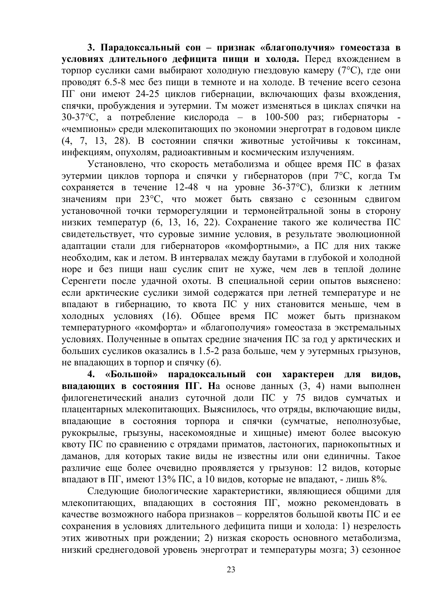**3. Парадоксальный сон – признак «благополучия» гомеостаза в условиях длительного дефицита пищи и холода.** Перед вхождением в торпор суслики сами выбирают холодную гнездовую камеру (7°С), где они проводят 6.5-8 мес без пищи в темноте и на холоде. В течение всего сезона ПГ они имеют 24-25 циклов гибернации, включающих фазы вхождения, спячки, пробуждения и эутермии. Тм может изменяться в циклах спячки на 30-37°С, а потребление кислорода – в 100-500 раз; гибернаторы - «чемпионы» среди млекопитающих по экономии энерготрат в годовом цикле (4, 7, 13, 28). В состоянии спячки животные устойчивы к токсинам, инфекциям, опухолям, радиоактивным и космическим излучениям.

Установлено, что скорость метаболизма и общее время ПС в фазах эутермии циклов торпора и спячки у гибернаторов (при 7°С, когда Тм сохраняется в течение 12-48 ч на уровне 36-37°С), близки к летним значениям при 23°С, что может быть связано с сезонным сдвигом установочной точки терморегуляции и термонейтральной зоны в сторону низких температур (6, 13, 16, 22). Сохранение такого же количества ПС свидетельствует, что суровые зимние условия, в результате эволюционной адаптации стали для гибернаторов «комфортными», а ПС для них также необходим, как и летом. В интервалах между баутами в глубокой и холодной норе и без пищи наш суслик спит не хуже, чем лев в теплой долине Серенгети после удачной охоты. В специальной серии опытов выяснено: если арктические суслики зимой содержатся при летней температуре и не впадают в гибернацию, то квота ПС у них становится меньше, чем в холодных условиях (16). Общее время ПС может быть признаком температурного «комфорта» и «благополучия» гомеостаза в экстремальных условиях. Полученные в опытах средние значения ПС за год у арктических и больших сусликов оказались в 1.5-2 раза больше, чем у эутермных грызунов, не впадающих в торпор и спячку (6).

**4. «Большой» парадоксальный сон характерен для видов, впадающих в состояния ПГ. На основе данных (3, 4) нами выполнен** филогенетический анализ суточной доли ПС у 75 видов сумчатых и плацентарных млекопитающих. Выяснилось, что отряды, включающие виды, впадающие в состояния торпора и спячки (сумчатые, неполнозубые, рукокрылые, грызуны, насекомоядные и хищные) имеют более высокую квоту ПС по сравнению с отрядами приматов, ластоногих, парнокопытных и даманов, для которых такие виды не известны или они единичны. Такое различие еще более очевидно проявляется у грызунов: 12 видов, которые впадают в ПГ, имеют 13% ПС, а 10 видов, которые не впадают, - лишь  $8\%$ .

Следующие биологические характеристики, являющиеся общими для млекопитающих, впадающих в состояния ПГ, можно рекомендовать в качестве возможного набора признаков – коррелятов большой квоты ПС и ее сохранения в условиях длительного дефицита пищи и холода: 1) незрелость этих животных при рождении; 2) низкая скорость основного метаболизма, низкий среднегодовой уровень энерготрат и температуры мозга; 3) сезонное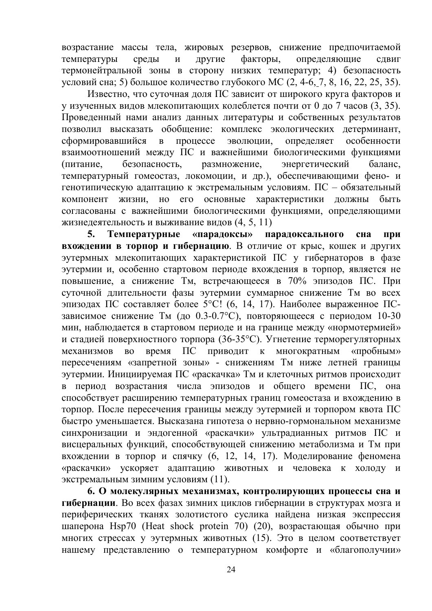возрастание массы тела, жировых резервов, снижение предпочитаемой температуры среды и другие факторы, определяющие сдвиг термонейтральной зоны в сторону низких температур; 4) безопасность условий сна; 5) большое количество глубокого МС (2, 4-6, 7, 8, 16, 22, 25, 35).

Известно, что суточная доля ПС зависит от широкого круга факторов и у изученных видов млекопитающих колеблется почти от 0 до 7 часов (3, 35). Проведенный нами анализ данных литературы и собственных результатов позволил высказать обобщение: комплекс экологических детерминант, сформировавшийся в процессе эволюции, определяет особенности взаимоотношений между ПС и важнейшими биологическими функциями (питание, безопасность, размножение, энергетический баланс, температурный гомеостаз, локомоции, и др.), обеспечивающими фено- и генотипическую адаптацию к экстремальным условиям. ПС – обязательный компонент жизни, но его основные характеристики должны быть согласованы с важнейшими биологическими функциями, определяющими жизнедеятельность и выживание видов (4, 5, 11)

**5. Температурные «парадоксы» парадоксального сна при вхождении в торпор и гибернацию**. В отличие от крыс, кошек и других эутермных млекопитающих характеристикой ПС у гибернаторов в фазе эутермии и, особенно стартовом периоде вхождения в торпор, является не повышение, а снижение Тм, встречающееся в 70% эпизодов ПС. При суточной длительности фазы эутермии суммарное снижение Тм во всех эпизодах ПС составляет более 5°С! (6, 14, 17). Наиболее выраженное ПСзависимое снижение Тм (до 0.3-0.7°С), повторяющееся с периодом 10-30 мин, наблюдается в стартовом периоде и на границе между «нормотермией» и стадией поверхностного торпора (36-35°С). Угнетение терморегуляторных механизмов во время ПС приводит к многократным «пробным» пересечениям «запретной зоны» - снижениям Тм ниже летней границы эутермии. Инициируемая ПС «раскачка» Тм и клеточных ритмов происходит в период возрастания числа эпизодов и общего времени ПС, она способствует расширению температурных границ гомеостаза и вхождению в торпор. После пересечения границы между эутермией и торпором квота ПС быстро уменьшается. Высказана гипотеза о нервно-гормональном механизме синхронизации и эндогенной «раскачки» ультрадианных ритмов ПС и висцеральных функций, способствующей снижению метаболизма и Тм при вхождении в торпор и спячку (6, 12, 14, 17). Моделирование феномена «раскачки» ускоряет адаптацию животных и человека к холоду и экстремальным зимним условиям (11).

**6. О молекулярных механизмах, контролирующих процессы сна и гибернации**. Во всех фазах зимних циклов гибернации в структурах мозга и периферических тканях золотистого суслика найдена низкая экспрессия шаперона Hsp70 (Heat shock protein 70) (20), возрастающая обычно при многих стрессах у эутермных животных (15). Это в целом соответствует нашему представлению о температурном комфорте и «благополучии»

24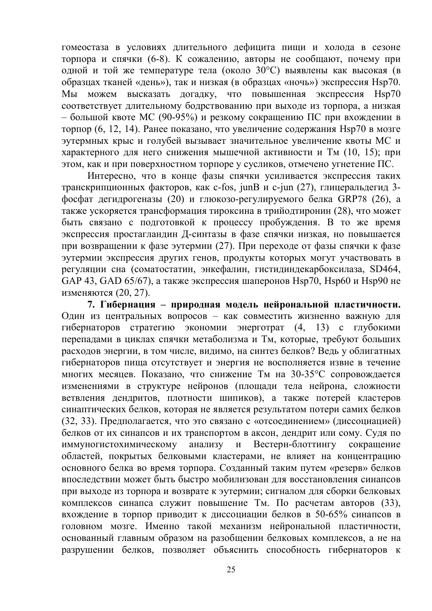гомеостаза в условиях длительного дефицита пищи и холода в сезоне торпора и спячки (6-8). К сожалению, авторы не сообщают, почему при одной и той же температуре тела (около 30°С) выявлены как высокая (в образцах тканей «день»), так и низкая (в образцах «ночь») экспрессия Hsp70. Мы можем высказать догадку, что повышенная экспрессия Hsp70 соответствует длительному бодрствованию при выходе из торпора, а низкая – большой квоте МС (90-95%) и резкому сокращению ПС при вхождении в торпор (6, 12, 14). Ранее показано, что увеличение содержания Hsp70 в мозге эутермных крыс и голубей вызывает значительное увеличение квоты МС и характерного для него снижения мышечной активности и Тм (10, 15); при этом, как и при поверхностном торпоре у сусликов, отмечено угнетение ПС.

Интересно, что в конце фазы спячки усиливается экспрессия таких транскрипционных факторов, как с-fos, junB и c-jun (27), глицеральдегид 3 фосфат дегидрогеназы (20) и глюкозо-регулируемого белка GRP78 (26), а также ускоряется трансформация тироксина в трийодтиронин (28), что может быть связано с подготовкой к процессу пробуждения. В то же время экспрессия простагландин Д-синтазы в фазе спячки низкая, но повышается при возвращении к фазе эутермии (27). При переходе от фазы спячки к фазе эутермии экспрессия других генов, продукты которых могут участвовать в регуляции сна (соматостатин, энкефалин, гистидиндекарбоксилаза, SD464, GAP 43, GAD 65/67), а также экспрессия шаперонов Hsp70, Hsp60 и Hsp90 не изменяются (20, 27).

**7. Гибернация – природная модель нейрональной пластичности.** Один из центральных вопросов – как совместить жизненно важную для гибернаторов стратегию экономии энерготрат (4, 13) с глубокими перепадами в циклах спячки метаболизма и Тм, которые, требуют больших расходов энергии, в том числе, видимо, на синтез белков? Ведь у облигатных гибернаторов пища отсутствует и энергия не восполняется извне в течение многих месяцев. Показано, что снижение Тм на 30-35°С сопровождается изменениями в структуре нейронов (площади тела нейрона, сложности ветвления дендритов, плотности шипиков), а также потерей кластеров синаптических белков, которая не является результатом потери самих белков (32, 33). Предполагается, что это связано с «отсоединением» (диссоциацией) белков от их синапсов и их транспортом в аксон, дендрит или сому. Судя по иммуногистохимическому анализу и Вестерн-блоттингу сокращение областей, покрытых белковыми кластерами, не влияет на концентрацию основного белка во время торпора. Созданный таким путем «резерв» белков впоследствии может быть быстро мобилизован для восстановления синапсов при выходе из торпора и возврате к эутермии; сигналом для сборки белковых комплексов синапса служит повышение Тм. По расчетам авторов (33), вхождение в торпор приводит к диссоциации белков в 50-65% синапсов в головном мозге. Именно такой механизм нейрональной пластичности, основанный главным образом на разобщении белковых комплексов, а не на разрушении белков, позволяет объяснить способность гибернаторов к

25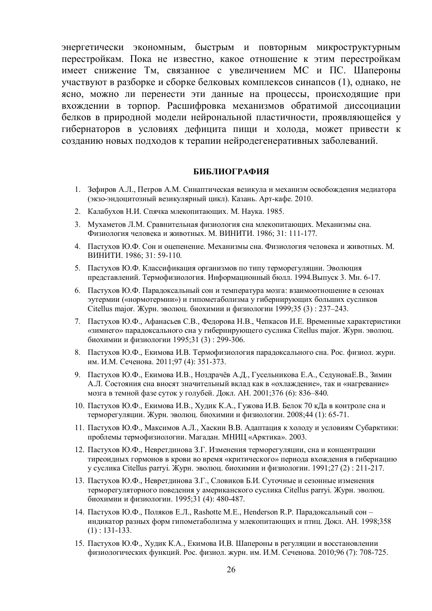энергетически экономным, быстрым и повторным микроструктурным перестройкам. Пока не известно, какое отношение к этим перестройкам имеет снижение Тм, связанное с увеличением МС и ПС. Шапероны участвуют в разборке и сборке белковых комплексов синапсов (1), однако, не ясно, можно ли перенести эти данные на процессы, происходящие при вхождении в торпор. Расшифровка механизмов обратимой диссоциации белков в природной модели нейрональной пластичности, проявляющейся у гибернаторов в условиях дефицита пищи и холода, может привести к созданию новых подходов к терапии нейродегенеративных заболеваний.

#### **БИБЛИОГРАФИЯ**

- 1. Зефиров А.Л., Петров А.М. Синаптическая везикула и механизм освобождения медиатора (экзо-эндоцитозный везикулярный цикл). Казань. Арт-кафе. 2010.
- 2. Калабухов Н.И. Спячка млекопитающих. М. Наука. 1985.
- 3. Мухаметов Л.М. Сравнительная физиология сна млекопитающих. Механизмы сна. Физиология человека и животных. М. ВИНИТИ. 1986; 31: 111-177.
- 4. Пастухов Ю.Ф. Сон и оцепенение. Механизмы сна. Физиология человека и животных. М. ВИНИТИ. 1986; 31: 59-110.
- 5. Пастухов Ю.Ф. Классификация организмов по типу терморегуляции. Эволюция представлений. Термофизиология. Информационный бюлл. 1994.Выпуск 3. Мн. 6-17.
- 6. Пастухов Ю.Ф. Парадоксальный сон и температура мозга: взаимоотношение в сезонах эутермии («нормотермии») и гипометаболизма у гибернирующих больших сусликов Citellus major. Журн. эволюц. биохимии и физиологии 1999;35 (3) : 237–243.
- 7. Пастухов Ю.Ф., Афанасьев С.В., Федорова Н.В., Чепкасов И.Е. Временные характеристики «зимнего» парадоксального сна у гибернирующего суслика Citellus major. Журн. эволюц. биохимии и физиологии 1995;31 (3) : 299-306.
- 8. Пастухов Ю.Ф., Екимова И.В. Термофизиология парадоксального сна. Рос. физиол. журн. им. И.М. Сеченова. 2011;97 (4): 351-373.
- 9. Пастухов Ю.Ф., Екимова И.В., Ноздрачёв А.Д., Гусельникова Е.А., СедуноваЕ.В., Зимин А.Л. Состояния сна вносят значительный вклад как в «охлаждение», так и «нагревание» мозга в темной фазе суток у голубей. Докл. АН. 2001;376 (6): 836–840.
- 10. Пастухов Ю.Ф., Екимова И.В., Худик К.А., Гужова И.В. Белок 70 кДа в контроле сна и терморегуляции. Журн. эволюц. биохимии и физиологии. 2008;44 (1): 65-71.
- 11. Пастухов Ю.Ф., Максимов А.Л., Хаскин В.В. Адаптация к холоду и условиям Субарктики: проблемы термофизиологии. Магадан. МНИЦ «Арктика». 2003.
- 12. Пастухов Ю.Ф., Невретдинова З.Г. Изменения терморегуляции, сна и концентрации тиреоидных гормонов в крови во время «критического» периода вхождения в гибернацию у суслика Citellus parryi. Журн. эволюц. биохимии и физиологии. 1991;27 (2) : 211-217.
- 13. Пастухов Ю.Ф., Невретдинова З.Г., Словиков Б.И. Суточные и сезонные изменения терморегуляторного поведения у американского суслика Citellus parryi. Журн. эволюц. биохимии и физиологии. 1995;31 (4): 480-487.
- 14. Пастухов Ю.Ф., Поляков Е.Л., Rashotte M.E., Henderson R.P. Парадоксальный сон индикатор разных форм гипометаболизма у млекопитающих и птиц. Докл. АН. 1998;358 (1) : 131-133.
- 15. Пастухов Ю.Ф., Худик К.А., Екимова И.В. Шапероны в регуляции и восстановлении физиологических функций. Рос. физиол. журн. им. И.М. Сеченова. 2010;96 (7): 708-725.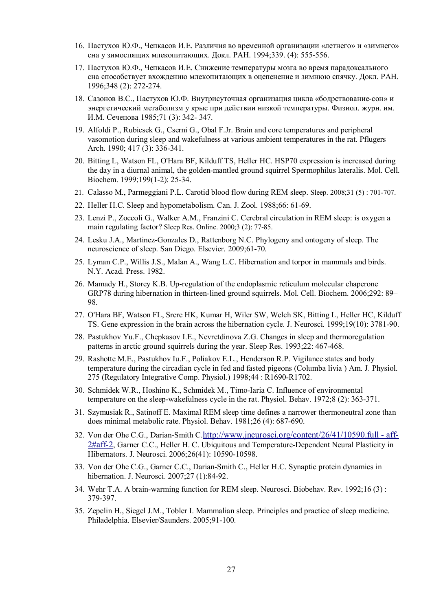- 16. Пастухов Ю.Ф., Чепкасов И.Е. Различия во временной организации «летнего» и «зимнего» сна у зимоспящих млекопитающих. Докл. РАН. 1994;339. (4): 555-556.
- 17. Пастухов Ю.Ф., Чепкасов И.Е. Снижение температуры мозга во время парадоксального сна способствует вхождению млекопитающих в оцепенение и зимнюю спячку. Докл. РАН. 1996;348 (2): 272-274.
- 18. Сазонов В.С., Пастухов Ю.Ф. Внутрисуточная организация цикла «бодрствование-сон» и энергетический метаболизм у крыс при действии низкой температуры. Физиол. журн. им. И.М. Сеченова 1985;71 (3): 342- 347.
- 19. Alfoldi P., Rubicsek G., Cserni G., Obal F.Jr. Brain and core temperatures and peripheral vasomotion during sleep and wakefulness at various ambient temperatures in the rat. Pflugers Arch. 1990; 417 (3): 336-341.
- 20. Bitting L, Watson FL, O'Hara BF, Kilduff TS, Heller HC. HSP70 expression is increased during the day in a diurnal animal, the golden-mantled ground squirrel Spermophilus lateralis. Mol. Cell. Biochem. 1999;199(1-2): 25-34.
- 21. Calasso M., Parmeggiani P.L. Carotid blood flow during REM sleep. Sleep. 2008;31 (5) : 701-707.
- 22. Heller H.C. Sleep and hypometabolism. Can. J. Zool. 1988;66: 61-69.
- 23. Lenzi P., Zoccoli G., Walker A.M., Franzini C. Cerebral circulation in REM sleep: is oxygen a main regulating factor? Sleep Res. Online. 2000;3 (2): 77-85.
- 24. Lesku J.A., Martinez-Gonzales D., Rattenborg N.C. Phylogeny and ontogeny of sleep. The neuroscience of sleep. San Diego. Elsevier. 2009;61-70.
- 25. Lyman C.P., Willis J.S., Malan A., Wang L.C. Hibernation and torpor in mammals and birds. N.Y. Acad. Press. 1982.
- 26. Mamady H., Storey K.B. Up-regulation of the endoplasmic reticulum molecular chaperone GRP78 during hibernation in thirteen-lined ground squirrels. Mol. Cell. Biochem. 2006;292: 89– 98.
- 27. O'Hara BF, Watson FL, Srere HK, Kumar H, Wiler SW, Welch SK, Bitting L, Heller HC, Kilduff TS. Gene expression in the brain across the hibernation cycle. J. Neurosci. 1999;19(10): 3781-90.
- 28. Pastukhov Yu.F., Chepkasov I.E., Nevretdinova Z.G. Changes in sleep and thermoregulation patterns in arctic ground squirrels during the year. Sleep Res. 1993;22: 467-468.
- 29. Rashotte M.E., Pastukhov Iu.F., Poliakov E.L., Henderson R.P. Vigilance states and body temperature during the circadian cycle in fed and fasted pigeons (Columba livia ) Am. J. Physiol. 275 (Regulatory Integrative Comp. Physiol.) 1998;44 : R1690-R1702.
- 30. Schmidek W.R., Hoshino K., Schmidek M., Timo-Iaria C. [Influence of environmental](http://www.ncbi.nlm.nih.gov/pubmed/4353054) [temperature on the sleep-wakefulness cycle in the rat.](http://www.ncbi.nlm.nih.gov/pubmed/4353054) Physiol. Behav. 1972;8 (2): 363-371.
- 31. Szymusiak R., Satinoff E. Maximal REM sleep time defines a narrower thermoneutral zone than does minimal metabolic rate. Physiol. Behav. 1981;26 (4): 687-690.
- 32. Von der Ohe C.G.[, Darian-Smith](http://www.jneurosci.org/search?author1=Corinna+Darian-Smith&sortspec=date&submit=Submit) C.[http://www.jneurosci.org/content/26/41/10590.full aff-](http://www.jneurosci.org/content/26/41/10590.full#aff-2#aff-2)2#aff-2[, Garner](http://www.jneurosci.org/search?author1=Craig+C.+Garner&sortspec=date&submit=Submit) C.C.[, Heller](http://www.jneurosci.org/search?author1=H.+Craig+Heller&sortspec=date&submit=Submit) H. C. Ubiquitous and Temperature-Dependent Neural Plasticity in Hibernators. J. Neurosci. 2006;26(41): 10590-10598.
- 33. Von der Ohe C.G., [Garner C.C.](http://www.ncbi.nlm.nih.gov/pubmed?term=%22Garner%20CC%22%5BAuthor%5D), [Darian-Smith C](http://www.ncbi.nlm.nih.gov/pubmed?term=%22Darian-Smith%20C%22%5BAuthor%5D)., Heller H.C. Synaptic protein dynamics in hibernation. J. Neurosci. 2007;27 (1):84-92.
- 34. Wehr T.A. A brain-warming function for REM sleep. Neurosci. Biobehav. Rev. 1992;16 (3) : 379-397.
- 35. Zepelin H., Siegel J.M., Tobler I. Mammalian sleep[. Principles and practice of sleep medicine.](http://www.google.ru/search?tbo=p&tbm=bks&q=+inauthor:%22Meir+H.+Kryger%22) Philadelphia. Elsevier/Saunders. 2005;91-100.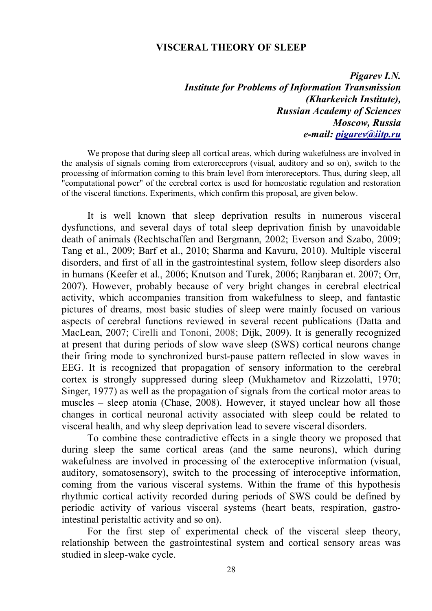#### **VISCERAL THEORY OF SLEEP**

*Pigarev I.N. Institute for Problems of Information Transmission (Kharkevich Institute), Russian Academy of Sciences Moscow, Russia e-mail: [pigarev@iitp.ru](mailto:pigarev@iitp.ru)*

We propose that during sleep all cortical areas, which during wakefulness are involved in the analysis of signals coming from exteroreceprors (visual, auditory and so on), switch to the processing of information coming to this brain level from interoreceptors. Thus, during sleep, all "computational power" of the cerebral cortex is used for homeostatic regulation and restoration of the visceral functions. Experiments, which confirm this proposal, are given below.

It is well known that sleep deprivation results in numerous visceral dysfunctions, and several days of total sleep deprivation finish by unavoidable death of animals (Rechtschaffen and Bergmann, 2002; Everson and Szabo, 2009; Tang et al., 2009; Barf et al., 2010; Sharma and Kavuru, 2010). Multiple visceral disorders, and first of all in the gastrointestinal system, follow sleep disorders also in humans (Keefer et al., 2006; Knutson and Turek, 2006; Ranjbaran et. 2007; Orr, 2007). However, probably because of very bright changes in cerebral electrical activity, which accompanies transition from wakefulness to sleep, and fantastic pictures of dreams, most basic studies of sleep were mainly focused on various aspects of cerebral functions reviewed in several recent publications (Datta and MacLean, 2007; Cirelli and Tononi, 2008; Dijk, 2009). It is generally recognized at present that during periods of slow wave sleep (SWS) cortical neurons change their firing mode to synchronized burst-pause pattern reflected in slow waves in EEG. It is recognized that propagation of sensory information to the cerebral cortex is strongly suppressed during sleep (Mukhametov and Rizzolatti, 1970; Singer, 1977) as well as the propagation of signals from the cortical motor areas to muscles – sleep atonia (Chase, 2008). However, it stayed unclear how all those changes in cortical neuronal activity associated with sleep could be related to visceral health, and why sleep deprivation lead to severe visceral disorders.

To combine these contradictive effects in a single theory we proposed that during sleep the same cortical areas (and the same neurons), which during wakefulness are involved in processing of the exteroceptive information (visual, auditory, somatosensory), switch to the processing of interoceptive information, coming from the various visceral systems. Within the frame of this hypothesis rhythmic cortical activity recorded during periods of SWS could be defined by periodic activity of various visceral systems (heart beats, respiration, gastrointestinal peristaltic activity and so on).

For the first step of experimental check of the visceral sleep theory, relationship between the gastrointestinal system and cortical sensory areas was studied in sleep-wake cycle.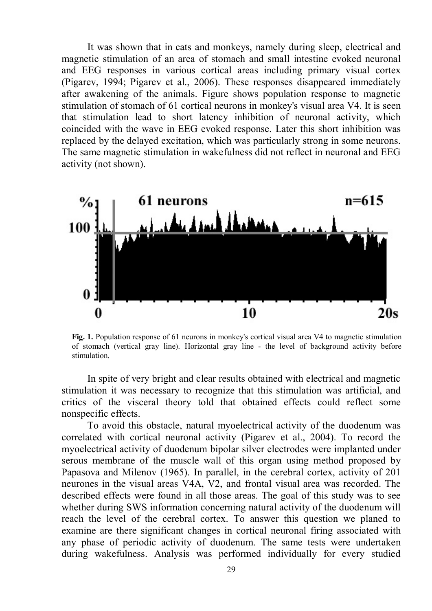It was shown that in cats and monkeys, namely during sleep, electrical and magnetic stimulation of an area of stomach and small intestine evoked neuronal and EEG responses in various cortical areas including primary visual cortex (Pigarev, 1994; Pigarev et al., 2006). These responses disappeared immediately after awakening of the animals. Figure shows population response to magnetic stimulation of stomach of 61 cortical neurons in monkey's visual area V4. It is seen that stimulation lead to short latency inhibition of neuronal activity, which coincided with the wave in EEG evoked response. Later this short inhibition was replaced by the delayed excitation, which was particularly strong in some neurons. The same magnetic stimulation in wakefulness did not reflect in neuronal and EEG activity (not shown).



**Fig. 1.** Population response of 61 neurons in monkey's cortical visual area V4 to magnetic stimulation of stomach (vertical gray line). Horizontal gray line - the level of background activity before stimulation.

In spite of very bright and clear results obtained with electrical and magnetic stimulation it was necessary to recognize that this stimulation was artificial, and critics of the visceral theory told that obtained effects could reflect some nonspecific effects.

To avoid this obstacle, natural myoelectrical activity of the duodenum was correlated with cortical neuronal activity (Pigarev et al., 2004). To record the myoelectrical activity of duodenum bipolar silver electrodes were implanted under serous membrane of the muscle wall of this organ using method proposed by Papasova and Milenov (1965). In parallel, in the cerebral cortex, activity of 201 neurones in the visual areas V4A, V2, and frontal visual area was recorded. The described effects were found in all those areas. The goal of this study was to see whether during SWS information concerning natural activity of the duodenum will reach the level of the cerebral cortex. To answer this question we planed to examine are there significant changes in cortical neuronal firing associated with any phase of periodic activity of duodenum. The same tests were undertaken during wakefulness. Analysis was performed individually for every studied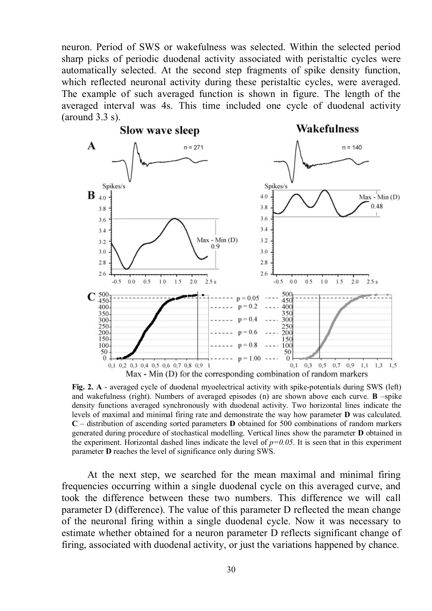neuron. Period of SWS or wakefulness was selected. Within the selected period sharp picks of periodic duodenal activity associated with peristaltic cycles were automatically selected. At the second step fragments of spike density function, which reflected neuronal activity during these peristaltic cycles, were averaged. The example of such averaged function is shown in figure. The length of the averaged interval was 4s. This time included one cycle of duodenal activity (around 3.3 s).



**Fig. 2. A** - averaged cycle of duodenal myoelectrical activity with spike-potentials during SWS (left) and wakefulness (right). Numbers of averaged episodes (n) are shown above each curve. **B** –spike density functions averaged synchronously with duodenal activity. Two horizontal lines indicate the levels of maximal and minimal firing rate and demonstrate the way how parameter **D** was calculated. **C** – distribution of ascending sorted parameters **D** obtained for 500 combinations of random markers generated during procedure of stochastical modelling. Vertical lines show the parameter **D** obtained in the experiment. Horizontal dashed lines indicate the level of  $p=0.05$ . It is seen that in this experiment parameter **D** reaches the level of significance only during SWS.

At the next step, we searched for the mean maximal and minimal firing frequencies occurring within a single duodenal cycle on this averaged curve, and took the difference between these two numbers. This difference we will call parameter D (difference). The value of this parameter D reflected the mean change of the neuronal firing within a single duodenal cycle. Now it was necessary to estimate whether obtained for a neuron parameter D reflects significant change of firing, associated with duodenal activity, or just the variations happened by chance.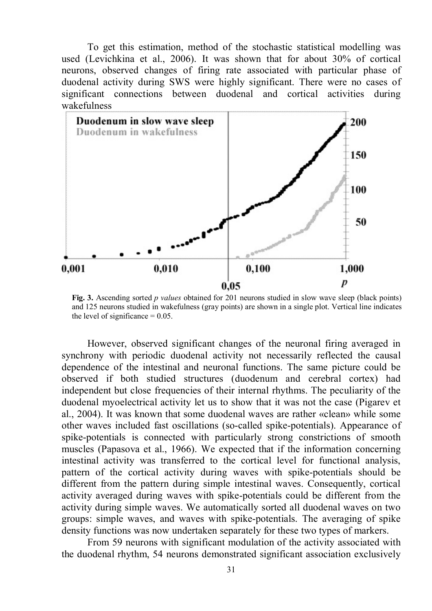To get this estimation, method of the stochastic statistical modelling was used (Levichkina et al., 2006). It was shown that for about 30% of cortical neurons, observed changes of firing rate associated with particular phase of duodenal activity during SWS were highly significant. There were no cases of significant connections between duodenal and cortical activities during wakefulness



**Fig. 3.** Ascending sorted *p values* obtained for 201 neurons studied in slow wave sleep (black points) and 125 neurons studied in wakefulness (gray points) are shown in a single plot. Vertical line indicates the level of significance  $= 0.05$ .

However, observed significant changes of the neuronal firing averaged in synchrony with periodic duodenal activity not necessarily reflected the causal dependence of the intestinal and neuronal functions. The same picture could be observed if both studied structures (duodenum and cerebral cortex) had independent but close frequencies of their internal rhythms. The peculiarity of the duodenal myoelectrical activity let us to show that it was not the case (Pigarev et al., 2004). It was known that some duodenal waves are rather «clean» while some other waves included fast oscillations (so-called spike-potentials). Appearance of spike-potentials is connected with particularly strong constrictions of smooth muscles (Papasova et al., 1966). We expected that if the information concerning intestinal activity was transferred to the cortical level for functional analysis, pattern of the cortical activity during waves with spike-potentials should be different from the pattern during simple intestinal waves. Consequently, cortical activity averaged during waves with spike-potentials could be different from the activity during simple waves. We automatically sorted all duodenal waves on two groups: simple waves, and waves with spike-potentials. The averaging of spike density functions was now undertaken separately for these two types of markers.

From 59 neurons with significant modulation of the activity associated with the duodenal rhythm, 54 neurons demonstrated significant association exclusively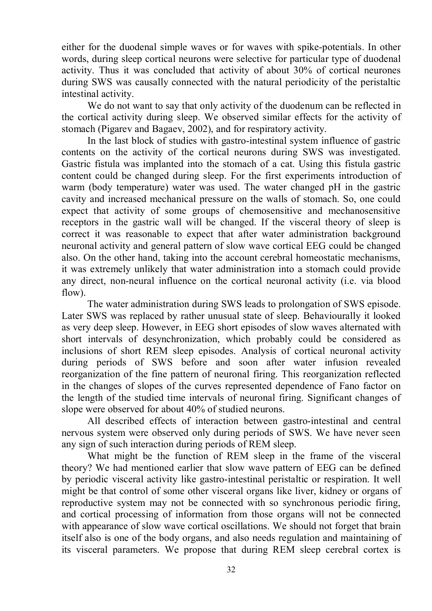either for the duodenal simple waves or for waves with spike-potentials. In other words, during sleep cortical neurons were selective for particular type of duodenal activity. Thus it was concluded that activity of about 30% of cortical neurones during SWS was causally connected with the natural periodicity of the peristaltic intestinal activity.

We do not want to say that only activity of the duodenum can be reflected in the cortical activity during sleep. We observed similar effects for the activity of stomach (Pigarev and Bagaev, 2002), and for respiratory activity.

In the last block of studies with gastro-intestinal system influence of gastric contents on the activity of the cortical neurons during SWS was investigated. Gastric fistula was implanted into the stomach of a cat. Using this fistula gastric content could be changed during sleep. For the first experiments introduction of warm (body temperature) water was used. The water changed pH in the gastric cavity and increased mechanical pressure on the walls of stomach. So, one could expect that activity of some groups of chemosensitive and mechanosensitive receptors in the gastric wall will be changed. If the visceral theory of sleep is correct it was reasonable to expect that after water administration background neuronal activity and general pattern of slow wave cortical EEG could be changed also. On the other hand, taking into the account cerebral homeostatic mechanisms, it was extremely unlikely that water administration into a stomach could provide any direct, non-neural influence on the cortical neuronal activity (i.e. via blood flow).

The water administration during SWS leads to prolongation of SWS episode. Later SWS was replaced by rather unusual state of sleep. Behaviourally it looked as very deep sleep. However, in EEG short episodes of slow waves alternated with short intervals of desynchronization, which probably could be considered as inclusions of short REM sleep episodes. Analysis of cortical neuronal activity during periods of SWS before and soon after water infusion revealed reorganization of the fine pattern of neuronal firing. This reorganization reflected in the changes of slopes of the curves represented dependence of Fano factor on the length of the studied time intervals of neuronal firing. Significant changes of slope were observed for about 40% of studied neurons.

All described effects of interaction between gastro-intestinal and central nervous system were observed only during periods of SWS. We have never seen any sign of such interaction during periods of REM sleep.

What might be the function of REM sleep in the frame of the visceral theory? We had mentioned earlier that slow wave pattern of EEG can be defined by periodic visceral activity like gastro-intestinal peristaltic or respiration. It well might be that control of some other visceral organs like liver, kidney or organs of reproductive system may not be connected with so synchronous periodic firing, and cortical processing of information from those organs will not be connected with appearance of slow wave cortical oscillations. We should not forget that brain itself also is one of the body organs, and also needs regulation and maintaining of its visceral parameters. We propose that during REM sleep cerebral cortex is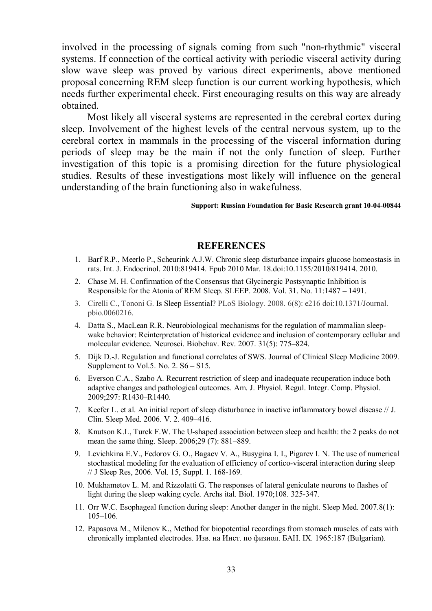involved in the processing of signals coming from such "non-rhythmic" visceral systems. If connection of the cortical activity with periodic visceral activity during slow wave sleep was proved by various direct experiments, above mentioned proposal concerning REM sleep function is our current working hypothesis, which needs further experimental check. First encouraging results on this way are already obtained.

Most likely all visceral systems are represented in the cerebral cortex during sleep. Involvement of the highest levels of the central nervous system, up to the cerebral cortex in mammals in the processing of the visceral information during periods of sleep may be the main if not the only function of sleep. Further investigation of this topic is a promising direction for the future physiological studies. Results of these investigations most likely will influence on the general understanding of the brain functioning also in wakefulness.

#### **Support: Russian Foundation for Basic Research grant 10-04-00844**

#### **REFERENCES**

- 1. Barf R.P., Meerlo P., Scheurink A.J.W. Chronic sleep disturbance impairs glucose homeostasis in rats. Int. J. Endocrinol. 2010:819414. Epub 2010 Mar. 18.doi:10.1155/2010/819414. 2010.
- 2. Chase M. H. Confirmation of the Consensus that Glycinergic Postsynaptic Inhibition is Responsible for the Atonia of REM Sleep. SLEEP. 2008. Vol. 31. No. 11:1487 – 1491.
- 3. Cirelli C., Tononi G. Is Sleep Essential? PLoS Biology. 2008. 6(8): e216 doi:10.1371/Journal. pbio.0060216.
- 4. Datta S., MacLean R.R. Neurobiological mechanisms for the regulation of mammalian sleepwake behavior: Reinterpretation of historical evidence and inclusion of contemporary cellular and molecular evidence. Neurosci. Biobehav. Rev. 2007. 31(5): 775–824.
- 5. Dijk D.-J. Regulation and functional correlates of SWS. Journal of Clinical Sleep Medicine 2009. Supplement to Vol.5. No.  $2. S6 - S15$ .
- 6. Everson C.A., Szabo A. Recurrent restriction of sleep and inadequate recuperation induce both adaptive changes and pathological outcomes. Am. J. Physiol. Regul. Integr. Comp. Physiol. 2009;297: R1430–R1440.
- 7. Keefer L. et al. An initial report of sleep disturbance in inactive inflammatory bowel disease // J. Clin. Sleep Med. 2006. V. 2. 409–416.
- 8. Knutson K.L, Turek F.W. The U-shaped association between sleep and health: the 2 peaks do not mean the same thing. Sleep. 2006;29 (7): 881–889.
- 9. Levichkina E.V., Fedorov G. O., Bagaev V. A., Busygina I. I., Pigarev I. N. The use of numerical stochastical modeling for the evaluation of efficiency of cortico-visceral interaction during sleep // J Sleep Res, 2006. Vol. 15, Suppl. 1. 168-169.
- 10. Mukhametov L. M. and Rizzolatti G. The responses of lateral geniculate neurons to flashes of light during the sleep waking cycle. Archs ital. Biol. 1970;108. 325-347.
- 11. Orr W.C. Esophageal function during sleep: Another danger in the night. Sleep Med. 2007.8(1): 105–106.
- 12. Papasova M., Milenov K., Method for biopotential recordings from stomach muscles of cats with chronically implanted electrodes. Изв. на Инст. по физиол. БАН. IX. 1965:187 (Bulgarian).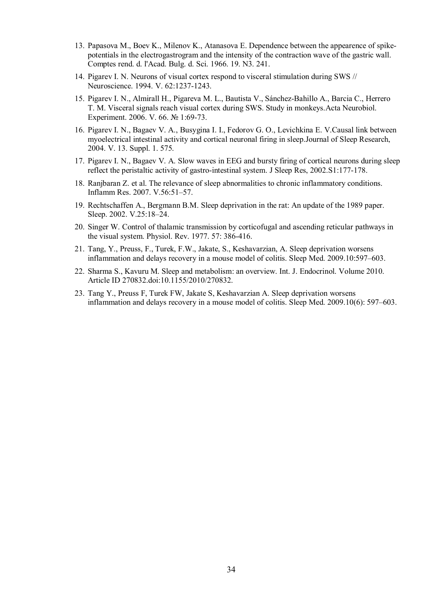- 13. Papasova M., Boev K., Milenov K., Atanasova E. Dependence between the appearence of spikepotentials in the electrogastrogram and the intensity of the contraction wave of the gastric wall. Comptes rend. d. l'Acad. Bulg. d. Sci. 1966. 19. N3. 241.
- 14. Pigarev I. N. Neurons of visual cortex respond to visceral stimulation during SWS // Neuroscience. 1994. V. 62:1237-1243.
- 15. Pigarev I. N., Almirall H., Pigareva M. L., Bautista V., Sánchez-Bahillo A., Barcia C., Herrero T. M. Visceral signals reach visual cortex during SWS. Study in monkeys.Acta Neurobiol. Experiment. 2006. V. 66. № 1:69-73.
- 16. Pigarev I. N., Bagaev V. A., Busygina I. I., Fedorov G. O., Levichkina E. V.Causal link between myoelectrical intestinal activity and cortical neuronal firing in sleep.Journal of Sleep Research, 2004. V. 13. Suppl. 1. 575.
- 17. Pigarev I. N., Bagaev V. A. Slow waves in EEG and bursty firing of cortical neurons during sleep reflect the peristaltic activity of gastro-intestinal system. J Sleep Res, 2002.S1:177-178.
- 18. Ranjbaran Z. et al. The relevance of sleep abnormalities to chronic inflammatory conditions. Inflamm Res. 2007. V.56:51–57.
- 19. Rechtschaffen A., Bergmann B.M. Sleep deprivation in the rat: An update of the 1989 paper. Sleep. 2002. V.25:18–24.
- 20. Singer W. Control of thalamic transmission by corticofugal and ascending reticular pathways in the visual system. Physiol. Rev. 1977. 57: 386-416.
- 21. Tang, Y., Preuss, F., Turek, F.W., Jakate, S., Keshavarzian, A. Sleep deprivation worsens inflammation and delays recovery in a mouse model of colitis. Sleep Med. 2009.10:597–603.
- 22. Sharma S., Kavuru M. Sleep and metabolism: an overview. Int. J. Endocrinol. Volume 2010. Article ID 270832.doi:10.1155/2010/270832.
- 23. Tang Y., Preuss F, Turek FW, Jakate S, Keshavarzian A. Sleep deprivation worsens inflammation and delays recovery in a mouse model of colitis. Sleep Med. 2009.10(6): 597–603.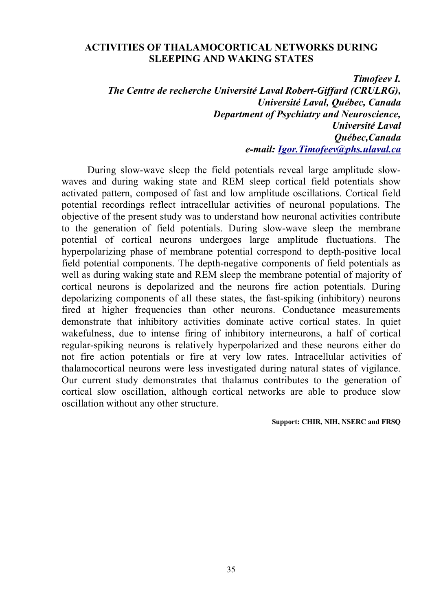### **ACTIVITIES OF THALAMOCORTICAL NETWORKS DURING SLEEPING AND WAKING STATES**

*Timofeev I. The Centre de recherche Université Laval Robert-Giffard (CRULRG), Université Laval, Québec, Canada Department of Psychiatry and Neuroscience, Université Laval Québec,Canada e-mail: [Igor.Timofeev@phs.ulaval.ca](mailto:Igor.Timofeev@phs.ulaval.ca)*

During slow-wave sleep the field potentials reveal large amplitude slowwaves and during waking state and REM sleep cortical field potentials show activated pattern, composed of fast and low amplitude oscillations. Cortical field potential recordings reflect intracellular activities of neuronal populations. The objective of the present study was to understand how neuronal activities contribute to the generation of field potentials. During slow-wave sleep the membrane potential of cortical neurons undergoes large amplitude fluctuations. The hyperpolarizing phase of membrane potential correspond to depth-positive local field potential components. The depth-negative components of field potentials as well as during waking state and REM sleep the membrane potential of majority of cortical neurons is depolarized and the neurons fire action potentials. During depolarizing components of all these states, the fast-spiking (inhibitory) neurons fired at higher frequencies than other neurons. Conductance measurements demonstrate that inhibitory activities dominate active cortical states. In quiet wakefulness, due to intense firing of inhibitory interneurons, a half of cortical regular-spiking neurons is relatively hyperpolarized and these neurons either do not fire action potentials or fire at very low rates. Intracellular activities of thalamocortical neurons were less investigated during natural states of vigilance. Our current study demonstrates that thalamus contributes to the generation of cortical slow oscillation, although cortical networks are able to produce slow oscillation without any other structure.

**Support: CHIR, NIH, NSERC and FRSQ**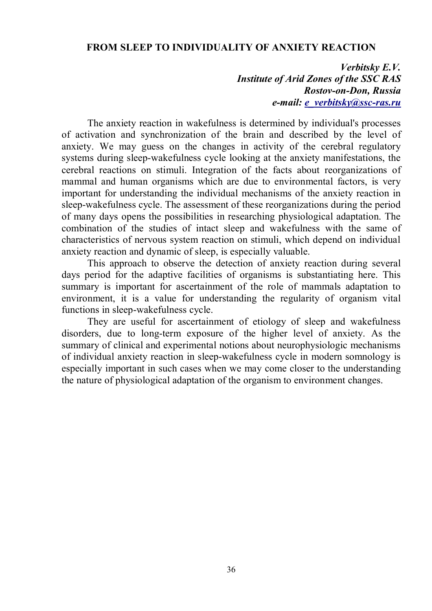### **FROM SLEEP TO INDIVIDUALITY OF ANXIETY REACTION**

*Verbitsky E.V. Institute of Arid Zones of the SSC RAS Rostov-on-Don, Russia e-mail: [e\\_verbitsky@ssc-ras.ru](mailto:e_verbitsky@ssc-ras.ru)*

The anxiety reaction in wakefulness is determined by individual's processes of activation and synchronization of the brain and described by the level of anxiety. We may guess on the changes in activity of the cerebral regulatory systems during sleep-wakefulness cycle looking at the anxiety manifestations, the cerebral reactions on stimuli. Integration of the facts about reorganizations of mammal and human organisms which are due to environmental factors, is very important for understanding the individual mechanisms of the anxiety reaction in sleep-wakefulness cycle. The assessment of these reorganizations during the period of many days opens the possibilities in researching physiological adaptation. The combination of the studies of intact sleep and wakefulness with the same of characteristics of nervous system reaction on stimuli, which depend on individual anxiety reaction and dynamic of sleep, is especially valuable.

This approach to observe the detection of anxiety reaction during several days period for the adaptive facilities of organisms is substantiating here. This summary is important for ascertainment of the role of mammals adaptation to environment, it is a value for understanding the regularity of organism vital functions in sleep-wakefulness cycle.

They are useful for ascertainment of etiology of sleep and wakefulness disorders, due to long-term exposure of the higher level of anxiety. As the summary of clinical and experimental notions about neurophysiologic mechanisms of individual anxiety reaction in sleep-wakefulness cycle in modern somnology is especially important in such cases when we may come closer to the understanding the nature of physiological adaptation of the organism to environment changes.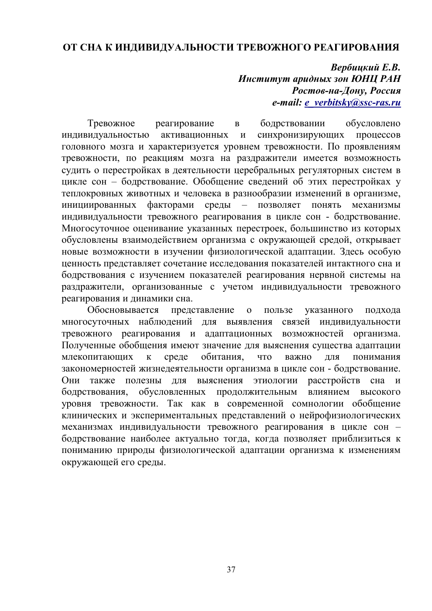## **ОТ СНА К ИНДИВИДУАЛЬНОСТИ ТРЕВОЖНОГО РЕАГИРОВАНИЯ**

*Вербицкий Е.В. Институт аридных зон ЮНЦ РАН Ростов-на-Дону, Россия e-mail: [e\\_verbitsky@ssc-ras.ru](mailto:e_verbitsky@ssc-ras.ru)*

Тревожное реагирование в бодрствовании обусловлено индивидуальностью активационных и синхронизирующих процессов головного мозга и характеризуется уровнем тревожности. По проявлениям тревожности, по реакциям мозга на раздражители имеется возможность судить о перестройках в деятельности церебральных регуляторных систем в цикле сон – бодрствование. Обобщение сведений об этих перестройках у теплокровных животных и человека в разнообразии изменений в организме, инициированных факторами среды – позволяет понять механизмы индивидуальности тревожного реагирования в цикле сон - бодрствование. Многосуточное оценивание указанных перестроек, большинство из которых обусловлены взаимодействием организма с окружающей средой, открывает новые возможности в изучении физиологической адаптации. Здесь особую ценность представляет сочетание исследования показателей интактного сна и бодрствования с изучением показателей реагирования нервной системы на раздражители, организованные с учетом индивидуальности тревожного реагирования и динамики сна.

Обосновывается представление о пользе указанного подхода многосуточных наблюдений для выявления связей индивидуальности тревожного реагирования и адаптационных возможностей организма. Полученные обобщения имеют значение для выяснения существа адаптации млекопитающих к среде обитания, что важно для понимания закономерностей жизнедеятельности организма в цикле сон - бодрствование. Они также полезны для выяснения этиологии расстройств сна и бодрствования, обусловленных продолжительным влиянием высокого уровня тревожности. Так как в современной сомнологии обобщение клинических и экспериментальных представлений о нейрофизиологических механизмах индивидуальности тревожного реагирования в цикле сон – бодрствование наиболее актуально тогда, когда позволяет приблизиться к пониманию природы физиологической адаптации организма к изменениям окружающей его среды.

37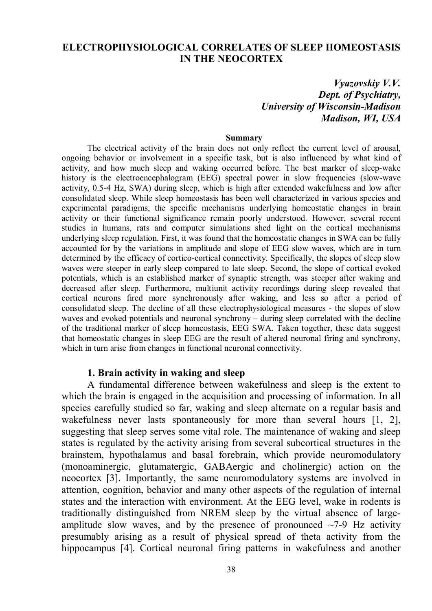#### **ELECTROPHYSIOLOGICAL CORRELATES OF SLEEP HOMEOSTASIS IN THE NEOCORTEX**

*Vyazovskiy V.V. Dept. of Psychiatry, University of Wisconsin-Madison Madison, WI, USA*

#### **Summary**

The electrical activity of the brain does not only reflect the current level of arousal, ongoing behavior or involvement in a specific task, but is also influenced by what kind of activity, and how much sleep and waking occurred before. The best marker of sleep-wake history is the electroencephalogram (EEG) spectral power in slow frequencies (slow-wave activity, 0.5-4 Hz, SWA) during sleep, which is high after extended wakefulness and low after consolidated sleep. While sleep homeostasis has been well characterized in various species and experimental paradigms, the specific mechanisms underlying homeostatic changes in brain activity or their functional significance remain poorly understood. However, several recent studies in humans, rats and computer simulations shed light on the cortical mechanisms underlying sleep regulation. First, it was found that the homeostatic changes in SWA can be fully accounted for by the variations in amplitude and slope of EEG slow waves, which are in turn determined by the efficacy of cortico-cortical connectivity. Specifically, the slopes of sleep slow waves were steeper in early sleep compared to late sleep. Second, the slope of cortical evoked potentials, which is an established marker of synaptic strength, was steeper after waking and decreased after sleep. Furthermore, multiunit activity recordings during sleep revealed that cortical neurons fired more synchronously after waking, and less so after a period of consolidated sleep. The decline of all these electrophysiological measures - the slopes of slow waves and evoked potentials and neuronal synchrony – during sleep correlated with the decline of the traditional marker of sleep homeostasis, EEG SWA. Taken together, these data suggest that homeostatic changes in sleep EEG are the result of altered neuronal firing and synchrony, which in turn arise from changes in functional neuronal connectivity.

#### **1. Brain activity in waking and sleep**

A fundamental difference between wakefulness and sleep is the extent to which the brain is engaged in the acquisition and processing of information. In all species carefully studied so far, waking and sleep alternate on a regular basis and wakefulness never lasts spontaneously for more than several hours [1, 2], suggesting that sleep serves some vital role. The maintenance of waking and sleep states is regulated by the activity arising from several subcortical structures in the brainstem, hypothalamus and basal forebrain, which provide neuromodulatory (monoaminergic, glutamatergic, GABAergic and cholinergic) action on the neocortex [3]. Importantly, the same neuromodulatory systems are involved in attention, cognition, behavior and many other aspects of the regulation of internal states and the interaction with environment. At the EEG level, wake in rodents is traditionally distinguished from NREM sleep by the virtual absence of largeamplitude slow waves, and by the presence of pronounced  $\sim$ 7-9 Hz activity presumably arising as a result of physical spread of theta activity from the hippocampus [4]. Cortical neuronal firing patterns in wakefulness and another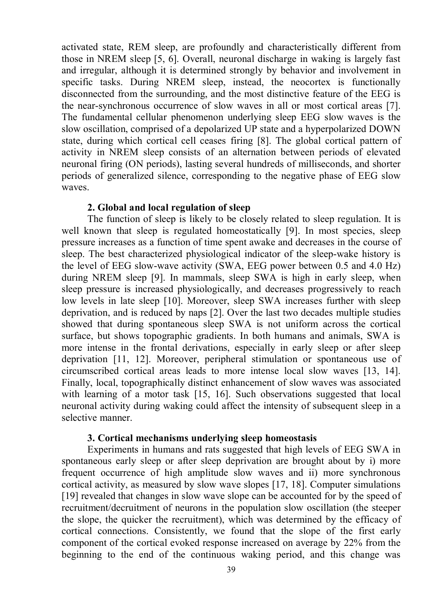activated state, REM sleep, are profoundly and characteristically different from those in NREM sleep [5, 6]. Overall, neuronal discharge in waking is largely fast and irregular, although it is determined strongly by behavior and involvement in specific tasks. During NREM sleep, instead, the neocortex is functionally disconnected from the surrounding, and the most distinctive feature of the EEG is the near-synchronous occurrence of slow waves in all or most cortical areas [7]. The fundamental cellular phenomenon underlying sleep EEG slow waves is the slow oscillation, comprised of a depolarized UP state and a hyperpolarized DOWN state, during which cortical cell ceases firing [8]. The global cortical pattern of activity in NREM sleep consists of an alternation between periods of elevated neuronal firing (ON periods), lasting several hundreds of milliseconds, and shorter periods of generalized silence, corresponding to the negative phase of EEG slow waves.

#### **2. Global and local regulation of sleep**

The function of sleep is likely to be closely related to sleep regulation. It is well known that sleep is regulated homeostatically [9]. In most species, sleep pressure increases as a function of time spent awake and decreases in the course of sleep. The best characterized physiological indicator of the sleep-wake history is the level of EEG slow-wave activity (SWA, EEG power between 0.5 and 4.0 Hz) during NREM sleep [9]. In mammals, sleep SWA is high in early sleep, when sleep pressure is increased physiologically, and decreases progressively to reach low levels in late sleep [10]. Moreover, sleep SWA increases further with sleep deprivation, and is reduced by naps [2]. Over the last two decades multiple studies showed that during spontaneous sleep SWA is not uniform across the cortical surface, but shows topographic gradients. In both humans and animals, SWA is more intense in the frontal derivations, especially in early sleep or after sleep deprivation [11, 12]. Moreover, peripheral stimulation or spontaneous use of circumscribed cortical areas leads to more intense local slow waves [13, 14]. Finally, local, topographically distinct enhancement of slow waves was associated with learning of a motor task [15, 16]. Such observations suggested that local neuronal activity during waking could affect the intensity of subsequent sleep in a selective manner.

#### **3. Cortical mechanisms underlying sleep homeostasis**

Experiments in humans and rats suggested that high levels of EEG SWA in spontaneous early sleep or after sleep deprivation are brought about by i) more frequent occurrence of high amplitude slow waves and ii) more synchronous cortical activity, as measured by slow wave slopes [17, 18]. Computer simulations [19] revealed that changes in slow wave slope can be accounted for by the speed of recruitment/decruitment of neurons in the population slow oscillation (the steeper the slope, the quicker the recruitment), which was determined by the efficacy of cortical connections. Consistently, we found that the slope of the first early component of the cortical evoked response increased on average by 22% from the beginning to the end of the continuous waking period, and this change was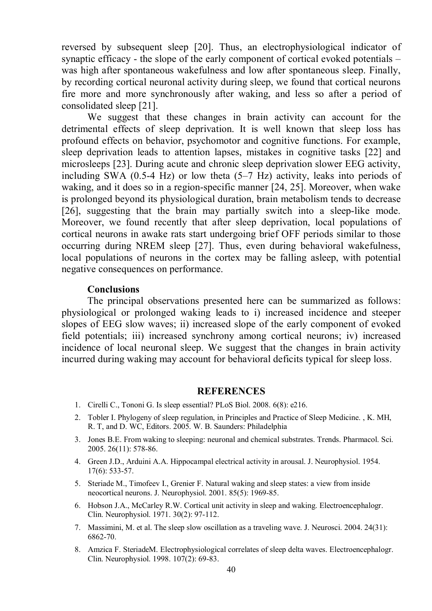reversed by subsequent sleep [20]. Thus, an electrophysiological indicator of synaptic efficacy - the slope of the early component of cortical evoked potentials – was high after spontaneous wakefulness and low after spontaneous sleep. Finally, by recording cortical neuronal activity during sleep, we found that cortical neurons fire more and more synchronously after waking, and less so after a period of consolidated sleep [21].

We suggest that these changes in brain activity can account for the detrimental effects of sleep deprivation. It is well known that sleep loss has profound effects on behavior, psychomotor and cognitive functions. For example, sleep deprivation leads to attention lapses, mistakes in cognitive tasks [22] and microsleeps [23]. During acute and chronic sleep deprivation slower EEG activity, including SWA (0.5-4 Hz) or low theta (5–7 Hz) activity, leaks into periods of waking, and it does so in a region-specific manner [24, 25]. Moreover, when wake is prolonged beyond its physiological duration, brain metabolism tends to decrease [26], suggesting that the brain may partially switch into a sleep-like mode. Moreover, we found recently that after sleep deprivation, local populations of cortical neurons in awake rats start undergoing brief OFF periods similar to those occurring during NREM sleep [27]. Thus, even during behavioral wakefulness, local populations of neurons in the cortex may be falling asleep, with potential negative consequences on performance.

#### **Conclusions**

The principal observations presented here can be summarized as follows: physiological or prolonged waking leads to i) increased incidence and steeper slopes of EEG slow waves; ii) increased slope of the early component of evoked field potentials; iii) increased synchrony among cortical neurons; iv) increased incidence of local neuronal sleep. We suggest that the changes in brain activity incurred during waking may account for behavioral deficits typical for sleep loss.

#### **REFERENCES**

- 1. Cirelli C., Tononi G. Is sleep essential? PLoS Biol. 2008. 6(8): e216.
- 2. Tobler I. Phylogeny of sleep regulation, in Principles and Practice of Sleep Medicine. , K. MH, R. T, and D. WC, Editors. 2005. W. B. Saunders: Philadelphia
- 3. Jones B.E. From waking to sleeping: neuronal and chemical substrates. Trends. Pharmacol. Sci. 2005. 26(11): 578-86.
- 4. Green J.D., Arduini A.A. Hippocampal electrical activity in arousal. J. Neurophysiol. 1954. 17(6): 533-57.
- 5. Steriade M., Timofeev I., Grenier F. Natural waking and sleep states: a view from inside neocortical neurons. J. Neurophysiol. 2001. 85(5): 1969-85.
- 6. Hobson J.A., McCarley R.W. Cortical unit activity in sleep and waking. Electroencephalogr. Clin. Neurophysiol. 1971. 30(2): 97-112.
- 7. Massimini, M. et al. The sleep slow oscillation as a traveling wave. J. Neurosci. 2004. 24(31): 6862-70.
- 8. Amzica F. SteriadeM. Electrophysiological correlates of sleep delta waves. Electroencephalogr. Clin. Neurophysiol. 1998. 107(2): 69-83.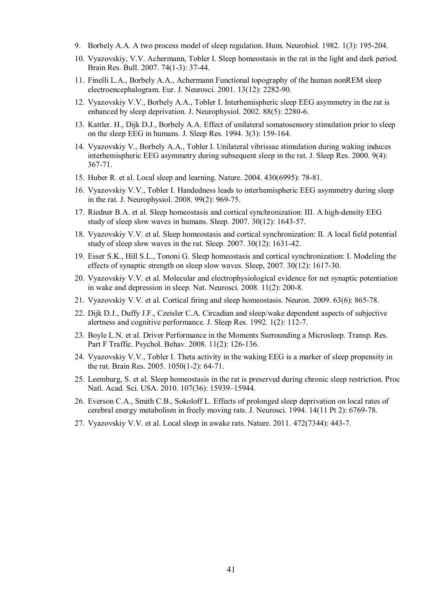- 9. Borbely A.A. A two process model of sleep regulation. Hum. Neurobiol. 1982. 1(3): 195-204.
- 10. Vyazovskiy, V.V. Achermann, Tobler I. Sleep homeostasis in the rat in the light and dark period. Brain Res. Bull. 2007. 74(1-3): 37-44.
- 11. Finelli L.A., Borbely A.A., Achermann Functional topography of the human nonREM sleep electroencephalogram. Eur. J. Neurosci. 2001. 13(12): 2282-90.
- 12. Vyazovskiy V.V., Borbely A.A., Tobler I. Interhemispheric sleep EEG asymmetry in the rat is enhanced by sleep deprivation. J. Neurophysiol. 2002. 88(5): 2280-6.
- 13. Kattler. H., Dijk D.J., Borbely A.A. Effect of unilateral somatosensory stimulation prior to sleep on the sleep EEG in humans. J. Sleep Res. 1994. 3(3): 159-164.
- 14. Vyazovskiy V., Borbely A.A., Tobler I. Unilateral vibrissae stimulation during waking induces interhemispheric EEG asymmetry during subsequent sleep in the rat. J. Sleep Res. 2000. 9(4): 367-71.
- 15. Huber R. et al. Local sleep and learning. Nature. 2004. 430(6995): 78-81.
- 16. Vyazovskiy V.V., Tobler I. Handedness leads to interhemispheric EEG asymmetry during sleep in the rat. J. Neurophysiol. 2008. 99(2): 969-75.
- 17. Riedner B.A. et al. Sleep homeostasis and cortical synchronization: III. A high-density EEG study of sleep slow waves in humans. Sleep. 2007. 30(12): 1643-57.
- 18. Vyazovskiy V.V. et al. Sleep homeostasis and cortical synchronization: II. A local field potential study of sleep slow waves in the rat. Sleep. 2007. 30(12): 1631-42.
- 19. Esser S.K., Hill S.L., Tononi G. Sleep homeostasis and cortical synchronization: I. Modeling the effects of synaptic strength on sleep slow waves. Sleep, 2007. 30(12): 1617-30.
- 20. Vyazovskiy V.V. et al. Molecular and electrophysiological evidence for net synaptic potentiation in wake and depression in sleep. Nat. Neurosci. 2008. 11(2): 200-8.
- 21. Vyazovskiy V.V. et al. Cortical firing and sleep homeostasis. Neuron. 2009. 63(6): 865-78.
- 22. Dijk D.J., Duffy J.F., Czeisler C.A. Circadian and sleep/wake dependent aspects of subjective alertness and cognitive performance. J. Sleep Res. 1992. 1(2): 112-7.
- 23. Boyle L.N. et al. Driver Performance in the Moments Surrounding a Microsleep. Transp. Res. Part F Traffic. Psychol. Behav. 2008. 11(2): 126-136.
- 24. Vyazovskiy V.V., Tobler I. Theta activity in the waking EEG is a marker of sleep propensity in the rat. Brain Res. 2005. 1050(1-2): 64-71.
- 25. Leemburg, S. et al. Sleep homeostasis in the rat is preserved during chronic sleep restriction. Proc Natl. Acad. Sci. USA. 2010. 107(36): 15939–15944.
- 26. Everson C.A., Smith C.B., Sokoloff L. Effects of prolonged sleep deprivation on local rates of cerebral energy metabolism in freely moving rats. J. Neurosci. 1994. 14(11 Pt 2): 6769-78.
- 27. Vyazovskiy V.V. et al. Local sleep in awake rats. Nature. 2011. 472(7344): 443-7.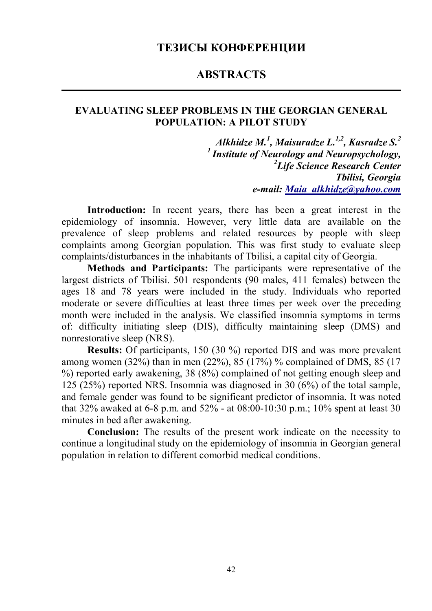# **ТЕЗИСЫ КОНФЕРЕНЦИИ**

# **ABSTRACTS**

### **EVALUATING SLEEP PROBLEMS IN THE GEORGIAN GENERAL POPULATION: A PILOT STUDY**

*Alkhidze M.<sup>1</sup> , Maisuradze L.1,2, Kasradze S.<sup>2</sup> 1 Institute of Neurology and Neuropsychology, 2 Life Science Research Center Tbilisi, Georgia e-mail: [Maia\\_alkhidze@yahoo.com](mailto:Maia_alkhidze@yahoo.com)*

**Introduction:** In recent years, there has been a great interest in the epidemiology of insomnia. However, very little data are available on the prevalence of sleep problems and related resources by people with sleep complaints among Georgian population. This was first study to evaluate sleep complaints/disturbances in the inhabitants of Tbilisi, a capital city of Georgia.

**Methods and Participants:** The participants were representative of the largest districts of Tbilisi. 501 respondents (90 males, 411 females) between the ages 18 and 78 years were included in the study. Individuals who reported moderate or severe difficulties at least three times per week over the preceding month were included in the analysis. We classified insomnia symptoms in terms of: difficulty initiating sleep (DIS), difficulty maintaining sleep (DMS) and nonrestorative sleep (NRS).

**Results:** Of participants, 150 (30 %) reported DIS and was more prevalent among women (32%) than in men (22%), 85 (17%) % complained of DMS, 85 (17 %) reported early awakening, 38 (8%) complained of not getting enough sleep and 125 (25%) reported NRS. Insomnia was diagnosed in 30 (6%) of the total sample, and female gender was found to be significant predictor of insomnia. It was noted that 32% awaked at 6-8 p.m. and 52% - at 08:00-10:30 p.m.; 10% spent at least 30 minutes in bed after awakening.

**Conclusion:** The results of the present work indicate on the necessity to continue a longitudinal study on the epidemiology of insomnia in Georgian general population in relation to different comorbid medical conditions.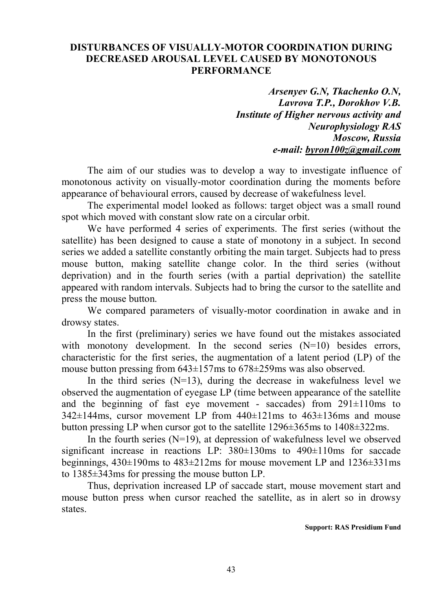# **DISTURBANCES OF VISUALLY-MOTOR COORDINATION DURING DECREASED AROUSAL LEVEL CAUSED BY MONOTONOUS PERFORMANCE**

*Arsenyev G.N, Tkachenko O.N, Lavrova T.P., Dorokhov V.B. Institute of Нigher nervous activity and Neurophysiology RAS Moscow, Russia e-mail: byron100z@gmail.com*

The aim of our studies was to develop a way to investigate influence of monotonous activity on visually-motor coordination during the moments before appearance of behavioural errors, caused by decrease of wakefulness level.

The experimental model looked as follows: target object was a small round spot which moved with constant slow rate on a circular orbit.

We have performed 4 series of experiments. The first series (without the satellite) has been designed to cause a state of monotony in a subject. In second series we added a satellite constantly orbiting the main target. Subjects had to press mouse button, making satellite change color. In the third series (without deprivation) and in the fourth series (with a partial deprivation) the satellite appeared with random intervals. Subjects had to bring the cursor to the satellite and press the mouse button.

We compared parameters of visually-motor coordination in awake and in drowsy states.

In the first (preliminary) series we have found out the mistakes associated with monotony development. In the second series (N=10) besides errors, characteristic for the first series, the augmentation of a latent period (LP) of the mouse button pressing from 643±157ms to 678±259ms was also observed.

In the third series  $(N=13)$ , during the decrease in wakefulness level we observed the augmentation of eyegase LP (time between appearance of the satellite and the beginning of fast eye movement - saccades) from  $291 \pm 110$  ms to  $342\pm144$ ms, cursor movement LP from  $440\pm121$ ms to  $463\pm136$ ms and mouse button pressing LP when cursor got to the satellite 1296±365ms to 1408±322ms.

In the fourth series  $(N=19)$ , at depression of wakefulness level we observed significant increase in reactions LP: 380±130ms to 490±110ms for saccade beginnings, 430±190ms to 483±212ms for mouse movement LP and 1236±331ms to 1385±343ms for pressing the mouse button LP.

Thus, deprivation increased LP of saccade start, mouse movement start and mouse button press when cursor reached the satellite, as in alert so in drowsy states.

**Support: RAS Presidium Fund**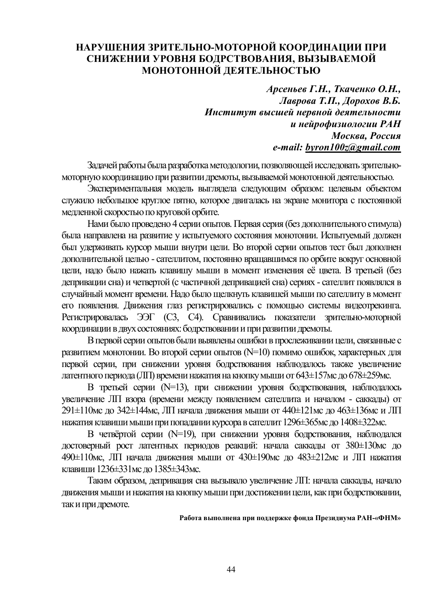# **НАРУШЕНИЯ ЗРИТЕЛЬНО-МОТОРНОЙ КООРДИНАЦИИ ПРИ СНИЖЕНИИ УРОВНЯ БОДРСТВОВАНИЯ, ВЫЗЫВАЕМОЙ МОНОТОННОЙ ДЕЯТЕЛЬНОСТЬЮ**

*Арсеньев Г.Н., Ткаченко О.Н., Лаврова Т.П., Дорохов В.Б. Институт высшей нервной деятельности и нейрофизиологии РАН Москва, Россия e-mail: byron100z@gmail.com*

Задачей работы была разработка методологии, позволяющей исследовать зрительномоторную координацию при развитии дремоты, вызываемой монотонной деятельностью.

Экспериментальная модель выглядела следующим образом: целевым объектом служило небольшое круглое пятно, которое двигалась на экране монитора с постоянной медленной скоростью по круговой орбите.

Нами было проведено 4 серии опытов. Первая серия (без дополнительного стимула) была направлена на развитие у испытуемого состояния монотонии. Испытуемый должен был удерживать курсор мыши внутри цели. Во второй серии опытов тест был дополнен дополнительной целью - сателлитом, постоянно вращавшимся по орбите вокруг основной цели, надо было нажать клавишу мыши в момент изменения её цвета. В третьей (без депривации сна) и четвертой (с частичной депривацией сна) сериях - сателлит появлялся в случайный момент времени. Надо было щелкнуть клавишей мыши по сателлиту в момент его появления. Движения глаз регистрировались с помощью системы видеотрекинга. Регистрировалась ЭЭГ (С3, С4). Сравнивались показатели зрительно-моторной координации в двух состояниях: бодрствовании и при развитии дремоты.

В первой серии опытов были выявлены ошибки в прослеживании цели, связанные с развитием монотонии. Во второй серии опытов (N=10) помимо ошибок, характерных для первой серии, при снижении уровня бодрствования наблюдалось также увеличение латентного периода (ЛП) времени нажатия на кнопку мыши от 643±157мс до 678±259мс.

В третьей серии (N=13), при снижении уровня бодрствования, наблюдалось увеличение ЛП взора (времени между появлением сателлита и началом - саккады) от 291 $\pm$ 110мс до 342 $\pm$ 144мс, ЛП начала движения мыши от 440 $\pm$ 121мс до 463 $\pm$ 136мс и ЛП нажатия клавиши мыши при попадании курсора в сателлит 1296±365мс до 1408±322мс.

В четвёртой серии (N=19), при снижении уровня бодрствования, наблюдался достоверный рост латентных периодов реакций: начала саккады от 380±130мс до 490±110мс, ЛП начала движения мыши от 430±190мс до 483±212мс и ЛП нажатия клавиши 1236±331мс до 1385±343мс.

Таким образом, депривация сна вызывало увеличение ЛП: начала саккады, начало движения мыши и нажатия на кнопку мыши при достижении цели, как при бодрствовании, так и при дремоте.

**Работа выполнена при поддержке фонда Президиума РАН-«ФНМ»**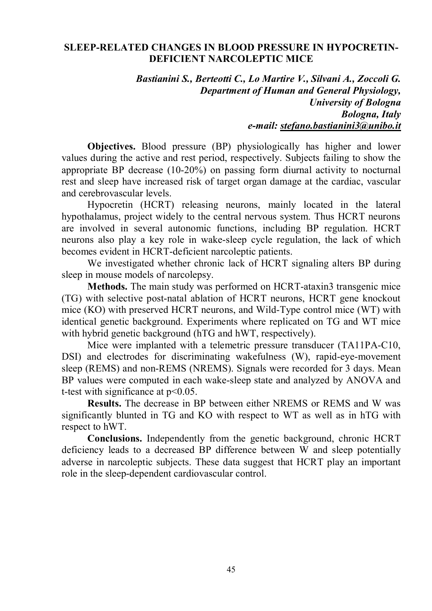#### **SLEEP-RELATED CHANGES IN BLOOD PRESSURE IN HYPOCRETIN-DEFICIENT NARCOLEPTIC MICE**

*Bastianini S., Berteotti C., Lo Martire V., Silvani A., Zoccoli G. Department of Human and General Physiology, University of Bologna Bologna, Italy e-mail: [stefano.bastianini3@unibo.it](mailto:stefano.bastianini3@unibo.it)*

**Objectives.** Blood pressure (BP) physiologically has higher and lower values during the active and rest period, respectively. Subjects failing to show the appropriate BP decrease (10-20%) on passing form diurnal activity to nocturnal rest and sleep have increased risk of target organ damage at the cardiac, vascular and cerebrovascular levels.

Hypocretin (HCRT) releasing neurons, mainly located in the lateral hypothalamus, project widely to the central nervous system. Thus HCRT neurons are involved in several autonomic functions, including BP regulation. HCRT neurons also play a key role in wake-sleep cycle regulation, the lack of which becomes evident in HCRT-deficient narcoleptic patients.

We investigated whether chronic lack of HCRT signaling alters BP during sleep in mouse models of narcolepsy.

**Methods.** The main study was performed on HCRT-ataxin3 transgenic mice (TG) with selective post-natal ablation of HCRT neurons, HCRT gene knockout mice (KO) with preserved HCRT neurons, and Wild-Type control mice (WT) with identical genetic background. Experiments where replicated on TG and WT mice with hybrid genetic background (hTG and hWT, respectively).

Mice were implanted with a telemetric pressure transducer (TA11PA-C10, DSI) and electrodes for discriminating wakefulness (W), rapid-eye-movement sleep (REMS) and non-REMS (NREMS). Signals were recorded for 3 days. Mean BP values were computed in each wake-sleep state and analyzed by ANOVA and t-test with significance at  $p<0.05$ .

**Results.** The decrease in BP between either NREMS or REMS and W was significantly blunted in TG and KO with respect to WT as well as in hTG with respect to hWT.

**Conclusions.** Independently from the genetic background, chronic HCRT deficiency leads to a decreased BP difference between W and sleep potentially adverse in narcoleptic subjects. These data suggest that HCRT play an important role in the sleep-dependent cardiovascular control.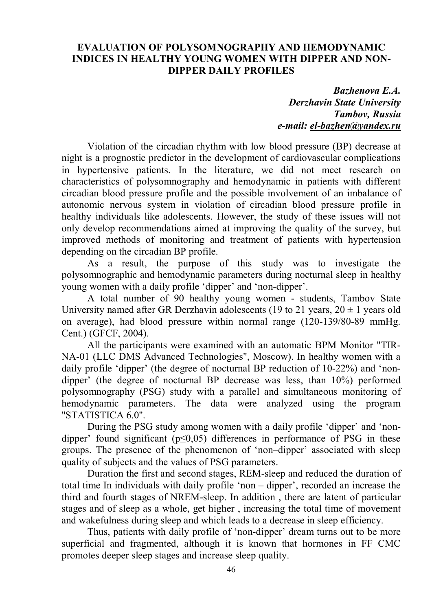## **EVALUATION OF POLYSOMNOGRAPHY AND HEMODYNAMIC INDICES IN HEALTHY YOUNG WOMEN WITH DIPPER AND NON-DIPPER DAILY PROFILES**

*Bazhenova E.A. Derzhavin State University Tambov, Russia e-mail: el-bazhen@yandex.ru*

Violation of the circadian rhythm with low blood pressure (BP) decrease at night is a prognostic predictor in the development of cardiovascular complications in hypertensive patients. In the literature, we did not meet research on characteristics of polysomnography and hemodynamic in patients with different circadian blood pressure profile and the possible involvement of an imbalance of autonomic nervous system in violation of circadian blood pressure profile in healthy individuals like adolescents. However, the study of these issues will not only develop recommendations aimed at improving the quality of the survey, but improved methods of monitoring and treatment of patients with hypertension depending on the circadian BP profile.

As a result, the purpose of this study was to investigate the polysomnographic and hemodynamic parameters during nocturnal sleep in healthy young women with a daily profile 'dipper' and 'non-dipper'.

A total number of 90 healthy young women - students, Tambov State University named after GR Derzhavin adolescents (19 to 21 years,  $20 \pm 1$  years old on average), had blood pressure within normal range (120-139/80-89 mmHg. Cent.) (GFCF, 2004).

All the participants were examined with an automatic BPM Monitor "TIR-NA-01 (LLC DMS Advanced Technologies", Moscow). In healthy women with a daily profile 'dipper' (the degree of nocturnal BP reduction of 10-22%) and 'nondipper' (the degree of nocturnal BP decrease was less, than 10%) performed polysomnography (PSG) study with a parallel and simultaneous monitoring of hemodynamic parameters. The data were analyzed using the program "STATISTICA 6.0".

During the PSG study among women with a daily profile 'dipper' and 'nondipper' found significant ( $p \le 0.05$ ) differences in performance of PSG in these groups. The presence of the phenomenon of 'non–dipper' associated with sleep quality of subjects and the values of PSG parameters.

Duration the first and second stages, REM-sleep and reduced the duration of total time In individuals with daily profile 'non – dipper', recorded an increase the third and fourth stages of NREM-sleep. In addition , there are latent of particular stages and of sleep as a whole, get higher , increasing the total time of movement and wakefulness during sleep and which leads to a decrease in sleep efficiency.

Thus, patients with daily profile of 'non-dipper' dream turns out to be more superficial and fragmented, although it is known that hormones in FF CMC promotes deeper sleep stages and increase sleep quality.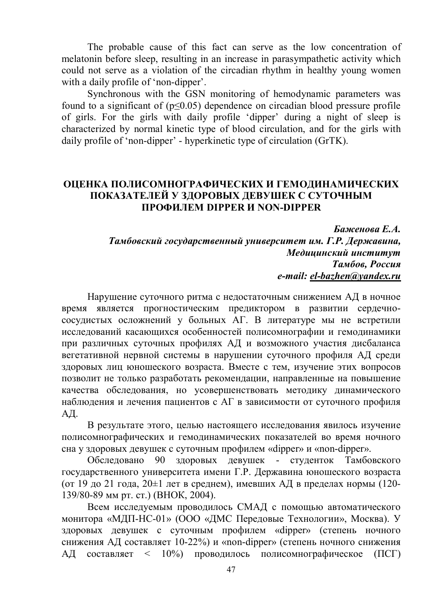The probable cause of this fact can serve as the low concentration of melatonin before sleep, resulting in an increase in parasympathetic activity which could not serve as a violation of the circadian rhythm in healthy young women with a daily profile of 'non-dipper'.

Synchronous with the GSN monitoring of hemodynamic parameters was found to a significant of ( $p \leq 0.05$ ) dependence on circadian blood pressure profile of girls. For the girls with daily profile 'dipper' during a night of sleep is characterized by normal kinetic type of blood circulation, and for the girls with daily profile of 'non-dipper' - hyperkinetic type of circulation (GrTK).

# **ОЦЕНКА ПОЛИСОМНОГРАФИЧЕСКИХ И ГЕМОДИНАМИЧЕСКИХ ПОКАЗАТЕЛЕЙ У ЗДОРОВЫХ ДЕВУШЕК С СУТОЧНЫМ ПРОФИЛЕМ DIPPER И NON-DIPPER**

# *Баженова Е.А. Тамбовский государственный университет им. Г.Р. Державина, Медицинский институт Тамбов, Россия e-mail: el-bazhen@yandex.ru*

Нарушение суточного ритма с недостаточным снижением АД в ночное время является прогностическим предиктором в развитии сердечнососудистых осложнений у больных АГ. В литературе мы не встретили исследований касающихся особенностей полисомнографии и гемодинамики при различных суточных профилях АД и возможного участия дисбаланса вегетативной нервной системы в нарушении суточного профиля АД среди здоровых лиц юношеского возраста. Вместе с тем, изучение этих вопросов позволит не только разработать рекомендации, направленные на повышение качества обследования, но усовершенствовать методику динамического наблюдения и лечения пациентов с АГ в зависимости от суточного профиля АД.

В результате этого, целью настоящего исследования явилось изучение полисомнографических и гемодинамических показателей во время ночного сна у здоровых девушек с суточным профилем «dipper» и «non-dipper».

Обследовано 90 здоровых девушек - студенток Тамбовского государственного университета имени Г.Р. Державина юношеского возраста (от 19 до 21 года, 20±1 лет в среднем), имевших АД в пределах нормы (120- 139/80-89 мм рт. ст.) (ВНОК, 2004).

Всем исследуемым проводилось СМАД с помощью автоматического монитора «МДП-НС-01» (ООО «ДМС Передовые Технологии», Москва). У здоровых девушек с суточным профилем «dipper» (степень ночного снижения АД составляет 10-22%) и «non-dipper» (степень ночного снижения АД составляет < 10%) проводилось полисомнографическое (ПСГ)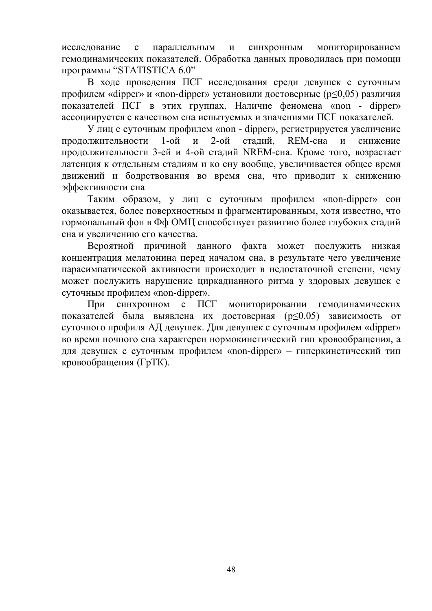исследование с параллельным и синхронным мониторированием гемодинамических показателей. Обработка данных проводилась при помощи программы "STATISTICA 6.0"

В ходе проведения ПСГ исследования среди девушек с суточным профилем «dipper» и «non-dipper» установили достоверные ( $p \le 0.05$ ) различия показателей ПСГ в этих группах. Наличие феномена «non - dipper» ассоциируется с качеством сна испытуемых и значениями ПСГ показателей.

У лиц с суточным профилем «non - dipper», регистрируется увеличение продолжительности 1-ой и 2-ой стадий, REM-сна и снижение продолжительности 3-ей и 4-ой стадий NREM-сна. Кроме того, возрастает латенция к отдельным стадиям и ко сну вообще, увеличивается общее время движений и бодрствования во время сна, что приводит к снижению эффективности сна

Таким образом, у лиц с суточным профилем «non-dipper» сон оказывается, более поверхностным и фрагментированным, хотя известно, что гормональный фон в Фф ОМЦ способствует развитию более глубоких стадий сна и увеличению его качества.

Вероятной причиной данного факта может послужить низкая концентрация мелатонина перед началом сна, в результате чего увеличение парасимпатической активности происходит в недостаточной степени, чему может послужить нарушение циркадианного ритма у здоровых девушек с суточным профилем «non-dipper».

При синхронном с ПСГ мониторировании гемодинамических показателей была выявлена их достоверная (р≤0.05) зависимость от суточного профиля АД девушек. Для девушек с суточным профилем «dipper» во время ночного сна характерен нормокинетический тип кровообращения, а для девушек с суточным профилем «non-dipper» – гиперкинетический тип кровообращения (ГрТК).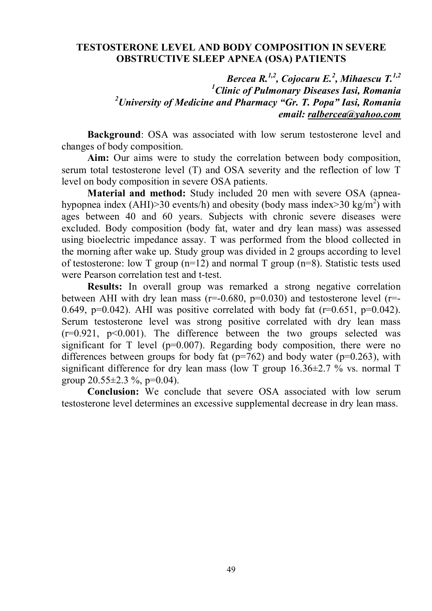#### **TESTOSTERONE LEVEL AND BODY COMPOSITION IN SEVERE OBSTRUCTIVE SLEEP APNEA (OSA) PATIENTS**

*Bercea R.1,2, Cojocaru E.<sup>2</sup> , Mihaescu T.1,2 <sup>1</sup>Clinic of Pulmonary Diseases Iasi, Romania <sup>2</sup>University of Medicine and Pharmacy "Gr. T. Popa" Iasi, Romania email: ralbercea@yahoo.com*

**Background**: OSA was associated with low serum testosterone level and changes of body composition.

**Aim:** Our aims were to study the correlation between body composition, serum total testosterone level (T) and OSA severity and the reflection of low T level on body composition in severe OSA patients.

**Material and method:** Study included 20 men with severe OSA (apneahypopnea index (AHI)>30 events/h) and obesity (body mass index>30 kg/m<sup>2</sup>) with ages between 40 and 60 years. Subjects with chronic severe diseases were excluded. Body composition (body fat, water and dry lean mass) was assessed using bioelectric impedance assay. T was performed from the blood collected in the morning after wake up. Study group was divided in 2 groups according to level of testosterone: low T group  $(n=12)$  and normal T group  $(n=8)$ . Statistic tests used were Pearson correlation test and t-test.

**Results:** In overall group was remarked a strong negative correlation between AHI with dry lean mass ( $r=0.680$ ,  $p=0.030$ ) and testosterone level ( $r=$ -0.649,  $p=0.042$ ). AHI was positive correlated with body fat ( $r=0.651$ ,  $p=0.042$ ). Serum testosterone level was strong positive correlated with dry lean mass  $(r=0.921, p<0.001)$ . The difference between the two groups selected was significant for T level ( $p=0.007$ ). Regarding body composition, there were no differences between groups for body fat  $(p=762)$  and body water  $(p=0.263)$ , with significant difference for dry lean mass (low T group  $16.36\pm2.7$  % vs. normal T group  $20.55\pm2.3$  %, p=0.04).

**Conclusion:** We conclude that severe OSA associated with low serum testosterone level determines an excessive supplemental decrease in dry lean mass.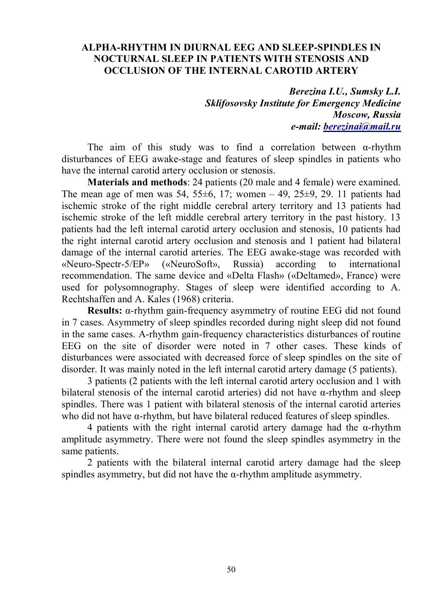# **ALPHA-RHYTHM IN DIURNAL EEG AND SLEEP-SPINDLES IN NOCTURNAL SLEEP IN PATIENTS WITH STENOSIS AND OCCLUSION OF THE INTERNAL CAROTID ARTERY**

*Berezina I.U., Sumsky L.I. Sklifosovsky Institute for Emergency Medicine Moscow, Russia e-mail: [berezinai@mail.ru](mailto:berezinai@mail.ru)*

The aim of this study was to find a correlation between  $\alpha$ -rhythm disturbances of EEG awake-stage and features of sleep spindles in patients who have the internal carotid artery occlusion or stenosis.

**Materials and methods**: 24 patients (20 male and 4 female) were examined. The mean age of men was 54, 55 $\pm$ 6, 17; women – 49, 25 $\pm$ 9, 29. 11 patients had ischemic stroke of the right middle cerebral artery territory and 13 patients had ischemic stroke of the left middle cerebral artery territory in the past history. 13 patients had the left internal carotid artery occlusion and stenosis, 10 patients had the right internal carotid artery occlusion and stenosis and 1 patient had bilateral damage of the internal carotid arteries. The EEG awake-stage was recorded with «Neuro-Spectr-5/EP» («NeuroSoft», Russia) according to international recommendation. The same device and «Delta Flash» («Deltamed», France) were used for polysomnography. Stages of sleep were identified according to A. Rechtshaffen and A. Kales (1968) criteria.

**Results:** α-rhythm gain-frequency asymmetry of routine EEG did not found in 7 cases. Asymmetry of sleep spindles recorded during night sleep did not found in the same cases. Α-rhythm gain-frequency characteristics disturbances of routine EEG on the site of disorder were noted in 7 other cases. These kinds of disturbances were associated with decreased force of sleep spindles on the site of disorder. It was mainly noted in the left internal carotid artery damage (5 patients).

3 patients (2 patients with the left internal carotid artery occlusion and 1 with bilateral stenosis of the internal carotid arteries) did not have α-rhythm and sleep spindles. There was 1 patient with bilateral stenosis of the internal carotid arteries who did not have  $\alpha$ -rhythm, but have bilateral reduced features of sleep spindles.

4 patients with the right internal carotid artery damage had the α-rhythm amplitude asymmetry. There were not found the sleep spindles asymmetry in the same patients.

2 patients with the bilateral internal carotid artery damage had the sleep spindles asymmetry, but did not have the  $\alpha$ -rhythm amplitude asymmetry.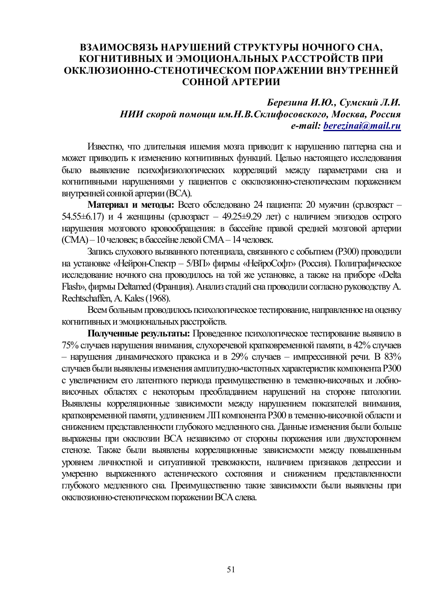# **ВЗАИМОСВЯЗЬ НАРУШЕНИЙ СТРУКТУРЫ НОЧНОГО СНА, КОГНИТИВНЫХ И ЭМОЦИОНАЛЬНЫХ РАССТРОЙСТВ ПРИ ОККЛЮЗИОННО-СТЕНОТИЧЕСКОМ ПОРАЖЕНИИ ВНУТРЕННЕЙ СОННОЙ АРТЕРИИ**

### *Березина И.Ю., Сумский Л.И. НИИ скорой помощи им.Н.В.Склифосовского, Москва, Россия e-mail: [berezinai@mail.ru](mailto:berezinai@mail.ru)*

Известно, что длительная ишемия мозга приводит к нарушению паттерна сна и может приводить к изменению когнитивных функций. Целью настоящего исследования было выявление психофизиологических корреляций между параметрами сна и когнитивными нарушениями у пациентов с окклюзионно-стенотическим поражением внутренней сонной артерии (ВСА).

**Материал и методы:** Всего обследовано 24 пациента: 20 мужчин (ср.возраст – 54.55±6.17) и 4 женщины (ср.возраст – 49.25±9.29 лет) с наличием эпизодов острого нарушения мозгового кровообращения: в бассейне правой средней мозговой артерии (СМА) – 10 человек; в бассейне левой СМА – 14 человек.

Запись слухового вызванного потенциала, связанного с событием (Р300) проводили на установке «Нейрон-Спектр – 5/ВП» фирмы «НейроСофт» (Россия). Полиграфическое исследование ночного сна проводилось на той же установке, а также на приборе «Delta Flash», фирмы Deltamed (Франция). Анализ стадий сна проводили согласно руководству А. Rechtschaffen, А. Kales (1968).

Всем больным проводилось психологическое тестирование, направленное на оценку когнитивных и эмоциональных расстройств.

**Полученные результаты:** Проведенное психологическое тестирование выявило в 75% случаев нарушения внимания, слухоречевой кратковременной памяти, в 42% случаев – нарушения динамического праксиса и в 29% случаев – импрессивной речи. В 83% случаев были выявлены изменения амплитудно-частотных характеристик компонента Р300 с увеличением его латентного периода преимущественно в теменно-височных и лобновисочных областях с некоторым преобладанием нарушений на стороне патологии. Выявлены корреляционные зависимости между нарушением показателей внимания, кратковременной памяти, удлинением ЛП компонента Р300 в теменно-височной области и снижением представленности глубокого медленного сна. Данные изменения были больше выражены при окклюзии ВСА независимо от стороны поражения или двухстороннем стенозе. Также были выявлены корреляционные зависисмости между повышенным уровнем личностной и ситуативной тревожности, наличием признаков депрессии и умеренно выраженного астенического состояния и снижением представленности глубокого медленного сна. Преимущественно такие зависимости были выявлены при окклюзионно-стенотическом поражении ВСА слева.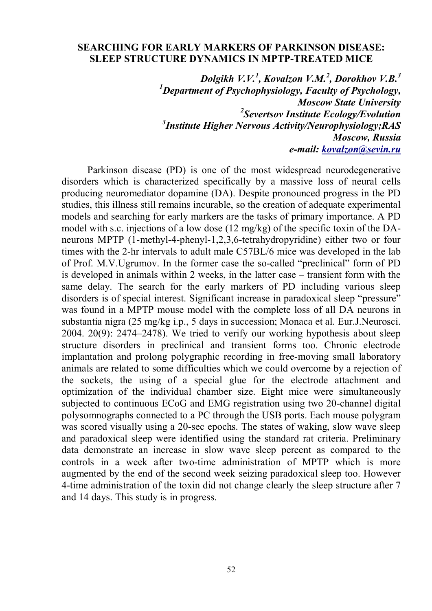#### **SEARCHING FOR EARLY MARKERS OF PARKINSON DISEASE: SLEEP STRUCTURE DYNAMICS IN MPTP-TREATED MICE**

*Dolgikh V.V.<sup>1</sup> , Kovalzon V.M.<sup>2</sup> , Dorokhov V.B.<sup>3</sup> <sup>1</sup>Department of Psychophysiology, Faculty of Psychology, Moscow State University 2 Severtsov Institute Ecology/Evolution 3 Institute Higher Nervous Activity/Neurophysiology;RAS Moscow, Russia e-mail: [kovalzon@sevin.ru](mailto:kovalzon@sevin.ru)*

Parkinson disease (PD) is one of the most widespread neurodegenerative disorders which is characterized specifically by a massive loss of neural cells producing neuromediator dopamine (DA). Despite pronounced progress in the PD studies, this illness still remains incurable, so the creation of adequate experimental models and searching for early markers are the tasks of primary importance. A PD model with s.c. injections of a low dose (12 mg/kg) of the specific toxin of the DAneurons MPTP (1-methyl-4-phenyl-1,2,3,6-tetrahydropyridine) either two or four times with the 2-hr intervals to adult male С57BL/6 mice was developed in the lab of Prof. M.V.Ugrumov. In the former case the so-called "preclinical" form of PD is developed in animals within 2 weeks, in the latter case – transient form with the same delay. The search for the early markers of PD including various sleep disorders is of special interest. Significant increase in paradoxical sleep "pressure" was found in a MPTP mouse model with the complete loss of all DA neurons in substantia nigra (25 mg/kg i.p., 5 days in succession; Monaca et al. Eur.J.Neurosci. 2004. 20(9): 2474–2478). We tried to verify our working hypothesis about sleep structure disorders in preclinical and transient forms too. Chronic electrode implantation and prolong polygraphic recording in free-moving small laboratory animals are related to some difficulties which we could overcome by a rejection of the sockets, the using of a special glue for the electrode attachment and optimization of the individual chamber size. Eight mice were simultaneously subjected to continuous ECoG and EMG registration using two 20-channel digital polysomnographs connected to a PC through the USB ports. Each mouse polygram was scored visually using a 20-sec epochs. The states of waking, slow wave sleep and paradoxical sleep were identified using the standard rat criteria. Preliminary data demonstrate an increase in slow wave sleep percent as compared to the controls in a week after two-time administration of MPTP which is more augmented by the end of the second week seizing paradoxical sleep too. However 4-time administration of the toxin did not change clearly the sleep structure after 7 and 14 days. This study is in progress.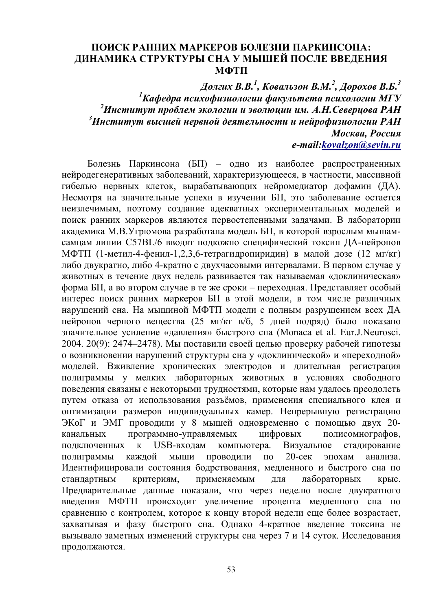#### **ПОИСК РАННИХ МАРКЕРОВ БОЛЕЗНИ ПАРКИНСОНА: ДИНАМИКА СТРУКТУРЫ СНА У МЫШЕЙ ПОСЛЕ ВВЕДЕНИЯ МФТП**

*Долгих В.В. 1 , Ковальзон В.М. 2 , Дорохов В.Б. 3 <sup>1</sup>Кафедра психофизиологии факультета психологии МГУ <sup>2</sup>Институт проблем экологии и эволюции им. А.Н.Северцова РАН <sup>3</sup>Институт высшей нервной деятельности и нейрофизиологии РАН Москва, Россия e-mail[:kovalzon@sevin.ru](mailto:kovalzon@sevin.ru)*

Болезнь Паркинсона (БП) – одно из наиболее распространенных нейродегенеративных заболеваний, характеризующееся, в частности, массивной гибелью нервных клеток, вырабатывающих нейромедиатор дофамин (ДА). Несмотря на значительные успехи в изучении БП, это заболевание остается неизлечимым, поэтому создание адекватных экспериментальных моделей и поиск ранних маркеров являются первостепенными задачами. В лаборатории академика М.В.Угрюмова разработана модель БП, в которой взрослым мышамсамцам линии С57BL/6 вводят подкожно специфический токсин ДА-нейронов МФТП (1-метил-4-фенил-1,2,3,6-тетрагидропиридин) в малой дозе (12 мг/кг) либо двукратно, либо 4-кратно с двухчасовыми интервалами. В первом случае у животных в течение двух недель развивается так называемая «доклиническая» форма БП, а во втором случае в те же сроки – переходная. Представляет особый интерес поиск ранних маркеров БП в этой модели, в том числе различных нарушений сна. На мышиной МФТП модели с полным разрушением всех ДА нейронов черного вещества (25 мг/кг в/б, 5 дней подряд) было показано значительное усиление «давления» быстрого сна (Monaca et al. Eur.J.Neurosci. 2004. 20(9): 2474–2478). Мы поставили своей целью проверку рабочей гипотезы о возникновении нарушений структуры сна у «доклинической» и «переходной» моделей. Вживление хронических электродов и длительная регистрация полиграммы у мелких лабораторных животных в условиях свободного поведения связаны с некоторыми трудностями, которые нам удалось преодолеть путем отказа от использования разъёмов, применения специального клея и оптимизации размеров индивидуальных камер. Непрерывную регистрацию ЭКоГ и ЭМГ проводили у 8 мышей одновременно с помощью двух 20 канальных программно-управляемых цифровых полисомнографов, подключенных к USB-входам компьютера. Визуальное стадирование полиграммы каждой мыши проводили по 20-сек эпохам анализа. Идентифицировали состояния бодрствования, медленного и быстрого сна по стандартным критериям, применяемым для лабораторных крыс. Предварительные данные показали, что через неделю после двукратного введения МФТП происходит увеличение процента медленного сна по сравнению с контролем, которое к концу второй недели еще более возрастает, захватывая и фазу быстрого сна. Однако 4-кратное введение токсина не вызывало заметных изменений структуры сна через 7 и 14 суток. Исследования продолжаются.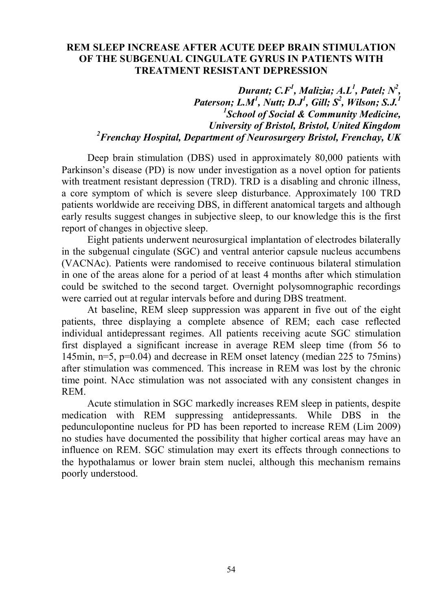# **REM SLEEP INCREASE AFTER ACUTE DEEP BRAIN STIMULATION OF THE SUBGENUAL CINGULATE GYRUS IN PATIENTS WITH TREATMENT RESISTANT DEPRESSION**

*Durant; C.F<sup>1</sup> , Malizia; A.L<sup>1</sup> , Patel; N<sup>2</sup> , Paterson; L.M<sup>1</sup> , Nutt; D.J<sup>1</sup> , Gill; S<sup>2</sup> , Wilson; S.J.<sup>1</sup> 1 School of Social & Community Medicine, University of Bristol, Bristol, United Kingdom <sup>2</sup>Frenchay Hospital, Department of Neurosurgery Bristol, Frenchay, UK*

Deep brain stimulation (DBS) used in approximately 80,000 patients with Parkinson's disease (PD) is now under investigation as a novel option for patients with treatment resistant depression (TRD). TRD is a disabling and chronic illness, a core symptom of which is severe sleep disturbance. Approximately 100 TRD patients worldwide are receiving DBS, in different anatomical targets and although early results suggest changes in subjective sleep, to our knowledge this is the first report of changes in objective sleep.

Eight patients underwent neurosurgical implantation of electrodes bilaterally in the subgenual cingulate (SGC) and ventral anterior capsule nucleus accumbens (VACNAc). Patients were randomised to receive continuous bilateral stimulation in one of the areas alone for a period of at least 4 months after which stimulation could be switched to the second target. Overnight polysomnographic recordings were carried out at regular intervals before and during DBS treatment.

At baseline, REM sleep suppression was apparent in five out of the eight patients, three displaying a complete absence of REM; each case reflected individual antidepressant regimes. All patients receiving acute SGC stimulation first displayed a significant increase in average REM sleep time (from 56 to 145min, n=5, p=0.04) and decrease in REM onset latency (median 225 to 75mins) after stimulation was commenced. This increase in REM was lost by the chronic time point. NAcc stimulation was not associated with any consistent changes in REM.

Acute stimulation in SGC markedly increases REM sleep in patients, despite medication with REM suppressing antidepressants. While DBS in the pedunculopontine nucleus for PD has been reported to increase REM (Lim 2009) no studies have documented the possibility that higher cortical areas may have an influence on REM. SGC stimulation may exert its effects through connections to the hypothalamus or lower brain stem nuclei, although this mechanism remains poorly understood.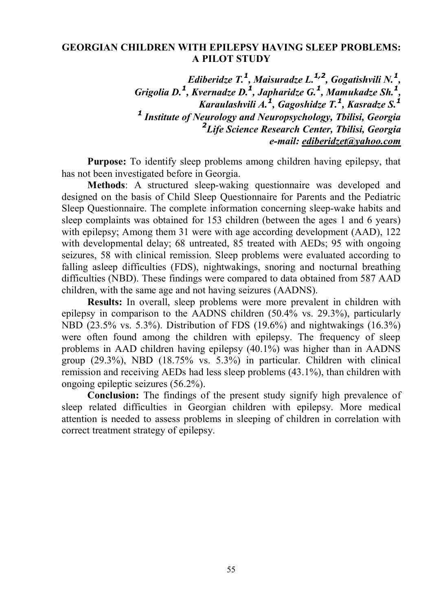#### **GEORGIAN CHILDREN WITH EPILEPSY HAVING SLEEP PROBLEMS: A PILOT STUDY**

*Ediberidze T.<sup>1</sup> , Maisuradze L.1,2, Gogatishvili N.<sup>1</sup> , Grigolia D.<sup>1</sup> , Kvernadze D.<sup>1</sup> , Japharidze G.<sup>1</sup> , Mamukadze Sh.<sup>1</sup> , Karaulashvili A.<sup>1</sup> , Gagoshidze T.<sup>1</sup> , Kasradze S.<sup>1</sup> 1 Institute of Neurology and Neuropsychology, Tbilisi, Georgia 2 Life Science Research Center, Tbilisi, Georgia e-mail: ediberidzet@yahoo.com*

**Purpose:** To identify sleep problems among children having epilepsy, that has not been investigated before in Georgia.

**Methods**: A structured sleep-waking questionnaire was developed and designed on the basis of Child Sleep Questionnaire for Parents and the Pediatric Sleep Questionnaire. The complete information concerning sleep-wake habits and sleep complaints was obtained for 153 children (between the ages 1 and 6 years) with epilepsy; Among them 31 were with age according development (AAD), 122 with developmental delay; 68 untreated, 85 treated with AEDs; 95 with ongoing seizures, 58 with clinical remission. Sleep problems were evaluated according to falling asleep difficulties (FDS), nightwakings, snoring and nocturnal breathing difficulties (NBD). These findings were compared to data obtained from 587 AAD children, with the same age and not having seizures (AADNS).

**Results:** In overall, sleep problems were more prevalent in children with epilepsy in comparison to the AADNS children (50.4% vs. 29.3%), particularly NBD (23.5% vs. 5.3%). Distribution of FDS (19.6%) and nightwakings (16.3%) were often found among the children with epilepsy. The frequency of sleep problems in AAD children having epilepsy (40.1%) was higher than in AADNS group (29.3%), NBD (18.75% vs. 5.3%) in particular. Children with clinical remission and receiving AEDs had less sleep problems (43.1%), than children with ongoing epileptic seizures (56.2%).

**Conclusion:** The findings of the present study signify high prevalence of sleep related difficulties in Georgian children with epilepsy. More medical attention is needed to assess problems in sleeping of children in correlation with correct treatment strategy of epilepsy.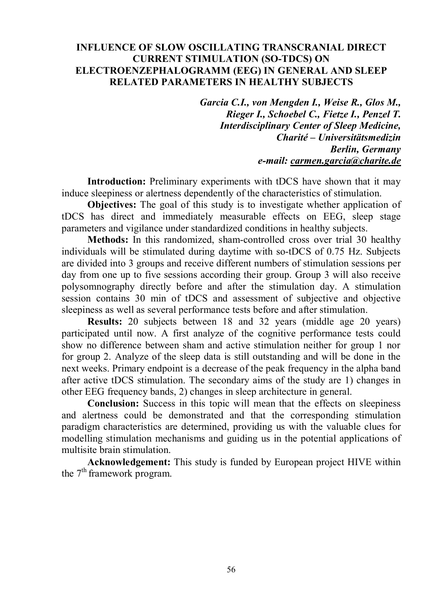# **INFLUENCE OF SLOW OSCILLATING TRANSCRANIAL DIRECT CURRENT STIMULATION (SO-TDCS) ON ELECTROENZEPHALOGRAMM (EEG) IN GENERAL AND SLEEP RELATED PARAMETERS IN HEALTHY SUBJECTS**

*Garcia C.I., von Mengden I., Weise R., Glos M., Rieger I., Schoebel C., Fietze I., Penzel T. Interdisciplinary Center of Sleep Medicine, Charité – Universitätsmedizin Berlin, Germany e-mail: [carmen.garcia@charite.de](mailto:carmen.garcia@charite.de)*

**Introduction:** Preliminary experiments with tDCS have shown that it may induce sleepiness or alertness dependently of the characteristics of stimulation.

**Objectives:** The goal of this study is to investigate whether application of tDCS has direct and immediately measurable effects on EEG, sleep stage parameters and vigilance under standardized conditions in healthy subjects.

**Methods:** In this randomized, sham-controlled cross over trial 30 healthy individuals will be stimulated during daytime with so-tDCS of 0.75 Hz. Subjects are divided into 3 groups and receive different numbers of stimulation sessions per day from one up to five sessions according their group. Group 3 will also receive polysomnography directly before and after the stimulation day. A stimulation session contains 30 min of tDCS and assessment of subjective and objective sleepiness as well as several performance tests before and after stimulation.

**Results:** 20 subjects between 18 and 32 years (middle age 20 years) participated until now. A first analyze of the cognitive performance tests could show no difference between sham and active stimulation neither for group 1 nor for group 2. Analyze of the sleep data is still outstanding and will be done in the next weeks. Primary endpoint is a decrease of the peak frequency in the alpha band after active tDCS stimulation. The secondary aims of the study are 1) changes in other EEG frequency bands, 2) changes in sleep architecture in general.

**Conclusion:** Success in this topic will mean that the effects on sleepiness and alertness could be demonstrated and that the corresponding stimulation paradigm characteristics are determined, providing us with the valuable clues for modelling stimulation mechanisms and guiding us in the potential applications of multisite brain stimulation.

**Acknowledgement:** This study is funded by European project HIVE within the  $7<sup>th</sup>$  framework program.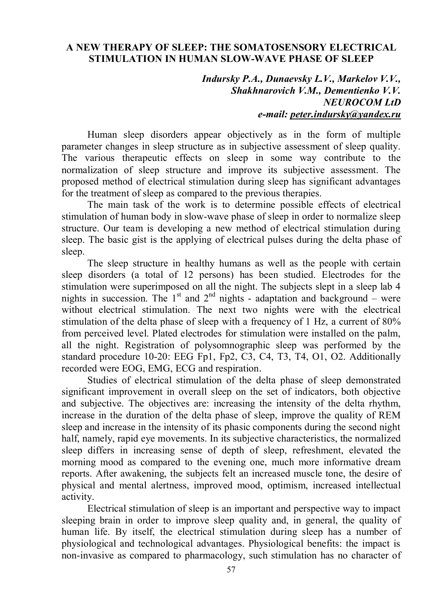## **A NEW THERAPY OF SLEEP: THE SOMATOSENSORY ELECTRICAL STIMULATION IN HUMAN SLOW-WAVE PHASE OF SLEEP**

*Indursky P.A., Dunaevsky L.V., Markelov V.V., Shakhnarovich V.M., Dementienko V.V. NEUROCOM LtD e-mail: [peter.indursky@yandex.ru](mailto:peter.indursky@yandex.ru)*

Human sleep disorders appear objectively as in the form of multiple parameter changes in sleep structure as in subjective assessment of sleep quality. The various therapeutic effects on sleep in some way contribute to the normalization of sleep structure and improve its subjective assessment. The proposed method of electrical stimulation during sleep has significant advantages for the treatment of sleep as compared to the previous therapies.

The main task of the work is to determine possible effects of electrical stimulation of human body in slow-wave phase of sleep in order to normalize sleep structure. Our team is developing a new method of electrical stimulation during sleep. The basic gist is the applying of electrical pulses during the delta phase of sleep.

The sleep structure in healthy humans as well as the people with certain sleep disorders (a total of 12 persons) has been studied. Electrodes for the stimulation were superimposed on all the night. The subjects slept in a sleep lab 4 nights in succession. The 1<sup>st</sup> and  $2<sup>nd</sup>$  nights - adaptation and background – were without electrical stimulation. The next two nights were with the electrical stimulation of the delta phase of sleep with a frequency of 1 Hz, a current of 80% from perceived level. Plated electrodes for stimulation were installed on the palm, all the night. Registration of polysomnographic sleep was performed by the standard procedure 10-20: EEG Fp1, Fp2, C3, C4, T3, T4, O1, O2. Additionally recorded were EOG, EMG, ECG and respiration.

Studies of electrical stimulation of the delta phase of sleep demonstrated significant improvement in overall sleep on the set of indicators, both objective and subjective. The objectives are: increasing the intensity of the delta rhythm, increase in the duration of the delta phase of sleep, improve the quality of REM sleep and increase in the intensity of its phasic components during the second night half, namely, rapid eye movements. In its subjective characteristics, the normalized sleep differs in increasing sense of depth of sleep, refreshment, elevated the morning mood as compared to the evening one, much more informative dream reports. After awakening, the subjects felt an increased muscle tone, the desire of physical and mental alertness, improved mood, optimism, increased intellectual activity.

Electrical stimulation of sleep is an important and perspective way to impact sleeping brain in order to improve sleep quality and, in general, the quality of human life. By itself, the electrical stimulation during sleep has a number of physiological and technological advantages. Physiological benefits: the impact is non-invasive as compared to pharmacology, such stimulation has no character of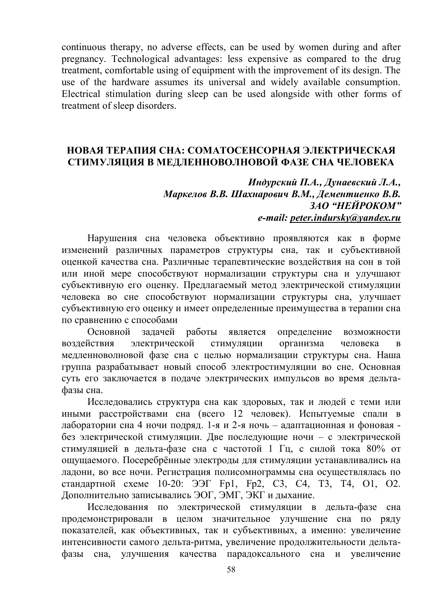continuous therapy, no adverse effects, can be used by women during and after pregnancy. Technological advantages: less expensive as compared to the drug treatment, comfortable using of equipment with the improvement of its design. The use of the hardware assumes its universal and widely available consumption. Electrical stimulation during sleep can be used alongside with other forms of treatment of sleep disorders.

# **НОВАЯ ТЕРАПИЯ СНА: CОМАТОСЕНСОРНАЯ ЭЛЕКТРИЧЕСКАЯ СТИМУЛЯЦИЯ В МЕДЛЕННОВОЛНОВОЙ ФАЗЕ СНА ЧЕЛОВЕКА**

### *Индурский П.А., Дунаевский Л.А., Маркелов В.В. Шахнарович В.М., Дементиенко В.В. ЗАО "НЕЙРОКОМ" e-mail: [peter.indursky@yandex.ru](mailto:peter.indursky@yandex.ru)*

Нарушения сна человека объективно проявляются как в форме изменений различных параметров структуры сна, так и субъективной оценкой качества сна. Различные терапевтические воздействия на сон в той или иной мере способствуют нормализации структуры сна и улучшают субъективную его оценку. Предлагаемый метод электрической стимуляции человека во сне способствуют нормализации структуры сна, улучшает субъективную его оценку и имеет определенные преимущества в терапии сна по сравнению с способами

Основной задачей работы является определение возможности воздействия электрической стимуляции организма человека в медленноволновой фазе сна с целью нормализации структуры сна. Наша группа разрабатывает новый способ электростимуляции во сне. Основная суть его заключается в подаче электрических импульсов во время дельтафазы сна.

Исследовались структура сна как здоровых, так и людей с теми или иными расстройствами сна (всего 12 человек). Испытуемые спали в лаборатории сна 4 ночи подряд. 1-я и 2-я ночь – адаптационная и фоновая без электрической стимуляции. Две последующие ночи – с электрической стимуляцией в дельта-фазе сна с частотой 1 Гц, с силой тока 80% от ощущаемого. Посеребрённые электроды для стимуляции устанавливались на ладони, во все ночи. Регистрация полисомнограммы сна осуществлялась по стандартной схеме 10-20: ЭЭГ Fp1, Fp2, С3, С4, T3, T4, O1, O2. Дополнительно записывались ЭОГ, ЭМГ, ЭКГ и дыхание.

Исследования по электрической стимуляции в дельта-фазе сна продемонстрировали в целом значительное улучшение сна по ряду показателей, как объективных, так и субъективных, а именно: увеличение интенсивности самого дельта-ритма, увеличение продолжительности дельтафазы сна, улучшения качества парадоксального сна и увеличение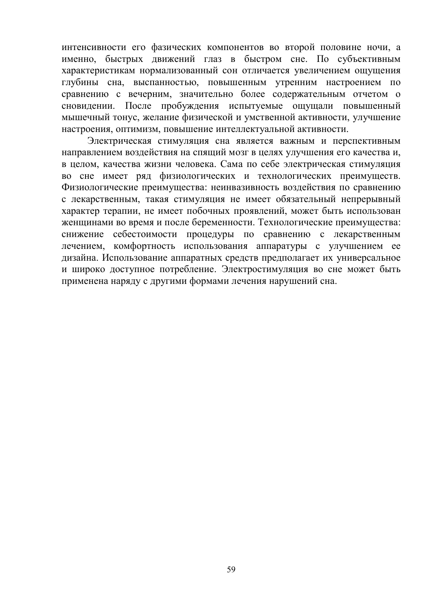интенсивности его фазических компонентов во второй половине ночи, а именно, быстрых движений глаз в быстром сне. По субъективным характеристикам нормализованный сон отличается увеличением ощущения глубины сна, выспанностью, повышенным утренним настроением по сравнению с вечерним, значительно более содержательным отчетом о сновидении. После пробуждения испытуемые ощущали повышенный мышечный тонус, желание физической и умственной активности, улучшение настроения, оптимизм, повышение интеллектуальной активности.

Электрическая стимуляция сна является важным и перспективным направлением воздействия на спящий мозг в целях улучшения его качества и, в целом, качества жизни человека. Сама по себе электрическая стимуляция во сне имеет ряд физиологических и технологических преимуществ. Физиологические преимущества: неинвазивность воздействия по сравнению с лекарственным, такая стимуляция не имеет обязательный непрерывный характер терапии, не имеет побочных проявлений, может быть использован женщинами во время и после беременности. Технологические преимущества: снижение себестоимости процедуры по сравнению с лекарственным лечением, комфортность использования аппаратуры с улучшением ее дизайна. Использование аппаратных средств предполагает их универсальное и широко доступное потребление. Электростимуляция во сне может быть применена наряду с другими формами лечения нарушений сна.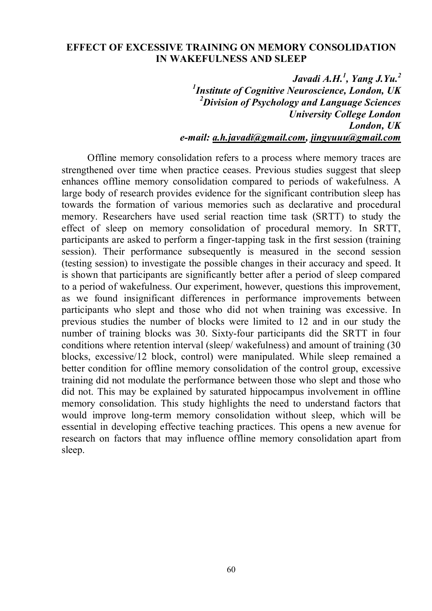#### **EFFECT OF EXCESSIVE TRAINING ON MEMORY CONSOLIDATION IN WAKEFULNESS AND SLEEP**

*Javadi A.H.<sup>1</sup> , Yang J.Yu.<sup>2</sup> 1 Institute of Cognitive Neuroscience, London, UK <sup>2</sup>Division of Psychology and Language Sciences University College London London, UK e-mail: [a.h.javadi@gmail.com,](mailto:a.h.javadi@gmail.com) jingyuuu@gmail.com*

Offline memory consolidation refers to a process where memory traces are strengthened over time when practice ceases. Previous studies suggest that sleep enhances offline memory consolidation compared to periods of wakefulness. A large body of research provides evidence for the significant contribution sleep has towards the formation of various memories such as declarative and procedural memory. Researchers have used serial reaction time task (SRTT) to study the effect of sleep on memory consolidation of procedural memory. In SRTT, participants are asked to perform a finger-tapping task in the first session (training session). Their performance subsequently is measured in the second session (testing session) to investigate the possible changes in their accuracy and speed. It is shown that participants are significantly better after a period of sleep compared to a period of wakefulness. Our experiment, however, questions this improvement, as we found insignificant differences in performance improvements between participants who slept and those who did not when training was excessive. In previous studies the number of blocks were limited to 12 and in our study the number of training blocks was 30. Sixty-four participants did the SRTT in four conditions where retention interval (sleep/ wakefulness) and amount of training (30 blocks, excessive/12 block, control) were manipulated. While sleep remained a better condition for offline memory consolidation of the control group, excessive training did not modulate the performance between those who slept and those who did not. This may be explained by saturated hippocampus involvement in offline memory consolidation. This study highlights the need to understand factors that would improve long-term memory consolidation without sleep, which will be essential in developing effective teaching practices. This opens a new avenue for research on factors that may influence offline memory consolidation apart from sleep.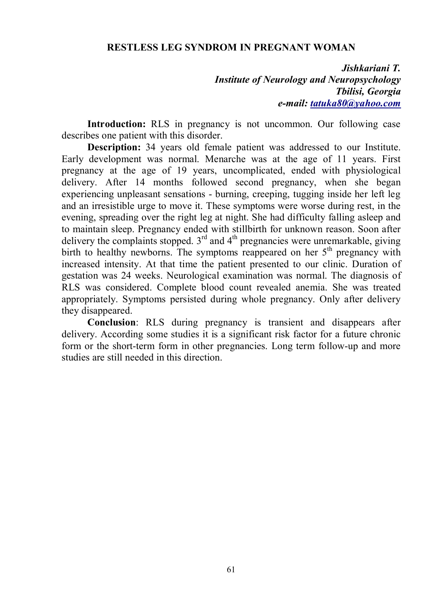#### **RESTLESS LEG SYNDROM IN PREGNANT WOMAN**

*Jishkariani T. Institute of Neurology and Neuropsychology Tbilisi, Georgia e-mail: [tatuka80@yahoo.com](mailto:tatuka80@yahoo.com)*

**Introduction:** RLS in pregnancy is not uncommon. Our following case describes one patient with this disorder.

**Description:** 34 years old female patient was addressed to our Institute. Early development was normal. Menarche was at the age of 11 years. First pregnancy at the age of 19 years, uncomplicated, ended with physiological delivery. After 14 months followed second pregnancy, when she began experiencing unpleasant sensations - burning, creeping, tugging inside her left leg and an irresistible urge to move it. These symptoms were worse during rest, in the evening, spreading over the right leg at night. She had difficulty falling asleep and to maintain sleep. Pregnancy ended with stillbirth for unknown reason. Soon after delivery the complaints stopped.  $3^{rd}$  and  $4^{th}$  pregnancies were unremarkable, giving birth to healthy newborns. The symptoms reappeared on her  $5<sup>th</sup>$  pregnancy with increased intensity. At that time the patient presented to our clinic. Duration of gestation was 24 weeks. Neurological examination was normal. The diagnosis of RLS was considered. Complete blood count revealed anemia. She was treated appropriately. Symptoms persisted during whole pregnancy. Only after delivery they disappeared.

**Conclusion**: RLS during pregnancy is transient and disappears after delivery. According some studies it is a significant risk factor for a future chronic form or the short-term form in other pregnancies. Long term follow-up and more studies are still needed in this direction.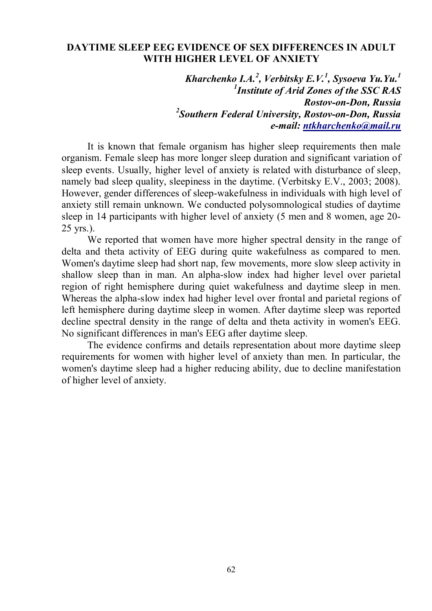#### **DAYTIME SLEEP EEG EVIDENCE OF SEX DIFFERENCES IN ADULT WITH HIGHER LEVEL OF ANXIETY**

*Kharchenko I.A.<sup>2</sup> , Verbitsky E.V.<sup>1</sup> , Sysoeva Yu.Yu.<sup>1</sup> 1 Institute of Arid Zones of the SSC RAS Rostov-on-Don, Russia 2 Southern Federal University, Rostov-on-Don, Russia e-mail: [ntkharchenko@mail.ru](mailto:ntkharchenko@mail.ru)*

It is known that female organism has higher sleep requirements then male organism. Female sleep has more longer sleep duration and significant variation of sleep events. Usually, higher level of anxiety is related with disturbance of sleep, namely bad sleep quality, sleepiness in the daytime. (Verbitsky E.V., 2003; 2008). However, gender differences of sleep-wakefulness in individuals with high level of anxiety still remain unknown. We conducted polysomnological studies of daytime sleep in 14 participants with higher level of anxiety (5 men and 8 women, age 20- 25 yrs.).

We reported that women have more higher spectral density in the range of delta and theta activity of EEG during quite wakefulness as compared to men. Women's daytime sleep had short nap, few movements, more slow sleep activity in shallow sleep than in man. An alpha-slow index had higher level over parietal region of right hemisphere during quiet wakefulness and daytime sleep in men. Whereas the alpha-slow index had higher level over frontal and parietal regions of left hemisphere during daytime sleep in women. After daytime sleep was reported decline spectral density in the range of delta and theta activity in women's EEG. No significant differences in man's EEG after daytime sleep.

The evidence confirms and details representation about more daytime sleep requirements for women with higher level of anxiety than men. In particular, the women's daytime sleep had a higher reducing ability, due to decline manifestation of higher level of anxiety.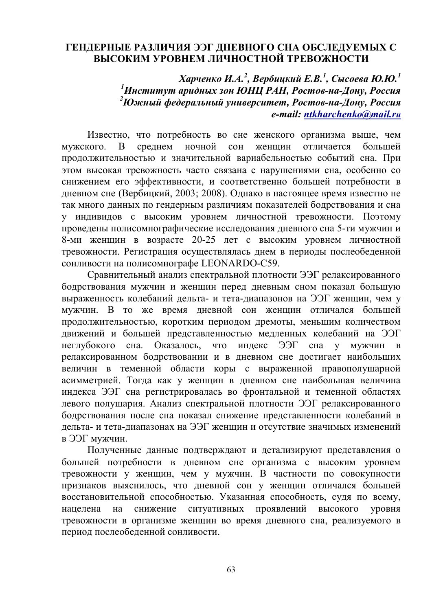# **ГЕНДЕРНЫЕ РАЗЛИЧИЯ ЭЭГ ДНЕВНОГО СНА ОБСЛЕДУЕМЫХ С ВЫСОКИМ УРОВНЕМ ЛИЧНОСТНОЙ ТРЕВОЖНОСТИ**

*Харченко И.А. 2 , Вербицкий Е.В. 1 , Сысоева Ю.Ю. 1 <sup>1</sup>Институт аридных зон ЮНЦ РАН, Ростов-на-Дону, Россия <sup>2</sup>Южный федеральный университет, Ростов-на-Дону, Россия e-mail: [ntkharchenko@mail.r](mailto:ntkharchenko@mail.ru)u*

Известно, что потребность во сне женского организма выше, чем мужского. В среднем ночной сон женщин отличается большей продолжительностью и значительной вариабельностью событий сна. При этом высокая тревожность часто связана с нарушениями сна, особенно со снижением его эффективности, и соответственно большей потребности в дневном сне (Вербицкий, 2003; 2008). Однако в настоящее время известно не так много данных по гендерным различиям показателей бодрствования и сна у индивидов с высоким уровнем личностной тревожности. Поэтому проведены полисомнографические исследования дневного сна 5-ти мужчин и 8-ми женщин в возрасте 20-25 лет с высоким уровнем личностной тревожности. Регистрация осуществлялась днем в периоды послеобеденной сонливости на полисомнографе LEONARDO-С59.

Сравнительный анализ спектральной плотности ЭЭГ релаксированного бодрствования мужчин и женщин перед дневным сном показал большую выраженность колебаний дельта- и тета-диапазонов на ЭЭГ женщин, чем у мужчин. В то же время дневной сон женщин отличался большей продолжительностью, коротким периодом дремоты, меньшим количеством движений и большей представленностью медленных колебаний на ЭЭГ неглубокого сна. Оказалось, что индекс ЭЭГ сна у мужчин в релаксированном бодрствовании и в дневном сне достигает наибольших величин в теменной области коры с выраженной правополушарной асимметрией. Тогда как у женщин в дневном сне наибольшая величина индекса ЭЭГ сна регистрировалась во фронтальной и теменной областях левого полушария. Анализ спектральной плотности ЭЭГ релаксированного бодрствования после сна показал снижение представленности колебаний в дельта- и тета-диапазонах на ЭЭГ женщин и отсутствие значимых изменений в ЭЭГ мужчин.

Полученные данные подтверждают и детализируют представления о большей потребности в дневном сне организма с высоким уровнем тревожности у женщин, чем у мужчин. В частности по совокупности признаков выяснилось, что дневной сон у женщин отличался большей восстановительной способностью. Указанная способность, судя по всему, нацелена на снижение ситуативных проявлений высокого уровня тревожности в организме женщин во время дневного сна, реализуемого в период послеобеденной сонливости.

63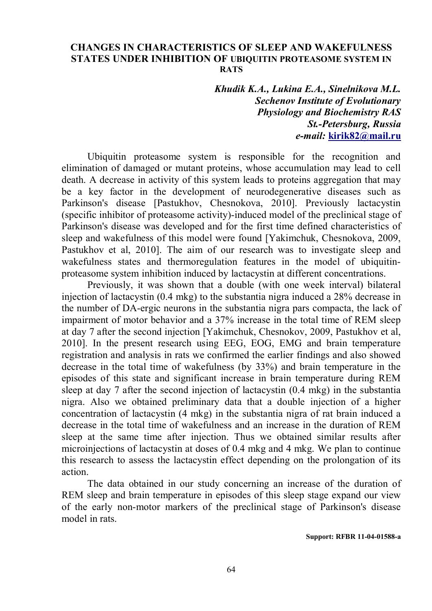#### **CHANGES IN CHARACTERISTICS OF SLEEP AND WAKEFULNESS STATES UNDER INHIBITION OF UBIQUITIN PROTEASOME SYSTEM IN RATS**

*Khudik K.A., Lukina E.A., Sinelnikova M.L. Sechenov Institute of Evolutionary Physiology and Biochemistry RAS St.-Petersburg, Russia e-mail:* **[kirik82@mail.ru](mailto:kirik82@mail.ru)**

Ubiquitin proteasome system is responsible for the recognition and elimination of damaged or mutant proteins, whose accumulation may lead to cell death. A decrease in activity of this system leads to proteins aggregation that may be a key factor in the development of neurodegenerative diseases such as Parkinson's disease [Pastukhov, Chesnokova, 2010]. Previously lactacystin (specific inhibitor of proteasome activity)-induced model of the preclinical stage of Parkinson's disease was developed and for the first time defined characteristics of sleep and wakefulness of this model were found [Yakimchuk, Chesnokova, 2009, Pastukhov et al, 2010]. The aim of our research was to investigate sleep and wakefulness states and thermoregulation features in the model of ubiquitinproteasome system inhibition induced by lactacystin at different concentrations.

Previously, it was shown that a double (with one week interval) bilateral injection of lactacystin (0.4 mkg) to the substantia nigra induced a 28% decrease in the number of DA-ergic neurons in the substantia nigra pars compacta, the lack of impairment of motor behavior and a 37% increase in the total time of REM sleep at day 7 after the second injection [Yakimchuk, Chesnokov, 2009, Pastukhov et al, 2010]. In the present research using EEG, EOG, EMG and brain temperature registration and analysis in rats we confirmed the earlier findings and also showed decrease in the total time of wakefulness (by 33%) and brain temperature in the episodes of this state and significant increase in brain temperature during REM sleep at day 7 after the second injection of lactacystin (0.4 mkg) in the substantia nigra. Also we obtained preliminary data that a double injection of a higher concentration of lactacystin (4 mkg) in the substantia nigra of rat brain induced a decrease in the total time of wakefulness and an increase in the duration of REM sleep at the same time after injection. Thus we obtained similar results after microinjections of lactacystin at doses of 0.4 mkg and 4 mkg. We plan to continue this research to assess the lactacystin effect depending on the prolongation of its action.

The data obtained in our study concerning an increase of the duration of REM sleep and brain temperature in episodes of this sleep stage expand our view of the early non-motor markers of the preclinical stage of Parkinson's disease model in rats.

**Support: RFBR 11-04-01588-а**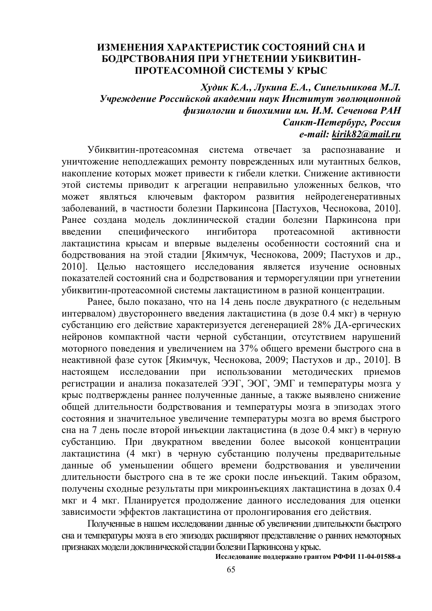# **ИЗМЕНЕНИЯ ХАРАКТЕРИСТИК СОСТОЯНИЙ СНА И БОДРСТВОВАНИЯ ПРИ УГНЕТЕНИИ УБИКВИТИН-ПРОТЕАСОМНОЙ СИСТЕМЫ У КРЫС**

*Худик К.А., Лукина Е.А., Синельникова М.Л. Учреждение Российской академии наук Институт эволюционной физиологии и биохимии им. И.М. Сеченова РАН Санкт-Петербург, Россия e-mail: [kirik82@mail.ru](mailto:kirik82@mail.ru)*

Убиквитин-протеасомная система отвечает за распознавание и уничтожение неподлежащих ремонту поврежденных или мутантных белков, накопление которых может привести к гибели клетки. Снижение активности этой системы приводит к агрегации неправильно уложенных белков, что может являться ключевым фактором развития нейродегенеративных заболеваний, в частности болезни Паркинсона [Пастухов, Чеснокова, 2010]. Ранее создана модель доклинической стадии болезни Паркинсона при введении специфического ингибитора протеасомной активности лактацистина крысам и впервые выделены особенности состояний сна и бодрствования на этой стадии [Якимчук, Чеснокова, 2009; Пастухов и др., 2010]. Целью настоящего исследования является изучение основных показателей состояний сна и бодрствования и терморегуляции при угнетении убиквитин-протеасомной системы лактацистином в разной концентрации.

Ранее, было показано, что на 14 день после двукратного (с недельным интервалом) двустороннего введения лактацистина (в дозе 0.4 мкг) в черную субстанцию его действие характеризуется дегенерацией 28% ДА-ергических нейронов компактной части черной субстанции, отсутствием нарушений моторного поведения и увеличением на 37% общего времени быстрого сна в неактивной фазе суток [Якимчук, Чеснокова, 2009; Пастухов и др., 2010]. В настоящем исследовании при использовании методических приемов регистрации и анализа показателей ЭЭГ, ЭОГ, ЭМГ и температуры мозга у крыс подтверждены раннее полученные данные, а также выявлено снижение общей длительности бодрствования и температуры мозга в эпизодах этого состояния и значительное увеличение температуры мозга во время быстрого сна на 7 день после второй инъекции лактацистина (в дозе 0.4 мкг) в черную субстанцию. При двукратном введении более высокой концентрации лактацистина (4 мкг) в черную субстанцию получены предварительные данные об уменьшении общего времени бодрствования и увеличении длительности быстрого сна в те же сроки после инъекций. Таким образом, получены сходные результаты при микроинъекциях лактацистина в дозах 0.4 мкг и 4 мкг. Планируется продолжение данного исследования для оценки зависимости эффектов лактацистина от пролонгирования его действия.

Полученные в нашем исследовании данные об увеличении длительности быстрого сна и температуры мозга в его эпизодах расширяют представление о ранних немоторных признаках модели доклинической стадии болезни Паркинсона у крыс.

**Исследование поддержано грантом РФФИ 11-04-01588-а**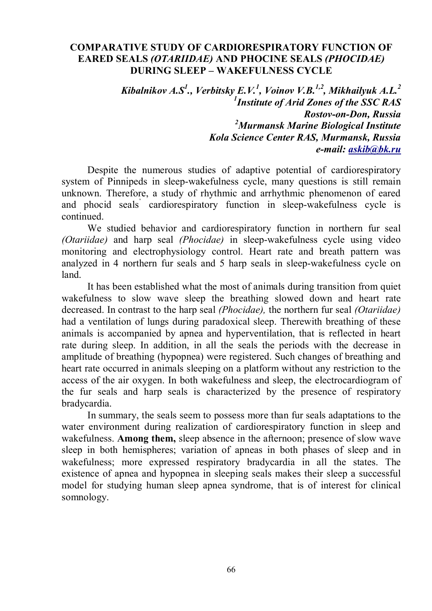### **COMPARATIVE STUDY OF CARDIORESPIRATORY FUNCTION OF EARED SEALS** *(OTARIIDAE)* **AND PHOCINE SEALS** *(PHOCIDAE)* **DURING SLEEP – WAKEFULNESS CYCLE**

*Kibalnikov A.S<sup>1</sup> ., Verbitsky E.V.<sup>1</sup> , Voinov V.B.1,2, Mikhailyuk A.L.<sup>2</sup> 1 Institute of Arid Zones of the SSC RAS Rostov-on-Don, Russia <sup>2</sup>Murmansk Marine Biological Institute Kola Science Center RAS, Murmansk, Russia e-mail: [askib@bk.ru](mailto:askib@bk.ru)*

Despite the numerous studies of adaptive potential of cardiorespiratory system of Pinnipeds in sleep-wakefulness cycle, many questions is still remain unknown. Therefore, a study of rhythmic and arrhythmic phenomenon of eared and phocid seals' cardiorespiratory function in sleep-wakefulness cycle is continued.

We studied behavior and cardiorespiratory function in northern fur seal *(Otariidae)* and harp seal *(Phocidae)* in sleep-wakefulness cycle using video monitoring and electrophysiology control. Heart rate and breath pattern was analyzed in 4 northern fur seals and 5 harp seals in sleep-wakefulness cycle on land.

It has been established what the most of animals during transition from quiet wakefulness to slow wave sleep the breathing slowed down and heart rate decreased. In contrast to the harp seal *(Phocidae),* the northern fur seal *(Otariidae)* had a ventilation of lungs during paradoxical sleep. Therewith breathing of these animals is accompanied by apnea and hyperventilation, that is reflected in heart rate during sleep. In addition, in all the seals the periods with the decrease in amplitude of breathing (hypopnea) were registered. Such changes of breathing and heart rate occurred in animals sleeping on a platform without any restriction to the access of the air oxygen. In both wakefulness and sleep, the electrocardiogram of the fur seals and harp seals is characterized by the presence of respiratory bradycardia.

In summary, the seals seem to possess more than fur seals adaptations to the water environment during realization of cardiorespiratory function in sleep and wakefulness. **Among them,** sleep absence in the afternoon; presence of slow wave sleep in both hemispheres; variation of apneas in both phases of sleep and in wakefulness; more expressed respiratory bradycardia in all the states. The existence of apnea and hypopnea in sleeping seals makes their sleep a successful model for studying human sleep apnea syndrome, that is of interest for clinical somnology.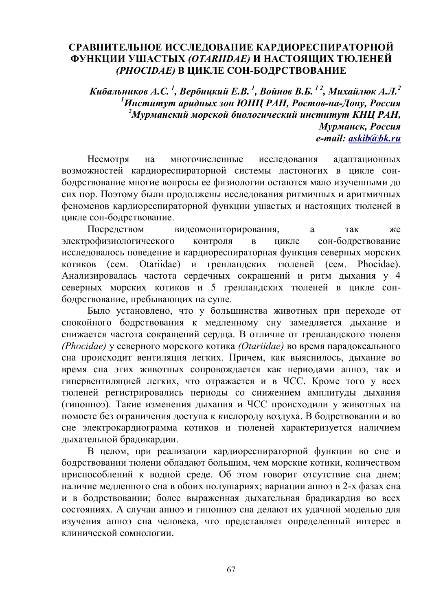# **СРАВНИТЕЛЬНОЕ ИССЛЕДОВАНИЕ КАРДИОРЕСПИРАТОРНОЙ ФУНКЦИИ УШАСТЫХ** *(OTARIIDAE)* **И НАСТОЯЩИХ ТЮЛЕНЕЙ** *(PHOCIDAE)* **В ЦИКЛЕ СОН-БОДРСТВОВАНИЕ**

 $K$ ибальников А.С. <sup>1</sup>, Вербицкий Е.В. <sup>1</sup>, Войнов В.Б. <sup>12</sup>, Михайлюк А.Л.<sup>2</sup> *<sup>1</sup>Институт аридных зон ЮНЦ РАН, Ростов-на-Дону, Россия <sup>2</sup>Мурманский морской биологический институт КНЦ РАН, Мурманск, Россия e-mail: [askib@bk.ru](mailto:askib@bk.ru)*

Несмотря на многочисленные исследования адаптационных возможностей кардиореспираторной системы ластоногих в цикле сонбодрствование многие вопросы ее физиологии остаются мало изученными до сих пор. Поэтому были продолжены исследования ритмичных и аритмичных феноменов кардиореспираторной функции ушастых и настоящих тюленей в цикле сон-бодрствование.

Посредством видеомониторирования, а так же электрофизиологического контроля в цикле сон-бодрствование исследовалось поведение и кардиореспираторная функция северных морских котиков (сем. Otariidae) и гренландских тюленей (сем. Phocidae). Анализировалась частота сердечных сокращений и ритм дыхания у 4 северных морских котиков и 5 гренландских тюленей в цикле сонбодрствование, пребывающих на суше.

Было установлено, что у большинства животных при переходе от спокойного бодрствования к медленному сну замедляется дыхание и снижается частота сокращений сердца. В отличие от гренландского тюленя *(Phocidae)* у северного морского котика *(Otariidae)* во время парадоксального сна происходит вентиляция легких. Причем, как выяснилось, дыхание во время сна этих животных сопровождается как периодами апноэ, так и гипервентиляцией легких, что отражается и в ЧСС. Кроме того у всех тюленей регистрировались периоды со снижением амплитуды дыхания (гипопноэ). Такие изменения дыхания и ЧСС происходили у животных на помосте без ограничения доступа к кислороду воздуха. В бодрствовании и во сне электрокардиограмма котиков и тюленей характеризуется наличием дыхательной брадикардии.

В целом, при реализации кардиореспираторной функции во сне и бодрствовании тюлени обладают большим, чем морские котики, количеством приспособлений к водной среде. Об этом говорит отсутствие сна днем; наличие медленного сна в обоих полушариях; вариации апноэ в 2-х фазах сна и в бодрствовании; более выраженная дыхательная брадикардия во всех состояниях. А случаи апноэ и гипопноэ сна делают их удачной моделью для изучения апноэ сна человека, что представляет определенный интерес в клинической сомнологии.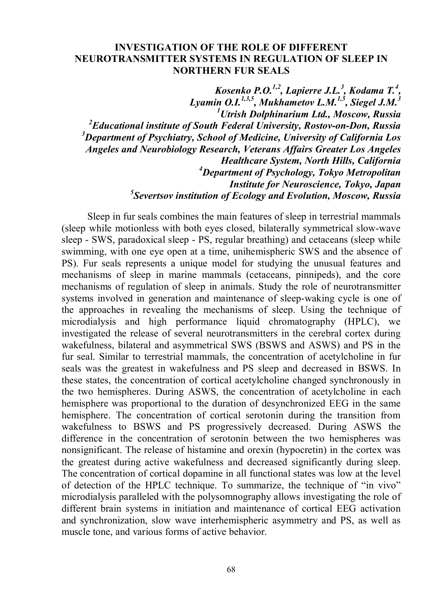### **INVESTIGATION OF THE ROLE OF DIFFERENT NEUROTRANSMITTER SYSTEMS IN REGULATION OF SLEEP IN NORTHERN FUR SEALS**

*Kosenko P.O.1,2, Lapierre J.L.<sup>3</sup> , Kodama T.<sup>4</sup> , Lyamin O.I.1,3,5, Mukhametov L.M.1,5, Siegel J.M.<sup>3</sup> <sup>1</sup>Utrish Dolphinarium Ltd., Moscow, Russia <sup>2</sup>Educational institute of South Federal University, Rostov-on-Don, Russia <sup>3</sup>Department of Psychiatry, School of Medicine, University of California Los Angeles and Neurobiology Research, Veterans Affairs Greater Los Angeles Healthcare System, North Hills, California <sup>4</sup>Department of Psychology, Tokyo Metropolitan Institute for Neuroscience, Tokyo, Japan 5 Severtsov institution of Ecology and Evolution, Moscow, Russia*

Sleep in fur seals combines the main features of sleep in terrestrial mammals (sleep while motionless with both eyes closed, bilaterally symmetrical slow-wave sleep - SWS, paradoxical sleep - PS, regular breathing) and cetaceans (sleep while swimming, with one eye open at a time, unihemispheric SWS and the absence of PS). Fur seals represents a unique model for studying the unusual features and mechanisms of sleep in marine mammals (cetaceans, pinnipeds), and the core mechanisms of regulation of sleep in animals. Study the role of neurotransmitter systems involved in generation and maintenance of sleep-waking cycle is one of the approaches in revealing the mechanisms of sleep. Using the technique of microdialysis and high performance liquid chromatography (HPLC), we investigated the release of several neurotransmitters in the cerebral cortex during wakefulness, bilateral and asymmetrical SWS (BSWS and ASWS) and PS in the fur seal. Similar to terrestrial mammals, the concentration of acetylcholine in fur seals was the greatest in wakefulness and PS sleep and decreased in BSWS. In these states, the concentration of cortical acetylcholine changed synchronously in the two hemispheres. During ASWS, the concentration of acetylcholine in each hemisphere was proportional to the duration of desynchronized EEG in the same hemisphere. The concentration of cortical serotonin during the transition from wakefulness to BSWS and PS progressively decreased. During ASWS the difference in the concentration of serotonin between the two hemispheres was nonsignificant. The release of histamine and orexin (hypocretin) in the cortex was the greatest during active wakefulness and decreased significantly during sleep. The concentration of cortical dopamine in all functional states was low at the level of detection of the HPLC technique. To summarize, the technique of "in vivo" microdialysis paralleled with the polysomnography allows investigating the role of different brain systems in initiation and maintenance of cortical EEG activation and synchronization, slow wave interhemispheric asymmetry and PS, as well as muscle tone, and various forms of active behavior.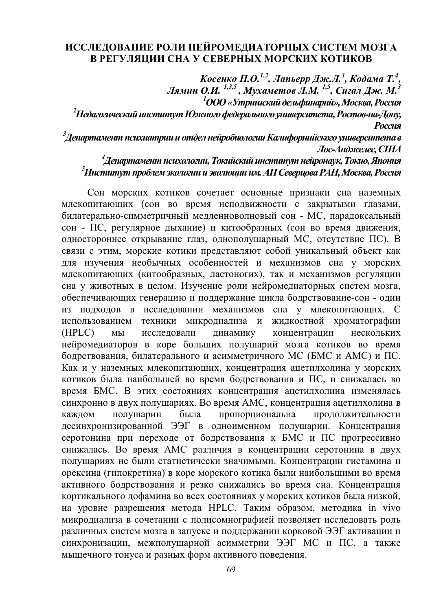## **ИССЛЕДОВАНИЕ РОЛИ НЕЙРОМЕДИАТОРНЫХ СИСТЕМ МОЗГА В РЕГУЛЯЦИИ СНА У СЕВЕРНЫХ МОРСКИХ КОТИКОВ**

*Косенко П.О. 1,2 , Лапьерр Дж.Л. 3 , Кодама Т. 4 , Лямин О.И. 1,3,5 , Мухаметов Л.М. 1,5 , Сигал Дж. М. 3 <sup>1</sup>ООО «Утришский дельфинарий», Москва, Россия*

*<sup>2</sup>Педагогический институт Южного федерального университета, Ростов-на-Дону, Россия*

### *<sup>3</sup>Департамент психиатрии и отдел нейробиологии Калифорнийского университета в Лос-Анджелес, США*

# *<sup>4</sup>Департамент психологии, Токийский институт нейронаук, Токио, Япония <sup>5</sup>Институт проблем экологии и эволюции им. АН Северцова РАН, Москва, Россия*

Сон морских котиков сочетает основные признаки сна наземных млекопитающих (сон во время неподвижности с закрытыми глазами, билатерально-симметричный медленноволновый сон - МС, парадоксальный сон - ПС, регулярное дыхание) и китообразных (сон во время движения, одностороннее открывание глаз, однополушарный МС, отсутствие ПС). В связи с этим, морские котики представляют собой уникальный объект как для изучения необычных особенностей и механизмов сна у морских млекопитающих (китообразных, ластоногих), так и механизмов регуляции сна у животных в целом. Изучение роли нейромедиаторных систем мозга, обеспечивающих генерацию и поддержание цикла бодрствование-сон - один из подходов в исследовании механизмов сна у млекопитающих. С использованием техники микродиализа и жидкостной хроматографии (HPLC) мы исследовали динамику концентрации нескольких нейромедиаторов в коре больших полушарий мозга котиков во время бодрствования, билатерального и асимметричного МС (БМС и АМС) и ПС. Как и у наземных млекопитающих, концентрация ацетилхолина у морских котиков была наибольшей во время бодрствования и ПС, и снижалась во время БМС. В этих состояниях концентрация ацетилхолина изменялась синхронно в двух полушариях. Во время АМС, концентрация ацетилхолина в каждом полушарии была пропорциональна продолжительности десинхронизированной ЭЭГ в одноименном полушарии. Концентрация серотонина при переходе от бодрствования к БМС и ПС прогрессивно снижалась. Во время АМС различия в концентрации серотонина в двух полушариях не были статистически значимыми. Концентрации гистамина и орексина (гипокретина) в коре морского котика были наибольшими во время активного бодрствования и резко снижались во время сна. Концентрация кортикального дофамина во всех состояниях у морских котиков была низкой, на уровне разрешения метода HPLC. Таким образом, методика in vivo микродиализа в сочетании с полисомнографией позволяет исследовать роль различных систем мозга в запуске и поддержании корковой ЭЭГ активации и синхронизации, межполушарной асимметрии ЭЭГ МС и ПС, а также мышечного тонуса и разных форм активного поведения.

69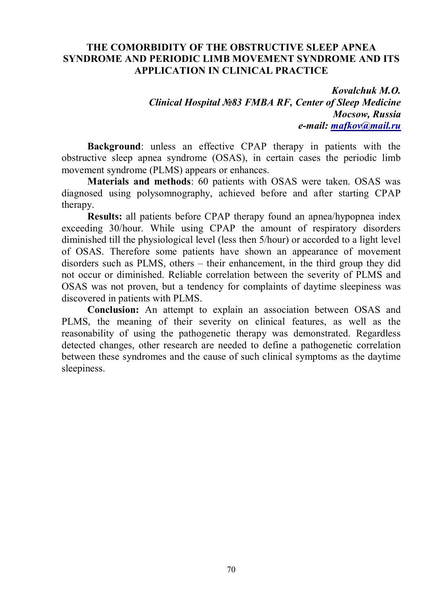### **THE COMORBIDITY OF THE OBSTRUCTIVE SLEEP APNEA SYNDROME AND PERIODIC LIMB MOVEMENT SYNDROME AND ITS APPLICATION IN CLINICAL PRACTICE**

## *Kovalchuk M.O. Clinical Hospital №83 FMBA RF, Center of Sleep Medicine Mocsow, Russia e-mail: [mafkov@mail.ru](mailto:mafkov@mail.ru)*

**Background**: unless an effective CPAP therapy in patients with the obstructive sleep apnea syndrome (OSAS), in certain cases the periodic limb movement syndrome (PLMS) appears or enhances.

**Materials and methods**: 60 patients with OSAS were taken. OSAS was diagnosed using polysomnography, achieved before and after starting CPAP therapy.

**Results:** all patients before CPAP therapy found an apnea/hypopnea index exceeding 30/hour. While using CPAP the amount of respiratory disorders diminished till the physiological level (less then 5/hour) or accorded to a light level of OSAS. Therefore some patients have shown an appearance of movement disorders such as PLMS, others – their enhancement, in the third group they did not occur or diminished. Reliable correlation between the severity of PLMS and OSAS was not proven, but a tendency for complaints of daytime sleepiness was discovered in patients with PLMS.

**Conclusion:** An attempt to explain an association between OSAS and PLMS, the meaning of their severity on clinical features, as well as the reasonability of using the pathogenetic therapy was demonstrated. Regardless detected changes, other research are needed to define a pathogenetic correlation between these syndromes and the cause of such clinical symptoms as the daytime sleepiness.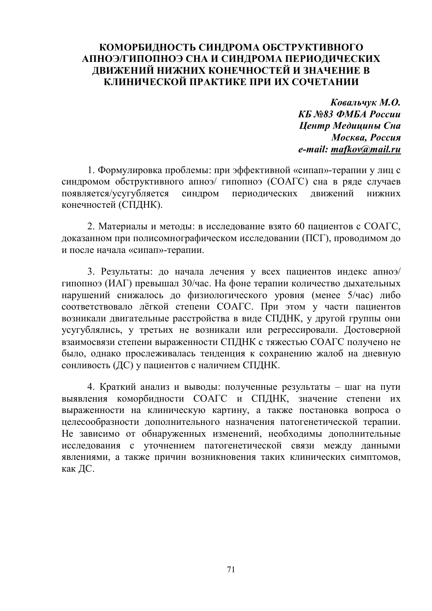# **КОМОРБИДНОСТЬ СИНДРОМА ОБСТРУКТИВНОГО АПНОЭ/ГИПОПНОЭ СНА И СИНДРОМА ПЕРИОДИЧЕСКИХ ДВИЖЕНИЙ НИЖНИХ КОНЕЧНОСТЕЙ И ЗНАЧЕНИЕ В КЛИНИЧЕСКОЙ ПРАКТИКЕ ПРИ ИХ СОЧЕТАНИИ**

*Ковальчук М.О. КБ №83 ФМБА России Центр Медицины Сна Москва, Россия e-mail: mafkov@mail.ru*

1. Формулировка проблемы: при эффективной «сипап»-терапии у лиц с синдромом обструктивного апноэ/ гипопноэ (СОАГС) сна в ряде случаев появляется/усугубляется синдром периодических движений нижних конечностей (СПДНК).

2. Материалы и методы: в исследование взято 60 пациентов с СОАГС, доказанном при полисомнографическом исследовании (ПСГ), проводимом до и после начала «сипап»-терапии.

3. Результаты: до начала лечения у всех пациентов индекс апноэ/ гипопноэ (ИАГ) превышал 30/час. На фоне терапии количество дыхательных нарушений снижалось до физиологического уровня (менее 5/час) либо соответствовало лёгкой степени СОАГС. При этом у части пациентов возникали двигательные расстройства в виде СПДНК, у другой группы они усугублялись, у третьих не возникали или регрессировали. Достоверной взаимосвязи степени выраженности СПДНК с тяжестью СОАГС получено не было, однако прослеживалась тенденция к сохранению жалоб на дневную сонливость (ДС) у пациентов с наличием СПДНК.

4. Краткий анализ и выводы: полученные результаты – шаг на пути выявления коморбидности СОАГС и СПДНК, значение степени их выраженности на клиническую картину, а также постановка вопроса о целесообразности дополнительного назначения патогенетической терапии. Не зависимо от обнаруженных изменений, необходимы дополнительные исследования с уточнением патогенетической связи между данными явлениями, а также причин возникновения таких клинических симптомов, как ДС.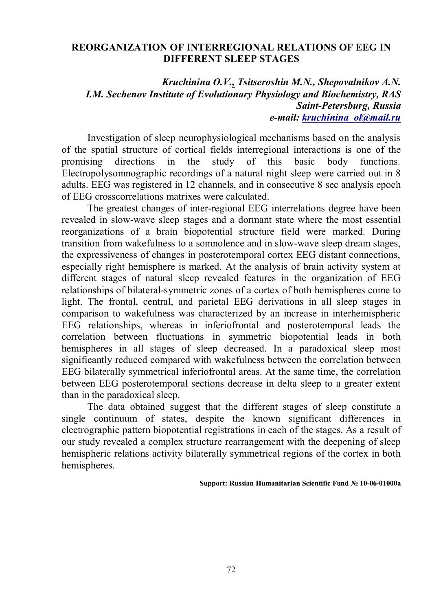### **REORGANIZATION OF INTERREGIONAL RELATIONS OF EEG IN DIFFERENT SLEEP STAGES**

*Kruchinina O.V., Tsitseroshin M.N., Shepovalnikov A.N. I.M. Sechenov Institute of Evolutionary Physiology and Biochemistry, RAS Saint-Petersburg, Russia e-mail: [kruchinina\\_ol@mail.ru](mailto:kruchinina_ol@mail.ru)*

Investigation of sleep neurophysiological mechanisms based on the analysis of the spatial structure of cortical fields interregional interactions is one of the promising directions in the study of this basic body functions. Electropolysomnographic recordings of a natural night sleep were carried out in 8 adults. EEG was registered in 12 channels, and in consecutive 8 sec analysis epoch of EEG crosscorrelations matrixes were calculated.

The greatest changes of inter-regional EEG interrelations degree have been revealed in slow-wave sleep stages and a dormant state where the most essential reorganizations of a brain biopotential structure field were marked. During transition from wakefulness to a somnolence and in slow-wave sleep dream stages, the expressiveness of changes in posterotemporal cortex EEG distant connections, especially right hemisphere is marked. At the analysis of brain activity system at different stages of natural sleep revealed features in the organization of EEG relationships of bilateral-symmetric zones of a cortex of both hemispheres come to light. The frontal, central, and parietal EEG derivations in all sleep stages in comparison to wakefulness was characterized by an increase in interhemispheric EEG relationships, whereas in inferiofrontal and posterotemporal leads the correlation between fluctuations in symmetric biopotential leads in both hemispheres in all stages of sleep decreased. In a paradoxical sleep most significantly reduced compared with wakefulness between the correlation between EEG bilaterally symmetrical inferiofrontal areas. At the same time, the correlation between EEG posterotemporal sections decrease in delta sleep to a greater extent than in the paradoxical sleep.

The data obtained suggest that the different stages of sleep constitute a single continuum of states, despite the known significant differences in electrographic pattern biopotential registrations in each of the stages. As a result of our study revealed a complex structure rearrangement with the deepening of sleep hemispheric relations activity bilaterally symmetrical regions of the cortex in both hemispheres.

**Support: Russian Humanitarian Scientific Fund № 10-06-01000а**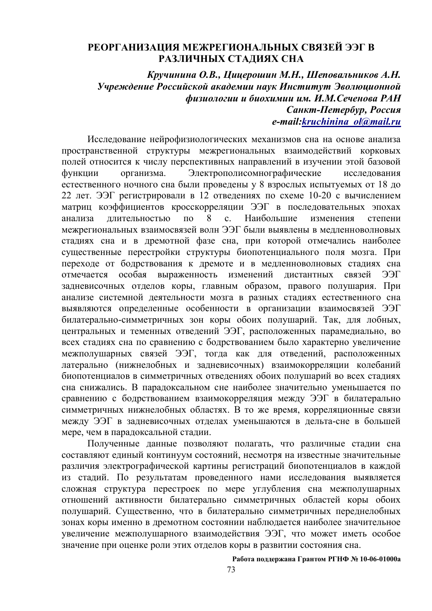### **РЕОРГАНИЗАЦИЯ МЕЖРЕГИОНАЛЬНЫХ СВЯЗЕЙ ЭЭГ В РАЗЛИЧНЫХ СТАДИЯХ СНА**

*Кручинина О.В., Цицерошин М.Н., Шеповальников А.Н. Учреждение Российской академии наук Институт Эволюционной физиологии и биохимии им. И.М.Сеченова РАН Санкт-Петербур, Россия e-mail[:kruchinina\\_ol@mail.ru](mailto:kruchinina_ol@mail.ru)*

Исследование нейрофизиологических механизмов сна на основе анализа пространственной структуры межрегиональных взаимодействий корковых полей относится к числу перспективных направлений в изучении этой базовой функции организма. Электрополисомнографические исследования естественного ночного сна были проведены у 8 взрослых испытуемых от 18 до 22 лет. ЭЭГ регистрировали в 12 отведениях по схеме 10-20 с вычислением матриц коэффициентов кросскорреляции ЭЭГ в последовательных эпохах анализа длительностью по 8 с. Наибольшие изменения степени межрегиональных взаимосвязей волн ЭЭГ были выявлены в медленноволновых стадиях сна и в дремотной фазе сна, при которой отмечались наиболее существенные перестройки структуры биопотенциального поля мозга. При переходе от бодрствования к дремоте и в медленноволновых стадиях сна отмечается особая выраженность изменений дистантных связей ЭЭГ задневисочных отделов коры, главным образом, правого полушария. При анализе системной деятельности мозга в разных стадиях естественного сна выявляются определенные особенности в организации взаимосвязей ЭЭГ билатерально-симметричных зон коры обоих полушарий. Так, для лобных, центральных и теменных отведений ЭЭГ, расположенных парамедиально, во всех стадиях сна по сравнению с бодрствованием было характерно увеличение межполушарных связей ЭЭГ, тогда как для отведений, расположенных латерально (нижнелобных и задневисочных) взаимокорреляции колебаний биопотенциалов в симметричных отведениях обоих полушарий во всех стадиях сна снижались. В парадоксальном сне наиболее значительно уменьшается по сравнению с бодрствованием взаимокорреляция между ЭЭГ в билатерально симметричных нижнелобных областях. В то же время, корреляционные связи между ЭЭГ в задневисочных отделах уменьшаются в дельта-сне в большей мере, чем в парадоксальной стадии.

Полученные данные позволяют полагать, что различные стадии сна составляют единый континуум состояний, несмотря на известные значительные различия электрографической картины регистраций биопотенциалов в каждой из стадий. По результатам проведенного нами исследования выявляется сложная структура перестроек по мере углубления сна межполушарных отношений активности билатерально симметричных областей коры обоих полушарий. Существенно, что в билатерально симметричных переднелобных зонах коры именно в дремотном состоянии наблюдается наиболее значительное увеличение межполушарного взаимодействия ЭЭГ, что может иметь особое значение при оценке роли этих отделов коры в развитии состояния сна.

**Работа поддержана Грантом РГНФ № 10-06-01000а**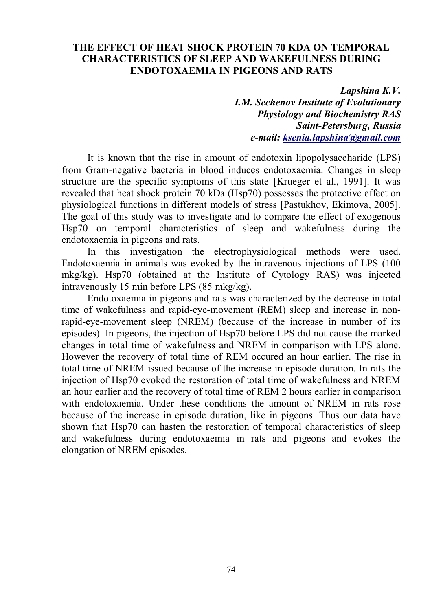# **THE EFFECT OF HEAT SHOCK PROTEIN 70 KDА ON TEMPORAL CHARACTERISTICS OF SLEEP AND WAKEFULNESS DURING ENDOTOXAEMIA IN PIGEONS AND RATS**

*Lapshina K.V. I.M. Sechenov Institute of Evolutionary Physiology and Biochemistry RAS Saint-Petersburg, Russia e-mail: [ksenia.lapshina@gmail.com](mailto:ksenia.lapshina@gmail.com)*

It is known that the rise in amount of endotoxin lipopolysaccharide (LPS) from Gram-negative bacteria in blood induces endotoxaemia. Changes in sleep structure are the specific symptoms of this state [Krueger et al., 1991]. It was revealed that heat shock protein 70 kDa (Hsp70) possesses the protective effect on physiological functions in different models of stress [Pastukhov, Ekimova, 2005]. The goal of this study was to investigate and to compare the effect of exogenous Hsp70 on temporal characteristics of sleep and wakefulness during the endotoxaemia in pigeons and rats.

In this investigation the electrophysiological methods were used. Endotoxaemia in animals was evoked by the intravenous injections of LPS (100 mkg/kg). Hsp70 (obtained at the Institute of Cytology RAS) was injected intravenously 15 min before LPS (85 mkg/kg).

Endotoxaemia in pigeons and rats was characterized by the decrease in total time of wakefulness and rapid-eye-movement (REM) sleep and increase in nonrapid-eye-movement sleep (NREM) (because of the increase in number of its episodes). In pigeons, the injection of Hsp70 before LPS did not cause the marked changes in total time of wakefulness and NREM in comparison with LPS alone. However the recovery of total time of REM occured an hour earlier. The rise in total time of NREM issued because of the increase in episode duration. In rats the injection of Hsp70 evoked the restoration of total time of wakefulness and NREM an hour earlier and the recovery of total time of REM 2 hours earlier in comparison with endotoxaemia. Under these conditions the amount of NREM in rats rose because of the increase in episode duration, like in pigeons. Thus our data have shown that Hsp70 can hasten the restoration of temporal characteristics of sleep and wakefulness during endotoxaemia in rats and pigeons and evokes the elongation of NREM episodes.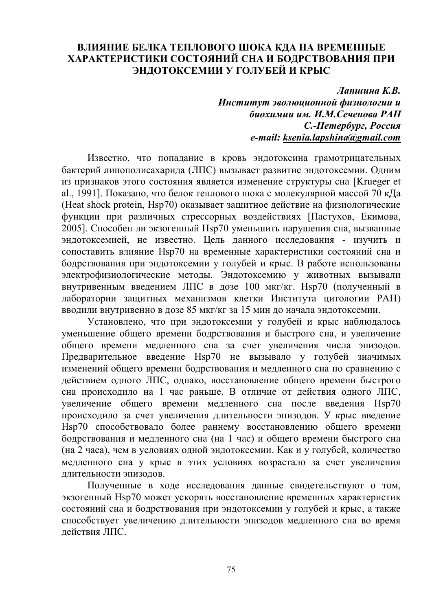# **ВЛИЯНИЕ БЕЛКА ТЕПЛОВОГО ШОКА КДА НА ВРЕМЕННЫЕ ХАРАКТЕРИСТИКИ СОСТОЯНИЙ СНА И БОДРСТВОВАНИЯ ПРИ ЭНДОТОКСЕМИИ У ГОЛУБЕЙ И КРЫС**

*Лапшина К.В. Институт эволюционной физиологии и биохимии им. И.М.Сеченова РАН С.-Петербург, Россия e-mail: [ksenia.lapshina@gmail.com](mailto:ksenia.lapshina@gmail.com)*

Известно, что попадание в кровь эндотоксина грамотрицательных бактерий липополисахарида (ЛПС) вызывает развитие эндотоксемии. Одним из признаков этого состояния является изменение структуры сна [Krueger et al., 1991]. Показано, что белок теплового шока с молекулярной массой 70 кДа (Heat shock protein, Hsp70) оказывает защитное действие на физиологические функции при различных стрессорных воздействиях [Пастухов, Екимова, 2005]. Способен ли экзогенный Hsp70 уменьшить нарушения сна, вызванные эндотоксемией, не известно. Цель данного исследования - изучить и сопоставить влияние Hsp70 на временные характеристики состояний сна и бодрствования при эндотоксемии у голубей и крыс. В работе использованы электрофизиологические методы. Эндотоксемию у животных вызывали внутривенным введением ЛПС в дозе 100 мкг/кг. Hsp70 (полученный в лаборатории защитных механизмов клетки Института цитологии РАН) вводили внутривенно в дозе 85 мкг/кг за 15 мин до начала эндотоксемии.

Установлено, что при эндотоксемии у голубей и крыс наблюдалось уменьшение общего времени бодрствования и быстрого сна, и увеличение общего времени медленного сна за счет увеличения числа эпизодов. Предварительное введение Hsp70 не вызывало у голубей значимых изменений общего времени бодрствования и медленного сна по сравнению с действием одного ЛПС, однако, восстановление общего времени быстрого сна происходило на 1 час раньше. В отличие от действия одного ЛПС, увеличение общего времени медленного сна после введения Hsp70 происходило за счет увеличения длительности эпизодов. У крыс введение Hsp70 способствовало более раннему восстановлению общего времени бодрствования и медленного сна (на 1 час) и общего времени быстрого сна (на 2 часа), чем в условиях одной эндотоксемии. Как и у голубей, количество медленного сна у крыс в этих условиях возрастало за счет увеличения длительности эпизодов.

Полученные в ходе исследования данные свидетельствуют о том, экзогенный Hsp70 может ускорять восстановление временных характеристик состояний сна и бодрствования при эндотоксемии у голубей и крыс, а также способствует увеличению длительности эпизодов медленного сна во время действия ЛПС.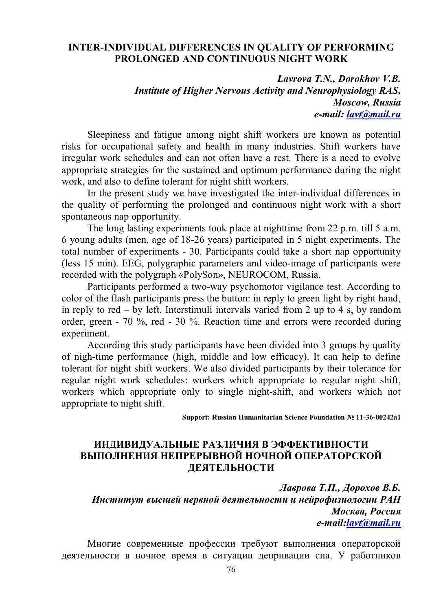## **INTER-INDIVIDUAL DIFFERENCES IN QUALITY OF PERFORMING PROLONGED AND CONTINUOUS NIGHT WORK**

*Lavrova T.N., Dorokhov V.B. Institute of Higher Nervous Activity and Neurophysiology RAS, Moscow, Russia e-mail: [lavt@mail.ru](mailto:lavt@mail.ru)*

Sleepiness and fatigue among night shift workers are known as potential risks for occupational safety and health in many industries. Shift workers have irregular work schedules and can not often have a rest. There is a need to evolve appropriate strategies for the sustained and optimum performance during the night work, and also to define tolerant for night shift workers.

In the present study we have investigated the inter-individual differences in the quality of performing the prolonged and continuous night work with a short spontaneous nap opportunity.

The long lasting experiments took place at nighttime from 22 p.m. till 5 a.m. 6 young adults (men, age of 18-26 years) participated in 5 night experiments. The total number of experiments - 30. Participants could take a short nap opportunity (less 15 min). EEG, polygraphic parameters and video-image of participants were recorded with the polygraph «PolySon», NEUROCOM, Russia.

Participants performed a two-way psychomotor vigilance test. According to color of the flash participants press the button: in reply to green light by right hand, in reply to red – by left. Interstimuli intervals varied from 2 up to 4 s, by random order, green - 70 %, red - 30 %. Reaction time and errors were recorded during experiment.

According this study participants have been divided into 3 groups by quality of nigh-time performance (high, middle and low efficacy). It can help to define tolerant for night shift workers. We also divided participants by their tolerance for regular night work schedules: workers which appropriate to regular night shift, workers which appropriate only to single night-shift, and workers which not appropriate to night shift.

**Support: Russian Humanitarian Science Foundation № 11-36-00242а1**

# **ИНДИВИДУАЛЬНЫЕ РАЗЛИЧИЯ В ЭФФЕКТИВНОСТИ ВЫПОЛНЕНИЯ НЕПРЕРЫВНОЙ НОЧНОЙ ОПЕРАТОРСКОЙ ДЕЯТЕЛЬНОСТИ**

*Лаврова Т.П., Дорохов В.Б. Институт высшей нервной деятельности и нейрофизиологии РАН Москва, Россия e-mail[:lavt@mail.ru](mailto:lavt@mail.ru)*

Многие современные профессии требуют выполнения операторской деятельности в ночное время в ситуации депривации сна. У работников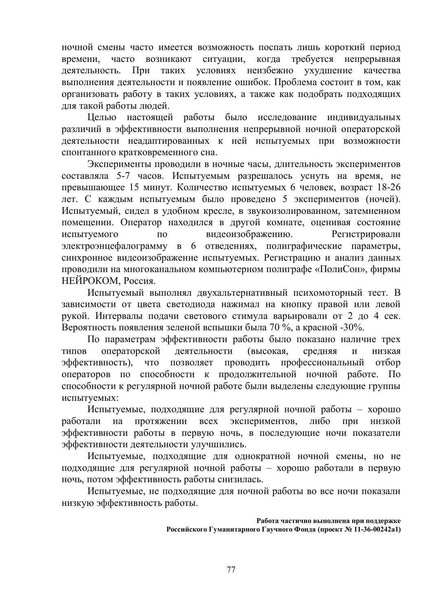ночной смены часто имеется возможность поспать лишь короткий период времени, часто возникают ситуации, когда требуется непрерывная деятельность. При таких условиях неизбежно ухудшение качества выполнения деятельности и появление ошибок. Проблема состоит в том, как организовать работу в таких условиях, а также как подобрать подходящих для такой работы людей.

Целью настоящей работы было исследование индивидуальных различий в эффективности выполнения непрерывной ночной операторской деятельности неадаптированных к ней испытуемых при возможности спонтанного кратковременного сна.

Эксперименты проводили в ночные часы, длительность экспериментов составляла 5-7 часов. Испытуемым разрешалось уснуть на время, не превышающее 15 минут. Количество испытуемых 6 человек, возраст 18-26 лет. С каждым испытуемым было проведено 5 экспериментов (ночей). Испытуемый, сидел в удобном кресле, в звукоизолированном, затемненном помещении. Оператор находился в другой комнате, оценивая состояние испытуемого по видеоизображению. Регистрировали электроэнцефалограмму в 6 отведениях, полиграфические параметры, синхронное видеоизображение испытуемых. Регистрацию и анализ данных проводили на многоканальном компьютерном полиграфе «ПолиСон», фирмы НЕЙРОКОМ, Россия.

Испытуемый выполнял двухальтернативный психомоторный тест. В зависимости от цвета светодиода нажимал на кнопку правой или левой рукой. Интервалы подачи светового стимула варьировали от 2 до 4 сек. Вероятность появления зеленой вспышки была 70 %, а красной -30%.

По параметрам эффективности работы было показано наличие трех типов операторской деятельности (высокая, средняя и низкая эффективность), что позволяет проводить профессиональный отбор операторов по способности к продолжительной ночной работе. По способности к регулярной ночной работе были выделены следующие группы испытуемых:

Испытуемые, подходящие для регулярной ночной работы – хорошо работали на протяжении всех экспериментов, либо при низкой эффективности работы в первую ночь, в последующие ночи показатели эффективности деятельности улучшились.

Испытуемые, подходящие для однократной ночной смены, но не подходящие для регулярной ночной работы – хорошо работали в первую ночь, потом эффективность работы снизилась.

Испытуемые, не подходящие для ночной работы во все ночи показали низкую эффективность работы.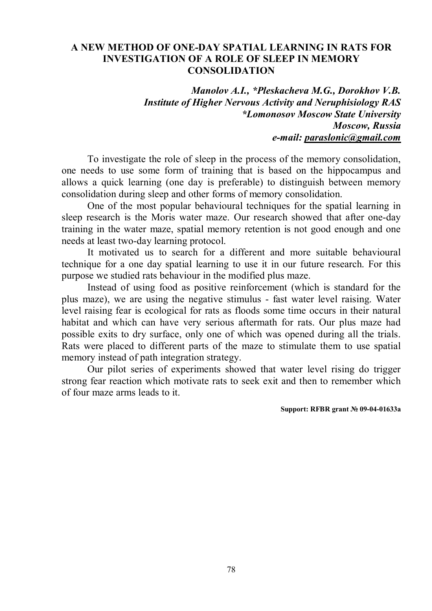# **A NEW METHOD OF ONE-DAY SPATIAL LEARNING IN RATS FOR INVESTIGATION OF A ROLE OF SLEEP IN MEMORY CONSOLIDATION**

*Manolov A.I., \*Pleskacheva M.G., Dorokhov V.B. Institute of Higher Nervous Activity and Neruphisiology RAS \*Lomonosov Moscow State University Moscow, Russia e-mail: paraslonic@gmail.com*

To investigate the role of sleep in the process of the memory consolidation, one needs to use some form of training that is based on the hippocampus and allows a quick learning (one day is preferable) to distinguish between memory consolidation during sleep and other forms of memory consolidation.

One of the most popular behavioural techniques for the spatial learning in sleep research is the Moris water maze. Our research showed that after one-day training in the water maze, spatial memory retention is not good enough and one needs at least two-day learning protocol.

It motivated us to search for a different and more suitable behavioural technique for a one day spatial learning to use it in our future research. For this purpose we studied rats behaviour in the modified plus maze.

Instead of using food as positive reinforcement (which is standard for the plus maze), we are using the negative stimulus - fast water level raising. Water level raising fear is ecological for rats as floods some time occurs in their natural habitat and which can have very serious aftermath for rats. Our plus maze had possible exits to dry surface, only one of which was opened during all the trials. Rats were placed to different parts of the maze to stimulate them to use spatial memory instead of path integration strategy.

Our pilot series of experiments showed that water level rising do trigger strong fear reaction which motivate rats to seek exit and then to remember which of four maze arms leads to it.

**Support: RFBR grant № 09-04-01633а**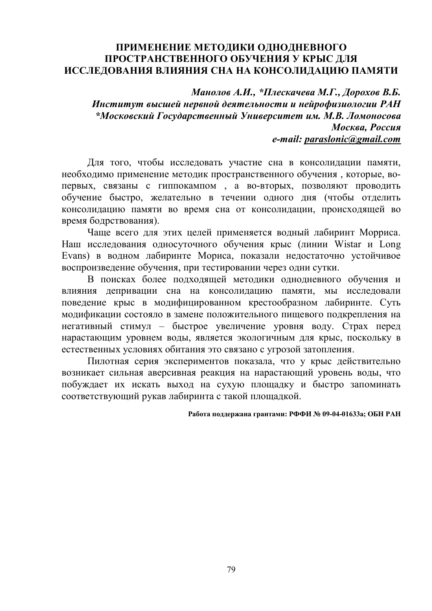# **ПРИМЕНЕНИЕ МЕТОДИКИ ОДНОДНЕВНОГО ПРОСТРАНСТВЕННОГО ОБУЧЕНИЯ У КРЫС ДЛЯ ИССЛЕДОВАНИЯ ВЛИЯНИЯ СНА НА КОНСОЛИДАЦИЮ ПАМЯТИ**

*Манолов А.И., \*Плескачева М.Г., Дорохов В.Б. Институт высшей нервной деятельности и нейрофизиологии РАН \*Московский Государственный Университет им. М.В. Ломоносова Москва, Россия e-mail: [paraslonic@gmail.com](mailto:paraslonic@gmail.com)*

Для того, чтобы исследовать участие сна в консолидации памяти, необходимо применение методик пространственного обучения , которые, вопервых, связаны с гиппокампом , а во-вторых, позволяют проводить обучение быстро, желательно в течении одного дня (чтобы отделить консолидацию памяти во время сна от консолидации, происходящей во время бодрствования).

Чаще всего для этих целей применяется водный лабиринт Морриса. Наш исследования односуточного обучения крыс (линии Wistar и Long Evans) в водном лабиринте Мориса, показали недостаточно устойчивое воспроизведение обучения, при тестировании через одни сутки.

В поисках более подходящей методики однодневного обучения и влияния депривации сна на консолидацию памяти, мы исследовали поведение крыс в модифицированном крестообразном лабиринте. Суть модификации состояло в замене положительного пищевого подкрепления на негативный стимул – быстрое увеличение уровня воду. Страх перед нарастающим уровнем воды, является экологичным для крыс, поскольку в естественных условиях обитания это связано с угрозой затопления.

Пилотная серия экспериментов показала, что у крыс действительно возникает сильная аверсивная реакция на нарастающий уровень воды, что побуждает их искать выход на сухую площадку и быстро запоминать соответствующий рукав лабиринта с такой площадкой.

#### **Работа поддержана грантами: РФФИ № 09-04-01633а; ОБН РАН**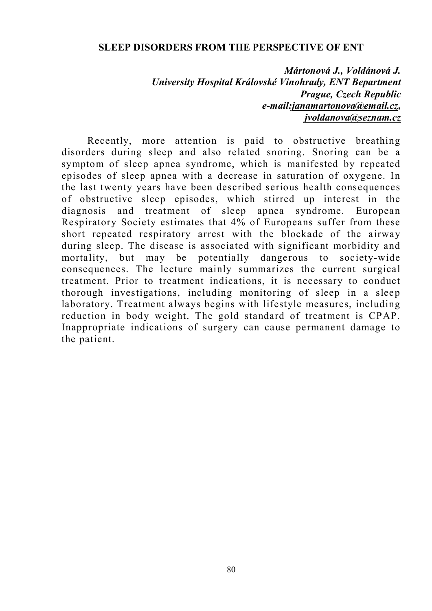#### **SLEEP DISORDERS FROM THE PERSPECTIVE OF ENT**

*Mártonová J., Voldánová J. University Hospital Královské Vinohrady, ENT Вepartment Prague, Сzech Republic e-mail:janamartonova@email.cz, jvoldanova@seznam.cz*

Recently, more attention is paid to obstructive breathing disorders during sleep and also related snoring. Snoring can be a symptom of sleep apnea syndrome, which is manifested by repeated episodes of sleep apnea with a decrease in saturation of oxygene. In the last twenty years have been described serious health consequences of obstructive sleep episodes, which stirred up interest in the diagnosis and treatment of sleep apnea syndrome. European Respiratory Society estimates that 4% of Europeans suffer from these short repeated respiratory arrest with the blockade of the airway during sleep. The disease is associated with significant morbidity and mortality, but may be potentially dangerous to society-wide consequences. The lecture mainly summarizes the current surgical treatment. Prior to treatment indications, it is necessary to conduct thorough investigations, including monitoring of sleep in a sleep laboratory. Treatment always begins with lifestyle measures, including reduction in body weight. The gold standard of treatment is CPAP. Inappropriate indications of surgery can cause permanent damage to the patient.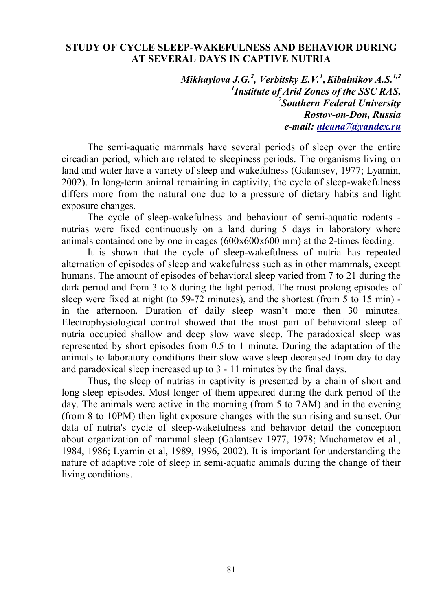### **STUDY OF CYCLE SLEEP-WAKEFULNESS AND BEHAVIOR DURING AT SEVERAL DAYS IN CAPTIVE NUTRIA**

*Mikhaylova J.G.<sup>2</sup> , Verbitsky E.V.<sup>1</sup> ,Kibalnikov A.S.1,2 1 Institute of Arid Zones of the SSC RAS, 2 Southern Federal University Rostov-on-Don, Russia e-mail: [uleana7@yandex.ru](mailto:uleana7@yandex.ru)*

The semi-aquatic mammals have several periods of sleep over the entire circadian period, which are related to sleepiness periods. The organisms living on land and water have a variety of sleep and wakefulness (Galantsev, 1977; Lyamin, 2002). In long-term animal remaining in captivity, the cycle of sleep-wakefulness differs more from the natural one due to a pressure of dietary habits and light exposure changes.

The cycle of sleep-wakefulness and behaviour of semi-aquatic rodents nutrias were fixed continuously on a land during 5 days in laboratory where animals contained one by one in cages (600х600х600 mm) at the 2-times feeding.

It is shown that the cycle of sleep-wakefulness of nutria has repeated alternation of episodes of sleep and wakefulness such as in other mammals, except humans. The amount of episodes of behavioral sleep varied from 7 to 21 during the dark period and from 3 to 8 during the light period. The most prolong episodes of sleep were fixed at night (to 59-72 minutes), and the shortest (from 5 to 15 min) in the afternoon. Duration of daily sleep wasn't more then 30 minutes. Electrophysiological control showed that the most part of behavioral sleep of nutria occupied shallow and deep slow wave sleep. The paradoxical sleep was represented by short episodes from 0.5 to 1 minute. During the adaptation of the animals to laboratory conditions their slow wave sleep decreased from day to day and paradoxical sleep increased up to 3 - 11 minutes by the final days.

Thus, the sleep of nutrias in captivity is presented by a chain of short and long sleep episodes. Most longer of them appeared during the dark period of the day. The animals were active in the morning (from 5 to 7AM) and in the evening (from 8 to 10PM) then light exposure changes with the sun rising and sunset. Our data of nutria's cycle of sleep-wakefulness and behavior detail the conception about organization of mammal sleep (Galantsev 1977, 1978; Muchametov et al., 1984, 1986; Lyamin et al, 1989, 1996, 2002). It is important for understanding the nature of adaptive role of sleep in semi-aquatic animals during the change of their living conditions.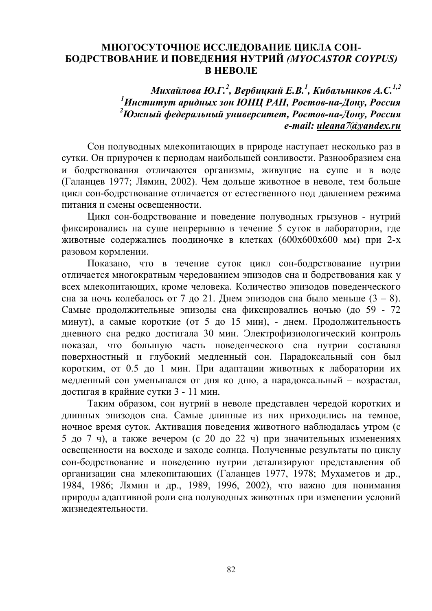# **МНОГОСУТОЧНОЕ ИССЛЕДОВАНИЕ ЦИКЛА СОН-БОДРСТВОВАНИЕ И ПОВЕДЕНИЯ НУТРИЙ** *(MYOCASTOR COYPUS)* **В НЕВОЛЕ**

# *Михайлова Ю.Г. 2 , Вербицкий Е.В. 1 , Кибальников А.С. 1,2 <sup>1</sup>Институт аридных зон ЮНЦ РАН, Ростов-на-Дону, Россия <sup>2</sup>Южный федеральный университет, Ростов-на-Дону, Россия e-mail: [uleana7@yandex.ru](mailto:uleana7@yandex.ru)*

Сон полуводных млекопитающих в природе наступает несколько раз в сутки. Он приурочен к периодам наибольшей сонливости. Разнообразием сна и бодрствования отличаются организмы, живущие на суше и в воде (Галанцев 1977; Лямин, 2002). Чем дольше животное в неволе, тем больше цикл сон-бодрствование отличается от естественного под давлением режима питания и смены освещенности.

Цикл сон-бодрствование и поведение полуводных грызунов - нутрий фиксировались на суше непрерывно в течение 5 суток в лаборатории, где животные содержались поодиночке в клетках (600х600х600 мм) при 2-х разовом кормлении.

Показано, что в течение суток цикл сон-бодрствование нутрии отличается многократным чередованием эпизодов сна и бодрствования как у всех млекопитающих, кроме человека. Количество эпизодов поведенческого сна за ночь колебалось от 7 до 21. Днем эпизодов сна было меньше (3 – 8). Самые продолжительные эпизоды сна фиксировались ночью (до 59 - 72 минут), а самые короткие (от 5 до 15 мин), - днем. Продолжительность дневного сна редко достигала 30 мин. Электрoфизиологический контроль показал, что большую часть поведенческого сна нутрии составлял поверхностный и глубокий медленный сон. Парадоксальный сон был коротким, от 0.5 до 1 мин. При адаптации животных к лаборатории их медленный сон уменьшался от дня ко дню, а парадоксальный – возрастал, достигая в крайние сутки 3 - 11 мин.

Таким образом, сон нутрий в неволе представлен чередой коротких и длинных эпизодов сна. Самые длинные из них приходились на темное, ночное время суток. Активация поведения животного наблюдалась утром (с 5 до 7 ч), а также вечером (с 20 до 22 ч) при значительных изменениях освещенности на восходе и заходе солнца. Полученные результаты по циклу сон-бодрствование и поведению нутрии детализируют представления об организации сна млекопитающих (Галанцев 1977, 1978; Мухаметов и др., 1984, 1986; Лямин и др., 1989, 1996, 2002), что важно для понимания природы адаптивной роли сна полуводных животных при изменении условий жизнедеятельности.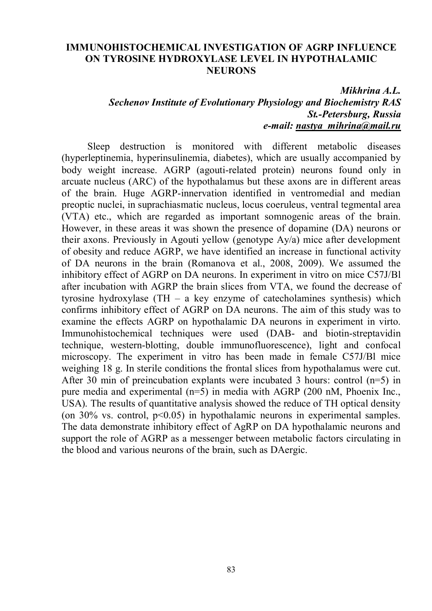# **IMMUNOHISTOCHEMICAL INVESTIGATION OF AGRP INFLUENCE ON TYROSINE HYDROXYLASE LEVEL IN HYPOTHALAMIC NEURONS**

# *Mikhrina A.L. Sechenov Institute of Evolutionary Physiology and Biochemistry RAS St.-Petersburg, Russia e-mail: [nastya\\_mihrina@mail.ru](mailto:nastya_mihrina@mail.ru)*

Sleep destruction is monitored with different metabolic diseases (hyperleptinemia, hyperinsulinemia, diabetes), which are usually accompanied by body weight increase. AGRP (agouti-related protein) neurons found only in arcuate nucleus (ARC) of the hypothalamus but these axons are in different areas of the brain. Huge AGRP-innervation identified in ventromedial and median preoptic nuclei, in suprachiasmatic nucleus, locus coeruleus, ventral tegmental area (VTA) etc., which are regarded as important somnogenic areas of the brain. However, in these areas it was shown the presence of dopamine (DA) neurons or their axons. Previously in Agouti yellow (genotype Ay/a) mice after development of obesity and reduce AGRP, we have identified an increase in functional activity of DA neurons in the brain (Romanova et al., 2008, 2009). We assumed the inhibitory effect of AGRP on DA neurons. In experiment in vitro on mice C57J/Bl after incubation with AGRP the brain slices from VTA, we found the decrease of tyrosine hydroxylase  $(TH - a \text{ key enzyme of catch} o \text{)}$  synthesis) which confirms inhibitory effect of AGRP on DA neurons. The aim of this study was to examine the effects AGRP on hypothalamic DA neurons in experiment in virto. Immunohistochemical techniques were used (DAB- and biotin-streptavidin technique, western-blotting, double immunofluorescence), light and confocal microscopy. The experiment in vitro has been made in female C57J/Bl mice weighing 18 g. In sterile conditions the frontal slices from hypothalamus were cut. After 30 min of preincubation explants were incubated 3 hours: control (n=5) in pure media and experimental (n=5) in media with AGRP (200 nM, Phoenix Inc., USA). The results of quantitative analysis showed the reduce of TH optical density (on  $30\%$  vs. control,  $p<0.05$ ) in hypothalamic neurons in experimental samples. The data demonstrate inhibitory effect of AgRP on DA hypothalamic neurons and support the role of AGRP as a messenger between metabolic factors circulating in the blood and various neurons of the brain, such as DAergic.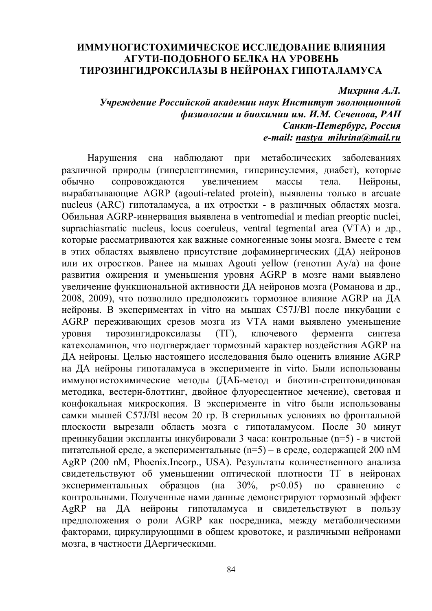# **ИММУНОГИСТОХИМИЧЕСКОЕ ИССЛЕДОВАНИЕ ВЛИЯНИЯ АГУТИ-ПОДОБНОГО БЕЛКА НА УРОВЕНЬ ТИРОЗИНГИДРОКСИЛАЗЫ В НЕЙРОНАХ ГИПОТАЛАМУСА**

*Михрина А.Л.*

# *Учреждение Российской академии наук Институт эволюционной физиологии и биохимии им. И.М. Сеченова, РАН Санкт-Петербург, Россия е-mail: [nastya\\_mihrina@mail.ru](mailto:nastya_mihrina@mail.ru)*

Нарушения сна наблюдают при метаболических заболеваниях различной природы (гиперлептинемия, гиперинсулемия, диабет), которые обычно сопровождаются увеличением массы тела. Нейроны, вырабатывающие AGRP (agouti-related protein), выявлены только в arcuate nucleus (ARC) гипоталамуса, а их отростки - в различных областях мозга. Обильная AGRP-иннервация выявлена в ventromedial и median preoptic nuclei, suprachiasmatic nucleus, locus coeruleus, ventral tegmental area (VTA) и др., которые рассматриваются как важные сомногенные зоны мозга. Вместе с тем в этих областях выявлено присутствие дофаминергических (ДА) нейронов или их отростков. Ранее на мышах Agouti yellow (генотип Ay/а) на фоне развития ожирения и уменьшения уровня AGRP в мозге нами выявлено увеличение функциональной активности ДА нейронов мозга (Романова и др., 2008, 2009), что позволило предположить тормозное влияние AGRP на ДА нейроны. В экспериментах in vitro на мышах С57J/Bl после инкубации с AGRP переживающих срезов мозга из VTA нами выявлено уменьшение уровня тирозингидроксилазы (ТГ), ключевого фермента синтеза катехоламинов, что подтверждает тормозный характер воздействия AGRP на ДА нейроны. Целью настоящего исследования было оценить влияние AGRP на ДА нейроны гипоталамуса в эксперименте in virto. Были использованы иммуногистохимические методы (ДАБ-метод и биотин-стрептовидиновая методика, вестерн-блоттинг, двойное флуоресцентное мечение), световая и конфокальная микроскопия. В эксперименте in vitro были использованы самки мышей С57J/Bl весом 20 гр. В стерильных условиях во фронтальной плоскости вырезали область мозга с гипоталамусом. После 30 минут преинкубации экспланты инкубировали 3 часа: контрольные (n=5) - в чистой питательной среде, а экспериментальные (n=5) – в среде, содержащей 200 nM AgRP (200 nM, Phoenix.Incorp., USA). Результаты количественного анализа свидетельствуют об уменьшении оптической плотности ТГ в нейронах экспериментальных образцов (на  $30\%$ ,  $p<0.05$ ) по сравнению с контрольными. Полученные нами данные демонстрируют тормозный эффект AgRP на ДА нейроны гипоталамуса и свидетельствуют в пользу предположения о роли AGRP как посредника, между метаболическими факторами, циркулирующими в общем кровотоке, и различными нейронами мозга, в частности ДАергическими.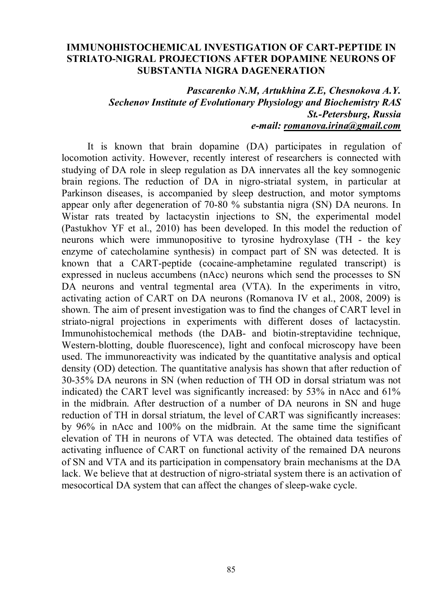# **IMMUNOHISTOCHEMICAL INVESTIGATION OF CART-PEPTIDE IN STRIATO-NIGRAL PROJECTIONS AFTER DOPAMINE NEURONS OF SUBSTANTIA NIGRA DAGENERATION**

# *Pascarenko N.M, Artukhina Z.E, Chesnokova A.Y. Sechenov Institute of Evolutionary Physiology and Biochemistry RAS St.-Petersburg, Russia e-mail: [romanova.irina@gmail.com](mailto:irinaromanova@mail.ru)*

It is known that brain dopamine (DA) participates in regulation of locomotion activity. However, recently interest of researchers is connected with studying of DA role in sleep regulation as DA innervates all the key somnogenic brain regions. The reduction of DA in nigro-striatal system, in particular at Parkinson diseases, is accompanied by sleep destruction, and motor symptoms appear only after degeneration of 70-80 % substantia nigra (SN) DA neurons. In Wistar rats treated by lactacystin injections to SN, the experimental model (Pastukhov YF et al., 2010) has been developed. In this model the reduction of neurons which were immunopositive to tyrosine hydroxylase (TH - the key enzyme of catecholamine synthesis) in compact part of SN was detected. It is known that a CART-peptide (cocaine-amphetamine regulated transcript) is expressed in nucleus accumbens (nAcc) neurons which send the processes to SN DA neurons and ventral tegmental area (VTA). In the experiments in vitro, activating action of CART on DA neurons (Romanova IV et al., 2008, 2009) is shown. The aim of present investigation was to find the changes of CART level in striato-nigral projections in experiments with different doses of lactacystin. Immunohistochemical methods (the DAB- and biotin-streptavidine technique, Western-blotting, double fluorescence), light and confocal microscopy have been used. The immunoreactivity was indicated by the quantitative analysis and optical density (OD) detection. The quantitative analysis has shown that after reduction of 30-35% DA neurons in SN (when reduction of ТH OD in dorsal striatum was not indicated) the CART level was significantly increased: by 53% in nAcc and 61% in the midbrain. After destruction of a number of DA neurons in SN and huge reduction of TH in dorsal striatum, the level of CART was significantly increases: by 96% in nAcc and 100% on the midbrain. At the same time the significant elevation of ТH in neurons of VTA was detected. The obtained data testifies of activating influence of CART on functional activity of the remained DA neurons of SN and VTA and its participation in compensatory brain mechanisms at the DA lack. We believe that at destruction of nigro-striatal system there is an activation of mesocortical DA system that can affect the changes of sleep-wake cycle.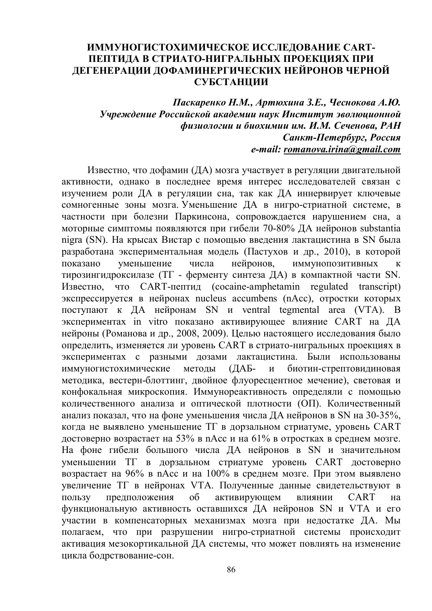# **ИММУНОГИСТОХИМИЧЕСКОЕ ИССЛЕДОВАНИЕ CART-ПЕПТИДА В СТРИАТО-НИГРАЛЬНЫХ ПРОЕКЦИЯХ ПРИ ДЕГЕНЕРАЦИИ ДОФАМИНЕРГИЧЕСКИХ НЕЙРОНОВ ЧЕРНОЙ СУБСТАНЦИИ**

# *Паскаренко Н.М., Артюхина З.Е., Чеснокова А.Ю. Учреждение Российской академии наук Институт эволюционной физиологии и биохимии им. И.М. Сеченова, РАН Санкт-Петербург, Россия e-mail: [romanova.irina@gmail.com](mailto:romanova.irina@gmail.com)*

Известно, что дофамин (ДА) мозга участвует в регуляции двигательной активности, однако в последнее время интерес исследователей связан с изучением роли ДА в регуляции сна, так как ДА иннервирует ключевые сомногенные зоны мозга. Уменьшение ДА в нигро-стриатной системе, в частности при болезни Паркинсона, сопровождается нарушением сна, а моторные симптомы появляются при гибели 70-80% ДА нейронов substantia nigra (SN). На крысах Вистар с помощью введения лактацистина в SN была разработана экспериментальная модель (Пастухов и др., 2010), в которой показано уменьшение числа нейронов, иммунопозитивных к тирозингидроксилазе (ТГ - ферменту синтеза ДА) в компактной части SN. Известно, что CART-пептид (cocaine-amphetamin regulated transcript) экспрессируется в нейронах nucleus accumbens (nAcc), отростки которых поступают к ДА нейронам SN и ventral tegmental area (VTA). В экспериментах in vitro показано активирующее влияние CART на ДА нейроны (Романова и др., 2008, 2009). Целью настоящего исследования было определить, изменяется ли уровень CART в стриато-нигральных проекциях в экспериментах с разными дозами лактацистина. Были использованы иммуногистохимические методы (ДАБ- и биотин-стрептовидиновая методика, вестерн-блоттинг, двойное флуоресцентное мечение), световая и конфокальная микроскопия. Иммунореактивность определяли с помощью количественного анализа и оптической плотности (ОП). Количественный анализ показал, что на фоне уменьшения числа ДА нейронов в SN на 30-35%, когда не выявлено уменьшение ТГ в дорзальном стриатуме, уровень CART достоверно возрастает на 53% в nAcc и на 61% в отростках в среднем мозге. На фоне гибели большого числа ДА нейронов в SN и значительном уменьшении ТГ в дорзальном стриатуме уровень CART достоверно возрастает на 96% в nAcc и на 100% в среднем мозге. При этом выявлено увеличение ТГ в нейронах VTA. Полученные данные свидетельствуют в пользу предположения об активирующем влиянии CART на функциональную активность оставшихся ДА нейронов SN и VTA и его участии в компенсаторных механизмах мозга при недостатке ДА. Мы полагаем, что при разрушении нигро-стриатной системы происходит активация мезокортикальной ДА системы, что может повлиять на изменение цикла бодрствование-сон.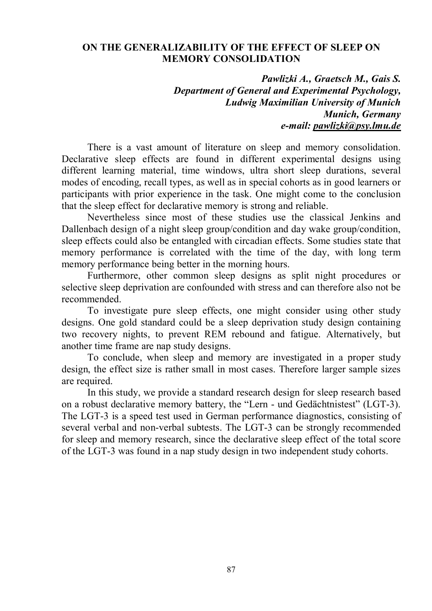# **ON THE GENERALIZABILITY OF THE EFFECT OF SLEEP ON MEMORY CONSOLIDATION**

*Pawlizki A., Graetsch M., Gais S. Department of General and Experimental Psychology, Ludwig Maximilian University of Munich Munich, Germany e-mail: pawlizki@psy.lmu.de*

There is a vast amount of literature on sleep and memory consolidation. Declarative sleep effects are found in different experimental designs using different learning material, time windows, ultra short sleep durations, several modes of encoding, recall types, as well as in special cohorts as in good learners or participants with prior experience in the task. One might come to the conclusion that the sleep effect for declarative memory is strong and reliable.

Nevertheless since most of these studies use the classical Jenkins and Dallenbach design of a night sleep group/condition and day wake group/condition, sleep effects could also be entangled with circadian effects. Some studies state that memory performance is correlated with the time of the day, with long term memory performance being better in the morning hours.

Furthermore, other common sleep designs as split night procedures or selective sleep deprivation are confounded with stress and can therefore also not be recommended.

To investigate pure sleep effects, one might consider using other study designs. One gold standard could be a sleep deprivation study design containing two recovery nights, to prevent REM rebound and fatigue. Alternatively, but another time frame are nap study designs.

To conclude, when sleep and memory are investigated in a proper study design, the effect size is rather small in most cases. Therefore larger sample sizes are required.

In this study, we provide a standard research design for sleep research based on a robust declarative memory battery, the "Lern - und Gedächtnistest" (LGT-3). The LGT-3 is a speed test used in German performance diagnostics, consisting of several verbal and non-verbal subtests. The LGT-3 can be strongly recommended for sleep and memory research, since the declarative sleep effect of the total score of the LGT-3 was found in a nap study design in two independent study cohorts.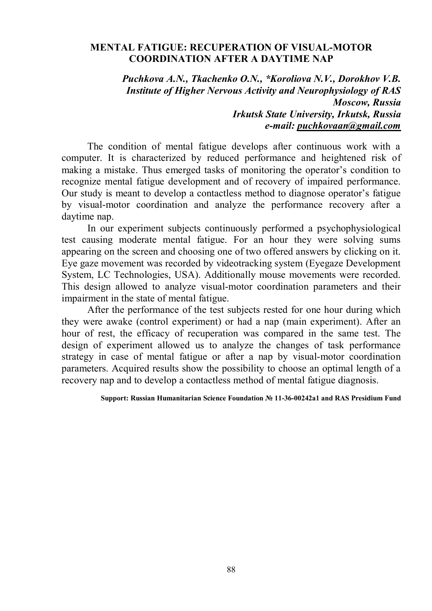#### **MENTAL FATIGUE: RECUPERATION OF VISUAL-MOTOR COORDINATION AFTER A DAYTIME NAP**

*Puchkova A.N., Tkachenko O.N., \*Koroliova N.V., Dorokhov V.B. Institute of Higher Nervous Activity and Neurophysiology of RAS Moscow, Russia Irkutsk State University, Irkutsk, Russia e-mail: [puchkovaan@gmail.com](http://e.mail.ru/cgi-bin/sentmsg?compose&To=puchkovaan@gmail.com)*

The condition of mental fatigue develops after continuous work with a computer. It is characterized by reduced performance and heightened risk of making a mistake. Thus emerged tasks of monitoring the operator's condition to recognize mental fatigue development and of recovery of impaired performance. Our study is meant to develop a contactless method to diagnose operator's fatigue by visual-motor coordination and analyze the performance recovery after a daytime nap.

In our experiment subjects continuously performed a psychophysiological test causing moderate mental fatigue. For an hour they were solving sums appearing on the screen and choosing one of two offered answers by clicking on it. Eye gaze movement was recorded by videotracking system (Eyegaze Development System, LC Technologies, USA). Additionally mouse movements were recorded. This design allowed to analyze visual-motor coordination parameters and their impairment in the state of mental fatigue.

After the performance of the test subjects rested for one hour during which they were awake (control experiment) or had a nap (main experiment). After an hour of rest, the efficacy of recuperation was compared in the same test. The design of experiment allowed us to analyze the changes of task performance strategy in case of mental fatigue or after a nap by visual-motor coordination parameters. Acquired results show the possibility to choose an optimal length of a recovery nap and to develop a contactless method of mental fatigue diagnosis.

**Support: Russian Humanitarian Science Foundation № 11-36-00242а1 and RAS Presidium Fund**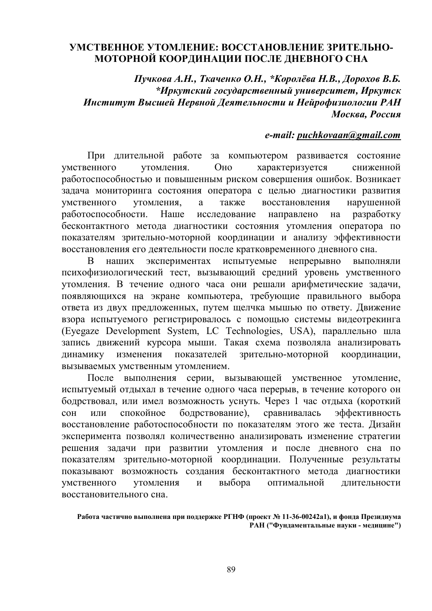# **УМСТВЕННОЕ УТОМЛЕНИЕ: ВОССТАНОВЛЕНИЕ ЗРИТЕЛЬНО-МОТОРНОЙ КООРДИНАЦИИ ПОСЛЕ ДНЕВНОГО СНА**

*Пучкова А.Н., Ткаченко О.Н., \*Королёва Н.В., Дорохов В.Б. \*Иркутский государственный университет, Иркутск Институт Высшей Нервной Деятельности и Нейрофизиологии РАН Москва, Россия*

#### *e-mail: [puchkovaan@gmail.com](mailto:puchkovaan@gmail.com)*

При длительной работе за компьютером развивается состояние умственного утомления. Оно характеризуется сниженной работоспособностью и повышенным риском совершения ошибок. Возникает задача мониторинга состояния оператора с целью диагностики развития умственного утомления, а также восстановления нарушенной работоспособности. Наше исследование направлено на разработку бесконтактного метода диагностики состояния утомления оператора по показателям зрительно-моторной координации и анализу эффективности восстановления его деятельности после кратковременного дневного сна.

В наших экспериментах испытуемые непрерывно выполняли психофизиологический тест, вызывающий средний уровень умственного утомления. В течение одного часа они решали арифметические задачи, появляющихся на экране компьютера, требующие правильного выбора ответа из двух предложенных, путем щелчка мышью по ответу. Движение взора испытуемого регистрировалось с помощью системы видеотрекинга (Eyegaze Development System, LC Technologies, USA), параллельно шла запись движений курсора мыши. Такая схема позволяла анализировать динамику изменения показателей зрительно-моторной координации, вызываемых умственным утомлением.

После выполнения серии, вызывающей умственное утомление, испытуемый отдыхал в течение одного часа перерыв, в течение которого он бодрствовал, или имел возможность уснуть. Через 1 час отдыха (короткий сон или спокойное бодрствование), сравнивалась эффективность восстановление работоспособности по показателям этого же теста. Дизайн эксперимента позволял количественно анализировать изменение стратегии решения задачи при развитии утомления и после дневного сна по показателям зрительно-моторной координации. Полученные результаты показывают возможность создания бесконтактного метода диагностики умственного утомления и выбора оптимальной длительности восстановительного сна.

**Работа частично выполнена при поддержке РГНФ (проект № 11-36-00242а1), и фонда Президиума РАН ("Фундаментальные науки - медицине")**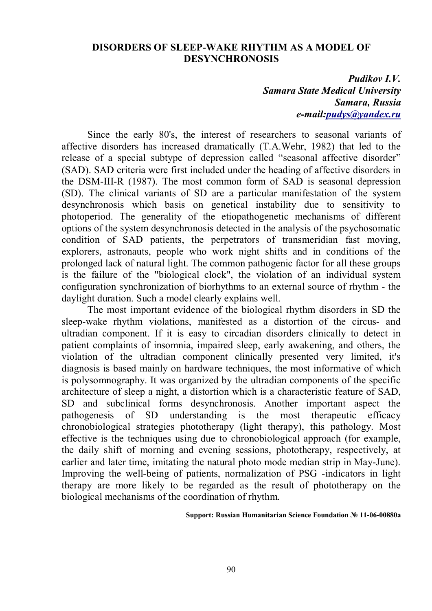### **DISORDERS OF SLEEP-WAKE RHYTHM AS A MODEL OF DESYNCHRONOSIS**

*Pudikov I.V. Samara State Medical University Samara, Russia e-mail[:pudys@yandex.ru](http://e.mail.ru/cgi-bin/sentmsg?compose&To=pudys@yandex.ru)*

Since the early 80's, the interest of researchers to seasonal variants of affective disorders has increased dramatically (T.A.Wehr, 1982) that led to the release of a special subtype of depression called "seasonal affective disorder" (SАD). SAD criteria were first included under the heading of affective disorders in the DSM-III-R (1987). The most common form of SAD is seasonal depression (SD). The clinical variants of SD are a particular manifestation of the system desynchronosis which basis on genetical instability due to sensitivity to photoperiod. The generality of the etiopathogenetic mechanisms of different options of the system desynchronosis detected in the analysis of the psychosomatic condition of SAD patients, the perpetrators of transmeridian fast moving, explorers, astronauts, people who work night shifts and in conditions of the prolonged lack of natural light. The common pathogenic factor for all these groups is the failure of the "biological clock", the violation of an individual system configuration synchronization of biorhythms to an external source of rhythm - the daylight duration. Such a model clearly explains well.

The most important evidence of the biological rhythm disorders in SD the sleep-wake rhythm violations, manifested as a distortion of the circus- and ultradian component. If it is easy to circadian disorders clinically to detect in patient complaints of insomnia, impaired sleep, early awakening, and others, the violation of the ultradian component clinically presented very limited, it's diagnosis is based mainly on hardware techniques, the most informative of which is polysomnography. It was organized by the ultradian components of the specific architecture of sleep a night, a distortion which is a characteristic feature of SAD, SD and subclinical forms desynchronosis. Another important aspect the pathogenesis of SD understanding is the most therapeutic efficacy chronobiological strategies phototherapy (light therapy), this pathology. Most effective is the techniques using due to chronobiological approach (for example, the daily shift of morning and evening sessions, phototherapy, respectively, at earlier and later time, imitating the natural photo mode median strip in May-June). Improving the well-being of patients, normalization of PSG -indicators in light therapy are more likely to be regarded as the result of phototherapy on the biological mechanisms of the coordination of rhythm.

#### **Support: Russian Humanitarian Science Foundation № 11-06-00880а**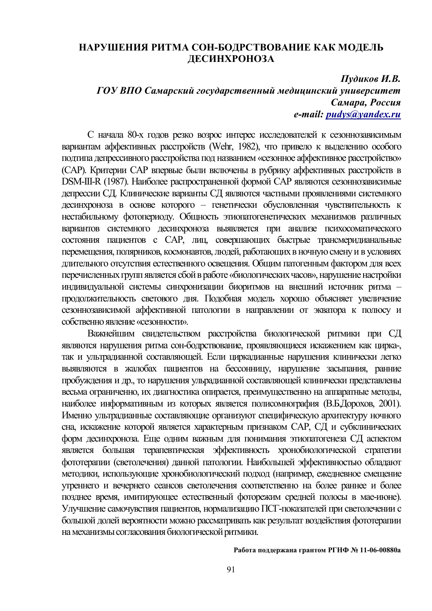### **НАРУШЕНИЯ РИТМА СОН-БОДРСТВОВАНИЕ КАК МОДЕЛЬ ДЕСИНХРОНОЗА**

*Пудиков И.В.*

### *ГОУ ВПО Самарский государственный медицинский университет Самара, Россия e-mail: [pudys@yandex.ru](mailto:pudys@yandex.ru)*

С начала 80-х годов резко возрос интерес исследователей к сезоннозависимым вариантам аффективных расстройств (Wehr, 1982), что привело к выделению особого подтипа депрессивного расстройства под названием «сезонное аффективное расстройство» (САР). Критерии САР впервые были включены в рубрику аффективных расстройств в DSM-III-R (1987). Наиболее распространенной формой САР являются сезоннозависимые депрессии СД. Клинические варианты СД являются частными проявлениями системного десинхроноза в основе которого – генетически обусловленная чувствительность к нестабильному фотопериоду. Общность этиопатогенетических механизмов различных вариантов системного десинхроноза выявляется при анализе психосоматического состояния пациентов с САР, лиц, совершающих быстрые трансмеридианальные перемещения, полярников, космонавтов, людей, работающих в ночную смену и в условиях длительного отсутствия естественного освещения. Общим патогенным фактором для всех перечисленных групп является сбой в работе «биологических часов», нарушение настройки индивидуальной системы синхронизации биоритмов на внешний источник ритма – продолжительность светового дня. Подобная модель хорошо объясняет увеличение сезоннозависимой аффективной патологии в направлении от экватора к полюсу и собственно явление «сезонности».

Важнейшим свидетельством расстройства биологической ритмики при СД являются нарушения ритма сон-бодрствование, проявляющиеся искажением как цирка-, так и ультрадианной составляющей. Если циркадианные нарушения клинически легко выявляются в жалобах пациентов на бессонницу, нарушение засыпания, ранние пробуждения и др., то нарушения ульрадианной составляющей клинически представлены весьма ограниченно, их диагностика опирается, преимущественно на аппаратные методы, наиболее информативным из которых является полисомнография (В.Б.Дорохов, 2001). Именно ультрадианные составляющие организуют специфическую архитектуру ночного сна, искажение которой является характерным признаком САР, СД и субклинических форм десинхроноза. Еще одним важным для понимания этиопатогенеза СД аспектом является большая терапевтическая эффективность хронобиологической стратегии фототерапии (светолечения) данной патологии. Наибольшей эффективностью обладают методики, использующие хронобиологический подход (например, ежедневное смещение утреннего и вечернего сеансов светолечения соответственно на более раннее и более позднее время, имитирующее естественный фоторежим средней полосы в мае-июне). Улучшение самочувствия пациентов, нормализацию ПСГ-показателей при светолечении с большой долей вероятности можно рассматривать как результат воздействия фототерапии на механизмы согласования биологической ритмики.

#### **Работа поддержана грантом РГНФ № 11-06-00880а**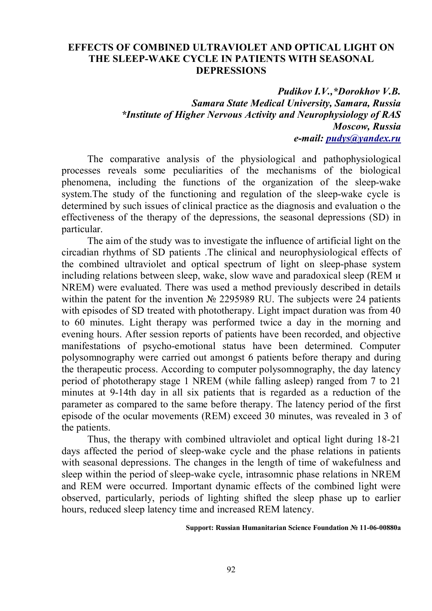# **EFFECTS OF COMBINED ULTRAVIOLET AND OPTICAL LIGHT ON THE SLEEP-WAKE CYCLE IN PATIENTS WITH SEASONAL DEPRESSIONS**

*Pudikov I.V.,\*Dorokhov V.B. Samara State Medical University, Samara, Russia \*Institute of Higher Nervous Activity and Neurophysiology of RAS Moscow, Russia e-mail: [pudys@yandex.ru](http://e.mail.ru/cgi-bin/sentmsg?compose&To=pudys@yandex.ru)*

The comparative analysis of the physiological and pathophysiological processes reveals some peculiarities of the mechanisms of the biological phenomena, including the functions of the organization of the sleep-wake system.The study of the functioning and regulation of the sleep-wake cycle is determined by such issues of clinical practice as the diagnosis and evaluation o the effectiveness of the therapy of the depressions, the seasonal depressions (SD) in particular.

The aim of the study was to investigate the influence of artificial light on the circadian rhythms of SD patients .The clinical and neurophysiological effects of the combined ultraviolet and optical spectrum of light on sleep-phase system including relations between sleep, wake, slow wave and paradoxical sleep (REM и NREM) were evaluated. There was used a method previously described in details within the patent for the invention № 2295989 RU. The subjects were 24 patients with episodes of SD treated with phototherapy. Light impact duration was from 40 to 60 minutes. Light therapy was performed twice a day in the morning and evening hours. After session reports of patients have been recorded, and objective manifestations of psycho-emotional status have been determined. Computer polysomnography were carried out amongst 6 patients before therapy and during the therapeutic process. According to computer polysomnography, the day latency period of phototherapy stage 1 NREM (while falling asleep) ranged from 7 to 21 minutes at 9-14th day in all six patients that is regarded as a reduction of the parameter as compared to the same before therapy. The latency period of the first episode of the ocular movements (REM) exceed 30 minutes, was revealed in 3 of the patients.

Thus, the therapy with combined ultraviolet and optical light during 18-21 days affected the period of sleep-wake cycle and the phase relations in patients with seasonal depressions. The changes in the length of time of wakefulness and sleep within the period of sleep-wake cycle, intrasomnic phase relations in NREM and REM were occurred. Important dynamic effects of the combined light were observed, particularly, periods of lighting shifted the sleep phase up to earlier hours, reduced sleep latency time and increased REM latency.

**Support: Russian Humanitarian Science Foundation № 11-06-00880а**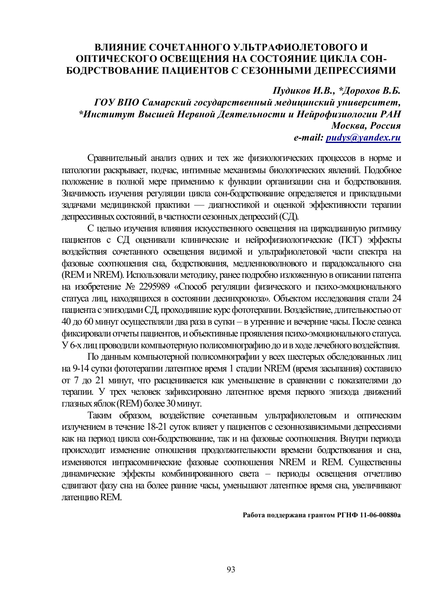# **ВЛИЯНИЕ СОЧЕТАННОГО УЛЬТРАФИОЛЕТОВОГО И ОПТИЧЕСКОГО ОСВЕЩЕНИЯ НА СОСТОЯНИЕ ЦИКЛА СОН-БОДРСТВОВАНИЕ ПАЦИЕНТОВ С СЕЗОННЫМИ ДЕПРЕССИЯМИ**

*Пудиков И.В., \*Дорохов В.Б. ГОУ ВПО Самарский государственный медицинский университет, \*Институт Высшей Нервной Деятельности и Нейрофизиологии РАН Москва, Россия e-mail: [pudys@yandex.ru](http://e.mail.ru/cgi-bin/sentmsg?compose&To=pudys@yandex.ru)*

Сравнительный анализ одних и тех же физиологических процессов в норме и патологии раскрывает, подчас, интимные механизмы биологических явлений. Подобное положение в полной мере применимо к функции организации сна и бодрствования. Значимость изучения регуляции цикла сон-бодрствование определяется и прикладными задачами медицинской практики — диагностикой и оценкой эффективности терапии депрессивных состояний, в частности сезонных депрессий (СД).

С целью изучения влияния искусственного освещения на циркадианную ритмику пациентов с СД оценивали клинические и нейрофизиологические (ПСГ) эффекты воздействия сочетанного освещения видимой и ультрафиолетовой части спектра на фазовые соотношения сна, бодрствования, медленноволнового и парадоксального сна (REM и NREM). Использовали методику, ранее подробно изложенную в описании патента на изобретение № 2295989 «Способ регуляции физического и психо-эмоционального статуса лиц, находящихся в состоянии десинхроноза». Объектом исследования стали 24 пациента с эпизодами СД, проходившие курс фототерапии. Воздействие, длительностью от 40 до 60 минут осуществляли два раза в сутки – в утренние и вечерние часы. После сеанса фиксировали отчеты пациентов, и объективные проявления психо-эмоционального статуса. У 6-х лиц проводили компьютерную полисомнографию до и в ходе лечебного воздействия.

По данным компьютерной полисомнографии у всех шестерых обследованных лиц на 9-14 сутки фототерапии латентное время 1 стадии NREM (время засыпания) составило от 7 до 21 минут, что расценивается как уменьшение в сравнении с показателями до терапии. У трех человек зафиксировано латентное время первого эпизода движений глазных яблок (REM) более 30 минут.

Таким образом, воздействие сочетанным ультрафиолетовым и оптическим излучением в течение 18-21 суток влияет у пациентов с сезоннозависимыми депрессиями как на период цикла сон-бодрствование, так и на фазовые соотношения. Внутри периода происходит изменение отношения продолжительности времени бодрствования и сна, изменяются интрасомнические фазовые соотношения NREM и REM. Существенны динамические эффекты комбинированного света – периоды освещения отчетливо сдвигают фазу сна на более ранние часы, уменьшают латентное время сна, увеличивают латенцию REM.

#### **Работа поддержана грантом РГНФ 11-06-00880а**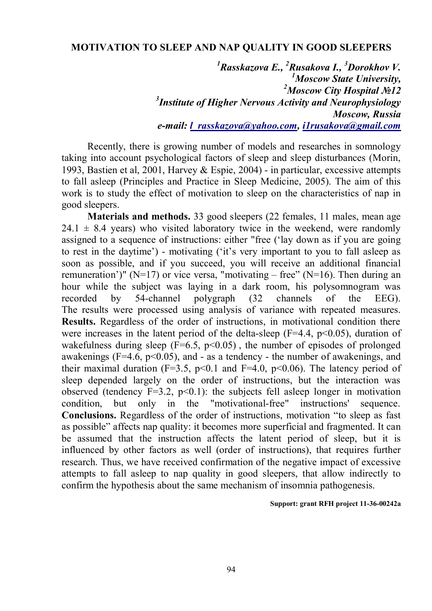#### **MOTIVATION TO SLEEP AND NAP QUALITY IN GOOD SLEEPERS**

*Rasskazova E., <sup>2</sup>Rusakova I., <sup>3</sup>Dorokhov V. Moscow State University, Moscow City Hospital №12 Institute of Higher Nervous Activity and Neurophysiology Moscow, Russia e-mail: [l\\_rasskazova@yahoo.com,](mailto:l_rasskazova@yahoo.com) [i1rusakova@gmail.com](mailto:i1rusakova@gmail.com)*

Recently, there is growing number of models and researches in somnology taking into account psychological factors of sleep and sleep disturbances (Morin, 1993, Bastien et al, 2001, Harvey & Espie, 2004) - in particular, excessive attempts to fall asleep (Principles and Practice in Sleep Medicine, 2005). The aim of this work is to study the effect of motivation to sleep on the characteristics of nap in good sleepers.

**Materials and methods.** 33 good sleepers (22 females, 11 males, mean age  $24.1 \pm 8.4$  years) who visited laboratory twice in the weekend, were randomly assigned to a sequence of instructions: either "free ('lay down as if you are going to rest in the daytime') - motivating ('it's very important to you to fall asleep as soon as possible, and if you succeed, you will receive an additional financial remuneration')" (N=17) or vice versa, "motivating – free" (N=16). Then during an hour while the subject was laying in a dark room, his polysomnogram was recorded by 54-channel polygraph (32 channels of the EEG). The results were processed using analysis of variance with repeated measures. **Results.** Regardless of the order of instructions, in motivational condition there were increases in the latent period of the delta-sleep  $(F=4.4, p<0.05)$ , duration of wakefulness during sleep  $(F=6.5, p<0.05)$ , the number of episodes of prolonged awakenings ( $F=4.6$ ,  $p<0.05$ ), and - as a tendency - the number of awakenings, and their maximal duration ( $F=3.5$ ,  $p<0.1$  and  $F=4.0$ ,  $p<0.06$ ). The latency period of sleep depended largely on the order of instructions, but the interaction was observed (tendency  $F=3.2$ ,  $p<0.1$ ): the subjects fell asleep longer in motivation condition, but only in the "motivational-free" instructions' sequence. **Conclusions.** Regardless of the order of instructions, motivation "to sleep as fast as possible" affects nap quality: it becomes more superficial and fragmented. It can be assumed that the instruction affects the latent period of sleep, but it is influenced by other factors as well (order of instructions), that requires further research. Thus, we have received confirmation of the negative impact of excessive attempts to fall asleep to nap quality in good sleepers, that allow indirectly to confirm the hypothesis about the same mechanism of insomnia pathogenesis.

**Support: grant RFH project 11-36-00242a**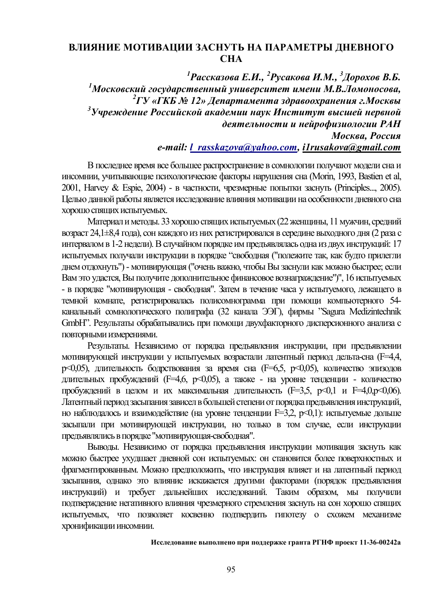#### **ВЛИЯНИЕ МОТИВАЦИИ ЗАСНУТЬ НА ПАРАМЕТРЫ ДНЕВНОГО СНА**

*1 Рассказова Е.И., 2 Русакова И.М., <sup>3</sup>Дорохов В.Б. <sup>1</sup>Московский государственный университет имени М.В.Ломоносова, 2 ГУ «ГКБ № 12» Департамента здравоохранения г.Москвы <sup>3</sup>Учреждение Российской академии наук Институт высшей нервной деятельности и нейрофизиологии РАН Москва, Россия e-mail: [l\\_rasskazova@yahoo.com,](mailto:l_rasskazova@yahoo.com) i1rusakova@gmail.com*

В последнее время все большее распространение в сомнологии получают модели сна и инсомнии, учитывающие психологические факторы нарушения сна (Morin, 1993, Bastien et al, 2001, Harvey & Espie, 2004) - в частности, чрезмерные попытки заснуть (Principles..., 2005). Целью данной работы является исследование влияния мотивации на особенности дневного сна хорошо спящих испытуемых.

Материал и методы. 33 хорошо спящих испытуемых (22 женщины, 11 мужчин, средний возраст 24,1±8,4 года), сон каждого из них регистрировался в середине выходного дня (2 раза с интервалом в 1-2 недели). В случайном порядке им предъявлялась одна из двух инструкций: 17 испытуемых получали инструкции в порядке "свободная ("полежите так, как будто прилегли днем отдохнуть") - мотивирующая ("очень важно, чтобы Вы заснули как можно быстрее; если Вам это удастся, Вы получите дополнительное финансовое вознаграждение")", 16 испытуемых - в порядке "мотивирующая - свободная". Затем в течение часа у испытуемого, лежащего в темной комнате, регистрировалась полисомнограмма при помощи компьютерного 54 канальный сомнологического полиграфа (32 канала ЭЭГ), фирмы "Sagura Medizintechnik GmbH". Результаты обрабатывались при помощи двухфакторного дисперсионного анализа с повторными измерениями.

Результаты. Независимо от порядка предъявления инструкции, при предъявлении мотивирующей инструкции у испытуемых возрастали латентный период дельта-сна (F=4,4, p<0,05), длительность бодрствования за время сна (F=6,5, p<0,05), количество эпизодов длительных пробуждений (F=4,6, p<0,05), а также - на уровне тенденции - количество пробуждений в целом и их максимальная длительность (F=3,5, p<0,1 и F=4,0,p<0,06). Латентный период засыпания зависел в большей степени от порядка предъявления инструкций, но наблюдалось и взаимодействие (на уровне тенденции F=3,2, p<0,1): испытуемые дольше засыпали при мотивирующей инструкции, но только в том случае, если инструкции предъявлялись в порядке "мотивирующая-свободная".

Выводы. Независимо от порядка предъявления инструкции мотивация заснуть как можно быстрее ухудшает дневной сон испытуемых: он становится более поверхностных и фрагментированным. Можно предположить, что инструкция влияет и на латентный период засыпания, однако это влияние искажается другими факторами (порядок предъявления инструкций) и требует дальнейших исследований. Таким образом, мы получили подтверждение негативного влияния чрезмерного стремления заснуть на сон хорошо спящих испытуемых, что позволяет косвенно подтвердить гипотезу о схожем механизме хронификации инсомнии.

**Исследование выполнено при поддержке гранта РГНФ проект 11-36-00242а**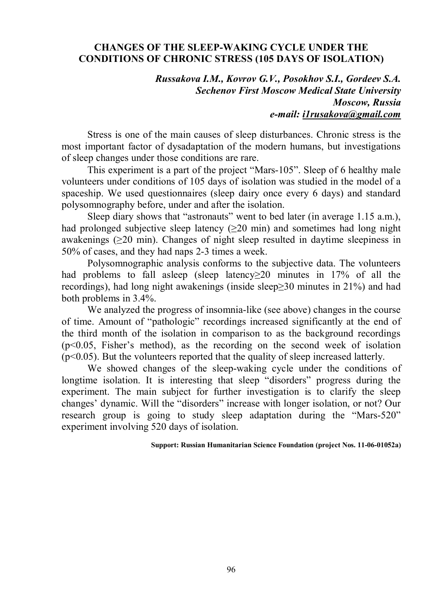# **CHANGES OF THE SLEEP-WAKING CYCLE UNDER THE CONDITIONS OF CHRONIC STRESS (105 DAYS OF ISOLATION)**

*Russakova I.M., Kovrov G.V., Posokhov S.I., Gordeev S.A. Sechenov First Moscow Medical State University Moscow, Russia e-mail: [i1rusakova@gmail.com](mailto:i1rusakova@gmail.com)*

Stress is one of the main causes of sleep disturbances. Chronic stress is the most important factor of dysadaptation of the modern humans, but investigations of sleep changes under those conditions are rare.

This experiment is a part of the project "Mars-105". Sleep of 6 healthy male volunteers under conditions of 105 days of isolation was studied in the model of a spaceship. We used questionnaires (sleep dairy once every 6 days) and standard polysomnography before, under and after the isolation.

Sleep diary shows that "astronauts" went to bed later (in average 1.15 a.m.), had prolonged subjective sleep latency  $(\geq 20 \text{ min})$  and sometimes had long night awakenings  $(\geq 20 \text{ min})$ . Changes of night sleep resulted in daytime sleepiness in 50% of cases, and they had naps 2-3 times a week.

Polysomnographic analysis conforms to the subjective data. The volunteers had problems to fall asleep (sleep latency≥20 minutes in 17% of all the recordings), had long night awakenings (inside sleep≥30 minutes in 21%) and had both problems in 3.4%.

We analyzed the progress of insomnia-like (see above) changes in the course of time. Amount of "pathologic" recordings increased significantly at the end of the third month of the isolation in comparison to as the background recordings (p<0.05, Fisher's method), as the recording on the second week of isolation (p<0.05). But the volunteers reported that the quality of sleep increased latterly.

We showed changes of the sleep-waking cycle under the conditions of longtime isolation. It is interesting that sleep "disorders" progress during the experiment. The main subject for further investigation is to clarify the sleep changes' dynamic. Will the "disorders" increase with longer isolation, or not? Our research group is going to study sleep adaptation during the "Mars-520" experiment involving 520 days of isolation.

**Support: Russian Humanitarian Science Foundation (project Nos. 11-06-01052a)**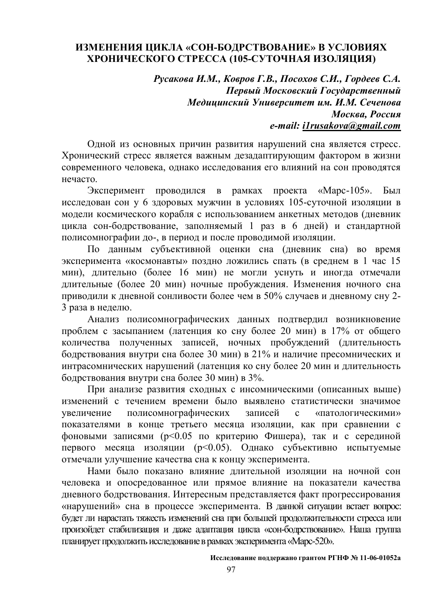# **ИЗМЕНЕНИЯ ЦИКЛА «СОН-БОДРСТВОВАНИЕ» В УСЛОВИЯХ ХРОНИЧЕСКОГО СТРЕССА (105-СУТОЧНАЯ ИЗОЛЯЦИЯ)**

*Русакова И.М., Ковров Г.В., Посохов С.И., Гордеев С.А. Первый Московский Государственный Медицинский Университет им. И.М. Сеченова Москва, Россия e-mail: [i1rusakova@gmail.com](mailto:i1rusakova@gmail.com)*

Одной из основных причин развития нарушений сна является стресс. Хронический стресс является важным дезадаптирующим фактором в жизни современного человека, однако исследования его влияний на сон проводятся нечасто.

Эксперимент проводился в рамках проекта «Марс-105». Был исследован сон у 6 здоровых мужчин в условиях 105-суточной изоляции в модели космического корабля с использованием анкетных методов (дневник цикла сон-бодрствование, заполняемый 1 раз в 6 дней) и стандартной полисомнографии до-, в период и после проводимой изоляции.

По данным субъективной оценки сна (дневник сна) во время эксперимента «космонавты» поздно ложились спать (в среднем в 1 час 15 мин), длительно (более 16 мин) не могли уснуть и иногда отмечали длительные (более 20 мин) ночные пробуждения. Изменения ночного сна приводили к дневной сонливости более чем в 50% случаев и дневному сну 2- 3 раза в неделю.

Анализ полисомнографических данных подтвердил возникновение проблем с засыпанием (латенция ко сну более 20 мин) в 17% от общего количества полученных записей, ночных пробуждений (длительность бодрствования внутри сна более 30 мин) в 21% и наличие пресомнических и интрасомнических нарушений (латенция ко сну более 20 мин и длительность бодрствования внутри сна более 30 мин) в 3%.

При анализе развития сходных с инсомническими (описанных выше) изменений с течением времени было выявлено статистически значимое увеличение полисомнографических записей с «патологическими» показателями в конце третьего месяца изоляции, как при сравнении с фоновыми записями (p<0.05 по критерию Фишера), так и с серединой первого месяца изоляции (p<0.05). Однако субъективно испытуемые отмечали улучшение качества сна к концу эксперимента.

Нами было показано влияние длительной изоляции на ночной сон человека и опосредованное или прямое влияние на показатели качества дневного бодрствования. Интересным представляется факт прогрессирования «нарушений» сна в процессе эксперимента. В данной ситуации встает вопрос: будет ли нарастать тяжесть изменений сна при большей продолжительности стресса или произойдет стабилизация и даже адаптация цикла «сон-бодрствование». Наша группа планирует продолжить исследование в рамках эксперимента «Марс-520».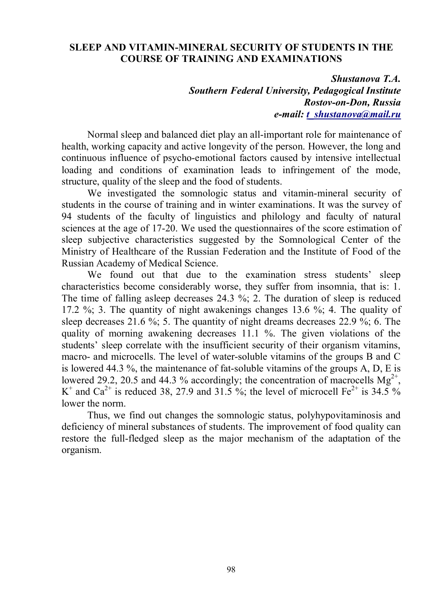# **SLEEP AND VITAMIN-MINERAL SECURITY OF STUDENTS IN THE COURSE OF TRAINING AND EXAMINATIONS**

*Shustanova Т.А. Southern Federal University, Pedagogical Institute Rostov-on-Don, Russia e-mail: [t\\_shustanova@mail.ru](mailto:t_shustanova@mail.ru)*

Normal sleep and balanced diet play an all-important role for maintenance of health, working capacity and active longevity of the person. However, the long and continuous influence of psycho-emotional factors caused by intensive intellectual loading and conditions of examination leads to infringement of the mode, structure, quality of the sleep and the food of students.

We investigated the somnologic status and vitamin-mineral security of students in the course of training and in winter examinations. It was the survey of 94 students of the faculty of linguistics and philology and faculty of natural sciences at the age of 17-20. We used the questionnaires of the score estimation of sleep subjective characteristics suggested by the Somnological Center of the Ministry of Healthcare of the Russian Federation and the Institute of Food of the Russian Academy of Medical Science.

We found out that due to the examination stress students' sleep characteristics become considerably worse, they suffer from insomnia, that is: 1. The time of falling asleep decreases 24.3 %; 2. The duration of sleep is reduced 17.2 %; 3. The quantity of night awakenings changes 13.6 %; 4. The quality of sleep decreases 21.6 %; 5. The quantity of night dreams decreases 22.9 %; 6. The quality of morning awakening decreases 11.1 %. The given violations of the students' sleep correlate with the insufficient security of their organism vitamins, macro- and microcells. The level of water-soluble vitamins of the groups B and C is lowered 44.3 %, the maintenance of fat-soluble vitamins of the groups A, D, Е is lowered 29.2, 20.5 and 44.3 % accordingly; the concentration of macrocells  $Mg^{2+}$ , K<sup>+</sup> and Ca<sup>2+</sup> is reduced 38, 27.9 and 31.5%; the level of microcell Fe<sup>2+</sup> is 34.5% lower the norm.

Thus, we find out changes the somnologic status, polyhypovitaminosis and deficiency of mineral substances of students. The improvement of food quality can restore the full-fledged sleep as the major mechanism of the adaptation of the organism.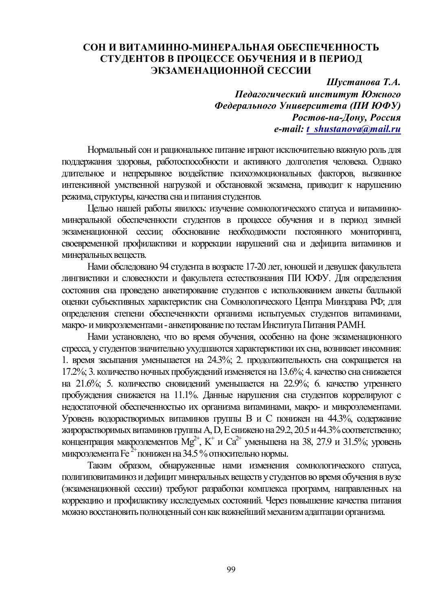# **СОН И ВИТАМИННО-МИНЕРАЛЬНАЯ ОБЕСПЕЧЕННОСТЬ СТУДЕНТОВ В ПРОЦЕССЕ ОБУЧЕНИЯ И В ПЕРИОД ЭКЗАМЕНАЦИОННОЙ СЕССИИ**

*Шустанова Т.А.*

*Педагогический институт Южного Федерального Университета (ПИ ЮФУ) Ростов-на-Дону, Россия e-mail: [t\\_shustanova@mail.ru](mailto:t_shustanova@mail.ru)*

Нормальный сон и рациональное питание играют исключительно важную роль для поддержания здоровья, работоспособности и активного долголетия человека. Однако длительное и непрерывное воздействие психоэмоциональных факторов, вызванное интенсивной умственной нагрузкой и обстановкой экзамена, приводит к нарушению режима, структуры, качества сна и питания студентов.

Целью нашей работы явилось: изучение сомнологического статуса и витаминноминеральной обеспеченности студентов в процессе обучения и в период зимней экзаменационной сессии; обоснование необходимости постоянного мониторинга, своевременной профилактики и коррекции нарушений сна и дефицита витаминов и минеральных веществ.

Нами обследовано 94 студента в возрасте 17-20 лет, юношей и девушек факультета лингвистики и словесности и факультета естествознания ПИ ЮФУ. Для определения состояния сна проведено анкетирование студентов с использованием анкеты балльной оценки субъективных характеристик сна Сомнологического Центра Минздрава РФ; для определения степени обеспеченности организма испытуемых студентов витаминами, макро- и микроэлементами - анкетирование по тестам Института Питания РАМН.

Нами установлено, что во время обучения, особенно на фоне экзаменационного стресса, у студентов значительно ухудшаются характеристики их сна, возникает инсомния: 1. время засыпания уменьшается на 24.3%; 2. продолжительность сна сокращается на 17.2%; 3. количество ночных пробуждений изменяется на 13.6%; 4. качество сна снижается на 21.6%; 5. количество сновидений уменьшается на 22.9%; 6. качество утреннего пробуждения снижается на 11.1%. Данные нарушения сна студентов коррелируют с недостаточной обеспеченностью их организма витаминами, макро- и микроэлементами. Уровень водорастворимых витаминов группы В и С понижен на 44.3%, содержание жирорастворимых витаминов группы А, D, Е снижено на 29.2, 20.5 и 44.3% соответственно; концентрация макроэлементов  $Mg^{2+}$ ,  $K^+$  и  $Ca^{2+}$  уменьшена на 38, 27.9 и 31.5%; уровень микроэлемента Fe<sup> $2+$ </sup>понижен на 34.5 % относительно нормы.

Таким образом, обнаруженные нами изменения сомнологического статуса, полигиповитаминоз и дефицит минеральных веществ у студентов во время обучения в вузе (экзаменационной сессии) требуют разработки комплекса программ, направленных на коррекцию и профилактику исследуемых состояний. Через повышение качества питания можно восстановить полноценный сон как важнейший механизм адаптации организма.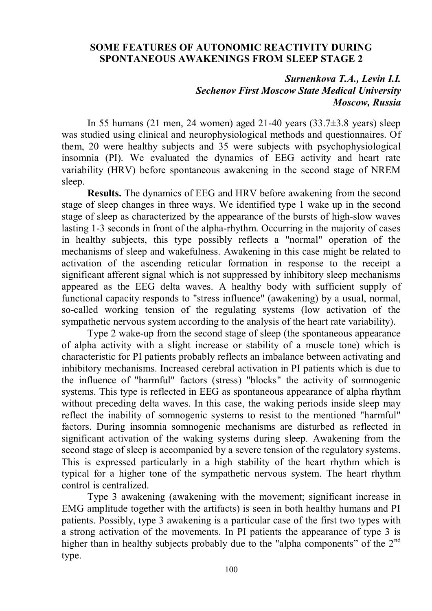# **SOME FEATURES OF AUTONOMIC REACTIVITY DURING SPONTANEOUS AWAKENINGS FROM SLEEP STAGE 2**

*Surnenkova T.A., Levin I.I. Sechenov First Moscow State Medical University Moscow, Russia*

In 55 humans (21 men, 24 women) aged 21-40 years  $(33.7\pm3.8 \text{ years})$  sleep was studied using clinical and neurophysiological methods and questionnaires. Of them, 20 were healthy subjects and 35 were subjects with psychophysiological insomnia (PI). We evaluated the dynamics of EEG activity and heart rate variability (HRV) before spontaneous awakening in the second stage of NREM sleep.

**Results.** The dynamics of EEG and HRV before awakening from the second stage of sleep changes in three ways. We identified type 1 wake up in the second stage of sleep as characterized by the appearance of the bursts of high-slow waves lasting 1-3 seconds in front of the alpha-rhythm. Occurring in the majority of cases in healthy subjects, this type possibly reflects a "normal" operation of the mechanisms of sleep and wakefulness. Awakening in this case might be related to activation of the ascending reticular formation in response to the receipt a significant afferent signal which is not suppressed by inhibitory sleep mechanisms appeared as the EEG delta waves. A healthy body with sufficient supply of functional capacity responds to "stress influence" (awakening) by a usual, normal, so-called working tension of the regulating systems (low activation of the sympathetic nervous system according to the analysis of the heart rate variability).

Type 2 wake-up from the second stage of sleep (the spontaneous appearance of alpha activity with a slight increase or stability of a muscle tone) which is characteristic for PI patients probably reflects an imbalance between activating and inhibitory mechanisms. Increased cerebral activation in PI patients which is due to the influence of "harmful" factors (stress) "blocks" the activity of somnogenic systems. This type is reflected in EEG as spontaneous appearance of alpha rhythm without preceding delta waves. In this case, the waking periods inside sleep may reflect the inability of somnogenic systems to resist to the mentioned "harmful" factors. During insomnia somnogenic mechanisms are disturbed as reflected in significant activation of the waking systems during sleep. Awakening from the second stage of sleep is accompanied by a severe tension of the regulatory systems. This is expressed particularly in a high stability of the heart rhythm which is typical for a higher tone of the sympathetic nervous system. The heart rhythm control is centralized.

Type 3 awakening (awakening with the movement; significant increase in EMG amplitude together with the artifacts) is seen in both healthy humans and PI patients. Possibly, type 3 awakening is a particular case of the first two types with a strong activation of the movements. In PI patients the appearance of type 3 is higher than in healthy subjects probably due to the "alpha components" of the 2<sup>nd</sup> type.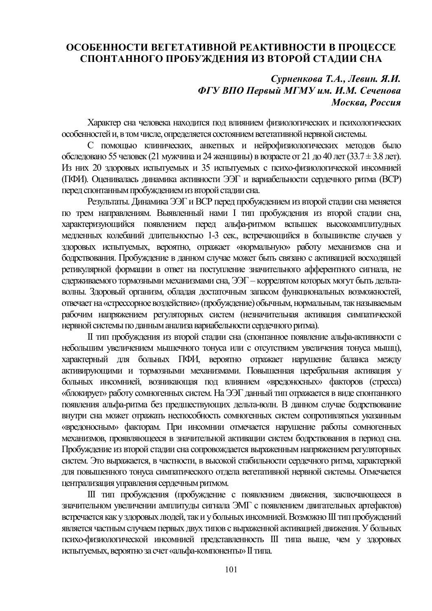# **ОСОБЕННОСТИ ВЕГЕТАТИВНОЙ РЕАКТИВНОСТИ В ПРОЦЕССЕ СПОНТАННОГО ПРОБУЖДЕНИЯ ИЗ ВТОРОЙ СТАДИИ СНА**

### *Сурненкова Т.А., Левин. Я.И. ФГУ ВПО Первый МГМУ им. И.М. Сеченова Москва, Россия*

Характер сна человека находится под влиянием физиологических и психологических особенностей и, в том числе, определяется состоянием вегетативной нервной системы.

С помощью клинических, анкетных и нейрофизиологических методов было обследовано 55 человек (21 мужчина и 24 женщины) в возрасте от 21 до 40 лет (33.7 ± 3.8 лет). Из них 20 здоровых испытуемых и 35 испытуемых с психо-физиологической инсомнией (ПФИ). Оценивалась динамика активности ЭЭГ и вариабельности сердечного ритма (ВСР) перед спонтанным пробуждением из второй стадии сна.

Результаты. Динамика ЭЭГ и ВСР перед пробуждением из второй стадии сна меняется по трем направлениям. Выявленный нами I тип пробуждения из второй стадии сна, характеризующийся появлением перед альфа-ритмом вспышек высокоамплитудных медленных колебаний длительностью 1-3 сек., встречающийся в большинстве случаев у здоровых испытуемых, вероятно, отражает «нормальную» работу механизмов сна и бодрствования. Пробуждение в данном случае может быть связано с активацией восходящей ретикулярной формации в ответ на поступление значительного афферентного сигнала, не сдерживаемого тормозными механизмами сна, ЭЭГ – коррелятом которых могут быть дельтаволны. Здоровый организм, обладая достаточным запасом функциональных возможностей, отвечает на «стрессорное воздействие» (пробуждение) обычным, нормальным, так называемым рабочим напряжением регуляторных систем (незначительная активация симпатической нервной системы по данным анализа вариабельности сердечного ритма).

II тип пробуждения из второй стадии сна (спонтанное появление альфа-активности с небольшим увеличением мышечного тонуса или с отсутствием увеличения тонуса мышц), характерный для больных ПФИ, вероятно отражает нарушение баланса между активирующими и тормозными механизмами. Повышенная церебральная активация у больных инсомнией, возникающая под влиянием «вредоносных» факторов (стресса) «блокирует» работу сомногенных систем. На ЭЭГ данный тип отражается в виде спонтанного появления альфа-ритма без предшествующих дельта-волн. В данном случае бодрствование внутри сна может отражать неспособность сомногенных систем сопротивляться указанным «вредоносным» факторам. При инсомнии отмечается нарушение работы сомногенных механизмов, проявляющееся в значительной активации систем бодрствования в период сна. Пробуждение из второй стадии сна сопровождается выраженным напряжением регуляторных систем. Это выражается, в частности, в высокой стабильности сердечного ритма, характерной для повышенного тонуса симпатического отдела вегетативной нервной системы. Отмечается централизация управления сердечным ритмом.

III тип пробуждения (пробуждение с появлением движения, заключающееся в значительном увеличении амплитуды сигнала ЭМГ с появлением двигательных артефактов) встречается как у здоровых людей, так и у больных инсомнией. Возможно III тип пробуждений является частным случаем первых двух типов с выраженной активацией движения. У больных психо-физиологической инсомнией представленность III типа выше, чем у здоровых испытуемых, вероятно за счет «альфа-компоненты» II типа.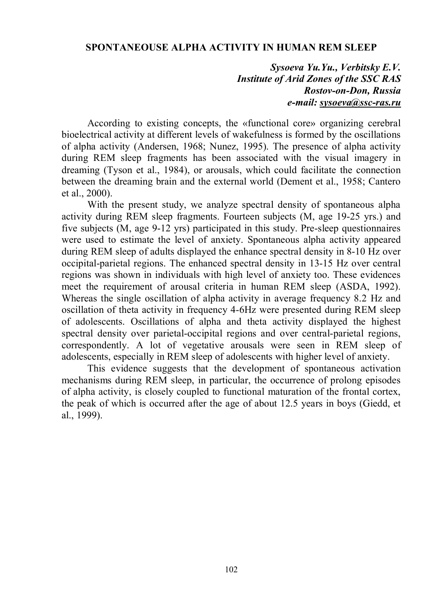#### **SPONTANEOUSE ALPHA ACTIVITY IN HUMAN REM SLEEP**

*Sysoeva Yu.Yu., Verbitsky E.V. Institute of Arid Zones of the SSC RAS Rostov-on-Don, Russia e-mail: [sysoeva@ssc-ras.ru](mailto:sysoeva@ssc-rus.ru)*

According to existing concepts, the «functional core» organizing cerebral bioelectrical activity at different levels of wakefulness is formed by the oscillations of alpha activity (Andersen, 1968; Nunez, 1995). The presence of alpha activity during REM sleep fragments has been associated with the visual imagery in dreaming (Tyson et al., 1984), or arousals, which could facilitate the connection between the dreaming brain and the external world (Dement et al., 1958; Cantero et al., 2000).

With the present study, we analyze spectral density of spontaneous alpha activity during REM sleep fragments. Fourteen subjects (M, age 19-25 yrs.) and five subjects (M, age 9-12 yrs) participated in this study. Pre-sleep questionnaires were used to estimate the level of anxiety. Spontaneous alpha activity appeared during REM sleep of adults displayed the enhance spectral density in 8-10 Hz over occipital-parietal regions. The enhanced spectral density in 13-15 Hz over central regions was shown in individuals with high level of anxiety too. These evidences meet the requirement of arousal criteria in human REM sleep (ASDA, 1992). Whereas the single oscillation of alpha activity in average frequency 8.2 Hz and oscillation of theta activity in frequency 4-6Hz were presented during REM sleep of adolescents. Oscillations of alpha and theta activity displayed the highest spectral density over parietal-occipital regions and over central-parietal regions, correspondently. A lot of vegetative arousals were seen in REM sleep of adolescents, especially in REM sleep of adolescents with higher level of anxiety.

This evidence suggests that the development of spontaneous activation mechanisms during REM sleep, in particular, the occurrence of prolong episodes of alpha activity, is closely coupled to functional maturation of the frontal cortex, the peak of which is occurred after the age of about 12.5 years in boys (Giedd, et al., 1999).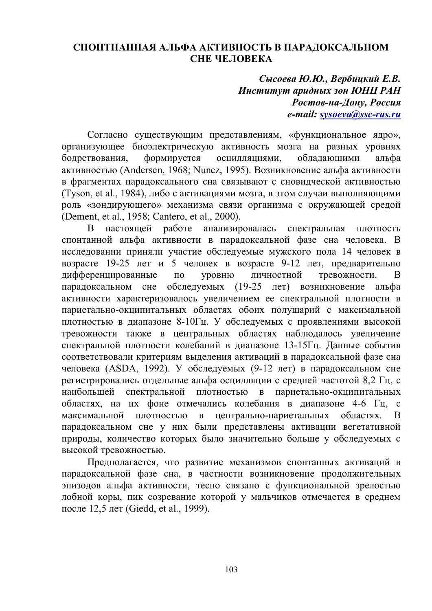# **СПОНТНАННАЯ АЛЬФА АКТИВНОСТЬ В ПАРАДОКСАЛЬНОМ СНЕ ЧЕЛОВЕКА**

*Сысоева Ю.Ю., Вербицкий Е.В. Институт аридных зон ЮНЦ РАН Ростов-на-Дону, Россия e-mail: [sysoeva@ssc-ras.ru](mailto:sysoeva@ssc-rus.ru)*

Согласно существующим представлениям, «функциональное ядро», организующее биоэлектрическую активность мозга на разных уровнях бодрствования, формируется осцилляциями, обладающими альфа активностью (Andersen, 1968; Nunez, 1995). Возникновение альфа активности в фрагментах парадоксального сна связывают с сновидческой активностью (Tyson, et al., 1984), либо с активациями мозга, в этом случаи выполняющими роль «зондирующего» механизма связи организма с окружающей средой (Dement, et al., 1958; Cantero, et al., 2000).

В настоящей работе анализировалась спектральная плотность спонтанной альфа активности в парадоксальной фазе сна человека. В исследовании приняли участие обследуемые мужского пола 14 человек в возрасте 19-25 лет и 5 человек в возрасте 9-12 лет, предварительно дифференцированные по уровню личностной тревожности. В парадоксальном сне обследуемых (19-25 лет) возникновение альфа активности характеризовалось увеличением ее спектральной плотности в париетально-окципитальных областях обоих полушарий с максимальной плотностью в диапазоне 8-10Гц. У обследуемых с проявлениями высокой тревожности также в центральных областях наблюдалось увеличение спектральной плотности колебаний в диапазоне 13-15Гц. Данные события соответствовали критериям выделения активаций в парадоксальной фазе сна человека (ASDA, 1992). У обследуемых (9-12 лет) в парадоксальном сне регистрировались отдельные альфа осцилляции с средней частотой 8,2 Гц, с наибольшей спектральной плотностью в париетально-окципитальных областях, на их фоне отмечались колебания в диапазоне 4-6 Гц, с максимальной плотностью в центрально-париетальных областях. В парадоксальном сне у них были представлены активации вегетативной природы, количество которых было значительно больше у обследуемых с высокой тревожностью.

Предполагается, что развитие механизмов спонтанных активаций в парадоксальной фазе сна, в частности возникновение продолжительных эпизодов альфа активности, тесно связано с функциональной зрелостью лобной коры, пик созревание которой у мальчиков отмечается в среднем после 12,5 лет (Giedd, et al., 1999).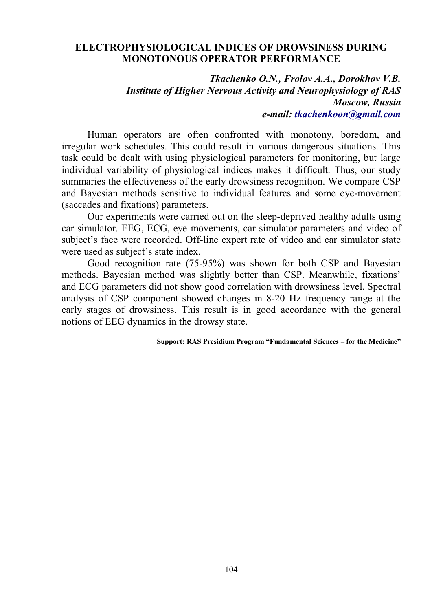# **ELECTROPHYSIOLOGICAL INDICES OF DROWSINESS DURING MONOTONOUS OPERATOR PERFORMANCE**

*Tkachenko O.N., Frolov A.A., Dorokhov V.B. Institute of Higher Nervous Activity and Neurophysiology of RAS Moscow, Russia e-mail: [tkachenkoon@gmail.com](mailto:tkachenkoon@gmail.com)*

Human operators are often confronted with monotony, boredom, and irregular work schedules. This could result in various dangerous situations. This task could be dealt with using physiological parameters for monitoring, but large individual variability of physiological indices makes it difficult. Thus, our study summaries the effectiveness of the early drowsiness recognition. We compare CSP and Bayesian methods sensitive to individual features and some eye-movement (saccades and fixations) parameters.

Our experiments were carried out on the sleep-deprived healthy adults using car simulator. EEG, ECG, eye movements, car simulator parameters and video of subject's face were recorded. Off-line expert rate of video and car simulator state were used as subject's state index.

Good recognition rate (75-95%) was shown for both CSP and Bayesian methods. Bayesian method was slightly better than CSP. Meanwhile, fixations' and ECG parameters did not show good correlation with drowsiness level. Spectral analysis of CSP component showed changes in 8-20 Hz frequency range at the early stages of drowsiness. This result is in good accordance with the general notions of EEG dynamics in the drowsy state.

**Support: RAS Presidium Program "Fundamental Sciences – for the Medicine"**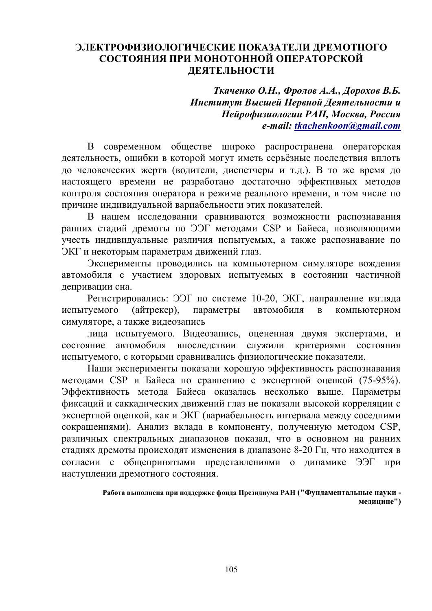# **ЭЛЕКТРОФИЗИОЛОГИЧЕСКИЕ ПОКАЗАТЕЛИ ДРЕМОТНОГО СОСТОЯНИЯ ПРИ МОНОТОННОЙ ОПЕРАТОРСКОЙ ДЕЯТЕЛЬНОСТИ**

# *Ткаченко О.Н., Фролов А.А., Дорохов В.Б. Институт Высшей Нервной Деятельности и Нейрофизиологии РАН, Москва, Россия e-mail: [tkachenkoon@gmail.com](mailto:tkachenkoon@gmail.com)*

В современном обществе широко распространена операторская деятельность, ошибки в которой могут иметь серьёзные последствия вплоть до человеческих жертв (водители, диспетчеры и т.д.). В то же время до настоящего времени не разработано достаточно эффективных методов контроля состояния оператора в режиме реального времени, в том числе по причине индивидуальной вариабельности этих показателей.

В нашем исследовании сравниваются возможности распознавания ранних стадий дремоты по ЭЭГ методами CSP и Байеса, позволяющими учесть индивидуальные различия испытуемых, а также распознавание по ЭКГ и некоторым параметрам движений глаз.

Эксперименты проводились на компьютерном симуляторе вождения автомобиля с участием здоровых испытуемых в состоянии частичной депривации сна.

Регистрировались: ЭЭГ по системе 10-20, ЭКГ, направление взгляда испытуемого (айтрекер), параметры автомобиля в компьютерном симуляторе, а также видеозапись

лица испытуемого. Видеозапись, оцененная двумя экспертами, и состояние автомобиля впоследствии служили критериями состояния испытуемого, с которыми сравнивались физиологические показатели.

Наши эксперименты показали хорошую эффективность распознавания методами CSP и Байеса по сравнению с экспертной оценкой (75-95%). Эффективность метода Байеса оказалась несколько выше. Параметры фиксаций и саккадических движений глаз не показали высокой корреляции с экспертной оценкой, как и ЭКГ (вариабельность интервала между соседними сокращениями). Анализ вклада в компоненту, полученную методом CSP, различных спектральных диапазонов показал, что в основном на ранних стадиях дремоты происходят изменения в диапазоне 8-20 Гц, что находится в согласии с общепринятыми представлениями о динамике ЭЭГ при наступлении дремотного состояния.

> **Работа выполнена при поддержке фонда Президиума РАН ("Фундаментальные науки медицине")**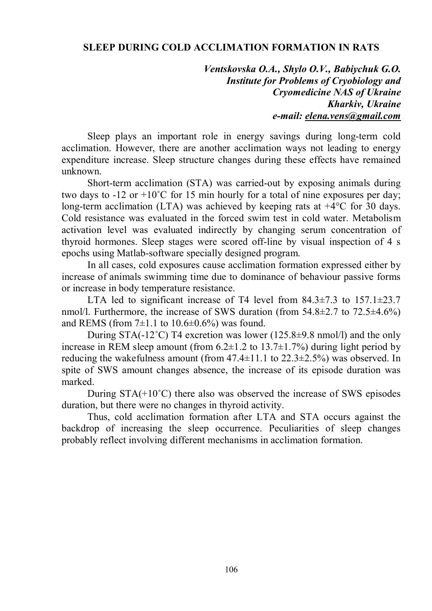## **SLEEP DURING COLD ACCLIMATION FORMATION IN RATS**

*Ventskovska O.A., Shylo O.V., Babiychuk G.O. Institute for Problems of Cryobiology and Cryomedicine NAS of Ukraine Kharkiv, Ukraine e-mail: elena.vens@gmail.com*

Sleep plays an important role in energy savings during long-term cold acclimation. However, there are another acclimation ways not leading to energy expenditure increase. Sleep structure changes during these effects have remained unknown.

Short-term acclimation (STA) was carried-out by exposing animals during two days to  $-12$  or  $+10^{\circ}$ C for 15 min hourly for a total of nine exposures per day; long-term acclimation (LTA) was achieved by keeping rats at +4°C for 30 days. Cold resistance was evaluated in the forced swim test in cold water. Metabolism activation level was evaluated indirectly by changing serum concentration of thyroid hormones. Sleep stages were scored off-line by visual inspection of 4 s epochs using Matlab-software specially designed program.

In all cases, cold exposures cause acclimation formation expressed either by increase of animals swimming time due to dominance of behaviour passive forms or increase in body temperature resistance.

LTA led to significant increase of T4 level from  $84.3\pm7.3$  to  $157.1\pm23.7$ nmol/l. Furthermore, the increase of SWS duration (from  $54.8\pm2.7$  to  $72.5\pm4.6\%$ ) and REMS (from  $7\pm1.1$  to  $10.6\pm0.6\%$ ) was found.

During STA(-12<sup>°</sup>C) T4 excretion was lower (125.8 $\pm$ 9.8 nmol/l) and the only increase in REM sleep amount (from  $6.2 \pm 1.2$  to  $13.7 \pm 1.7$ %) during light period by reducing the wakefulness amount (from  $47.4 \pm 11.1$  to  $22.3 \pm 2.5$ %) was observed. In spite of SWS amount changes absence, the increase of its episode duration was marked.

During  $STA(+10^{\circ}C)$  there also was observed the increase of SWS episodes duration, but there were no changes in thyroid activity.

Thus, cold acclimation formation after LTA and STA occurs against the backdrop of increasing the sleep occurrence. Peculiarities of sleep changes probably reflect involving different mechanisms in acclimation formation.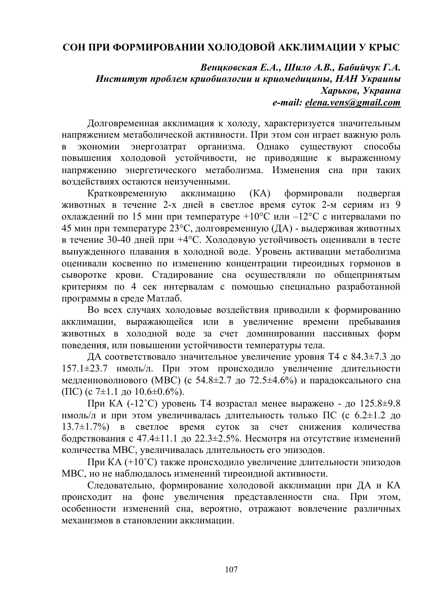# **СОН ПРИ ФОРМИРОВАНИИ ХОЛОДОВОЙ АККЛИМАЦИИ У КРЫС**

*Венцковская Е.А., Шило А.В., Бабийчук Г.А. Институт проблем криобиологии и криомедицины, НАН Украины Харьков, Украина e-mail: elena.vens@gmail.com*

Долговременная акклимация к холоду, характеризуется значительным напряжением метаболической активности. При этом сон играет важную роль в экономии энергозатрат организма. Однако существуют способы повышения холодовой устойчивости, не приводящие к выраженному напряжению энергетического метаболизма. Изменения сна при таких воздействиях остаются неизученными.

Кратковременную акклимацию (КА) формировали подвергая животных в течение 2-х дней в светлое время суток 2-м сериям из 9 охлаждений по 15 мин при температуре +10°С или –12°С с интервалами по 45 мин при температуре 23°С, долговременную (ДА) - выдерживая животных в течение 30-40 дней при +4°С. Холодовую устойчивость оценивали в тесте вынужденного плавания в холодной воде. Уровень активации метаболизма оценивали косвенно по изменению концентрации тиреоидных гормонов в сыворотке крови. Стадирование сна осуществляли по общепринятым критериям по 4 сек интервалам с помощью специально разработанной программы в среде Матлаб.

Во всех случаях холодовые воздействия приводили к формированию акклимации, выражающейся или в увеличение времени пребывания животных в холодной воде за счет доминировании пассивных форм поведения, или повышении устойчивости температуры тела.

ДА соответствовало значительное увеличение уровня Т4 с 84.3±7.3 до 157.1±23.7 нмоль/л. При этом происходило увеличение длительности медленноволнового (МВС) (с 54.8 $\pm$ 2.7 до 72.5 $\pm$ 4.6%) и парадоксального сна (ПС) (с 7 $\pm$ 1.1 до 10.6 $\pm$ 0.6%).

При КА (-12˚С) уровень Т4 возрастал менее выражено - до 125.8±9.8 нмоль/л и при этом увеличивалась длительность только ПС (с 6.2±1.2 до 13.7±1.7%) в светлое время суток за счет снижения количества бодрствования с 47.4±11.1 до 22.3±2.5%. Несмотря на отсутствие изменений количества МВС, увеличивалась длительность его эпизодов.

При КА (+10˚С) также происходило увеличение длительности эпизодов МВС, но не наблюдалось изменений тиреоидной активности.

Следовательно, формирование холодовой акклимации при ДА и КА происходит на фоне увеличения представленности сна. При этом, особенности изменений сна, вероятно, отражают вовлечение различных механизмов в становлении акклимации.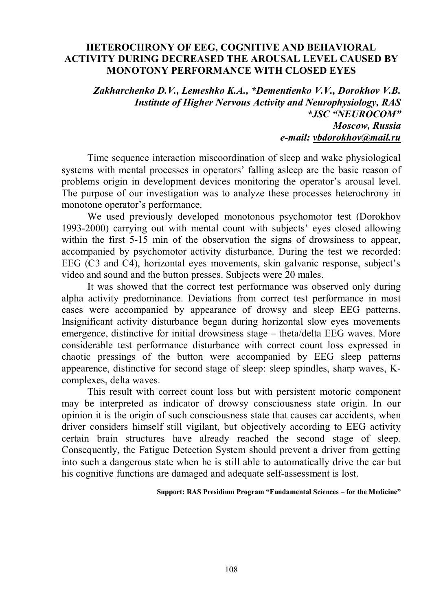# **HETEROCHRONY OF EEG, COGNITIVE AND BEHAVIORAL ACTIVITY DURING DECREASED THE AROUSAL LEVEL CAUSED BY MONOTONY PERFORMANCE WITH CLOSED EYES**

*Zakharchenko D.V., Lemeshko K.A., \*Dementienko V.V., Dorokhov V.B. Institute of Higher Nervous Activity and Neurophysiology, RAS \*JSC "NEUROCOM" Moscow, Russia e-mail: [vbdorokhov@mail.ru](mailto:vbdorokhov@mail.ru)*

Time sequence interaction miscoordination of sleep and wake physiological systems with mental processes in operators' falling asleep are the basic reason of problems origin in development devices monitoring the operator's arousal level. The purpose of our investigation was to analyze these processes heterochrony in monotone operator's performance.

We used previously developed monotonous psychomotor test (Dorokhov 1993-2000) carrying out with mental count with subjects' eyes closed allowing within the first 5-15 min of the observation the signs of drowsiness to appear, accompanied by psychomotor activity disturbance. During the test we recorded: EEG (C3 and C4), horizontal eyes movements, skin galvanic response, subject's video and sound and the button presses. Subjects were 20 males.

It was showed that the correct test performance was observed only during alpha activity predominance. Deviations from correct test performance in most cases were accompanied by appearance of drowsy and sleep EEG patterns. Insignificant activity disturbance began during horizontal slow eyes movements emergence, distinctive for initial drowsiness stage – theta/delta EEG waves. More considerable test performance disturbance with correct count loss expressed in chaotic pressings of the button were accompanied by EEG sleep patterns appearence, distinctive for second stage of sleep: sleep spindles, sharp waves, Kcomplexes, delta waves.

This result with correct count loss but with persistent motoric component may be interpreted as indicator of drowsy consciousness state origin. In our opinion it is the origin of such consciousness state that causes car accidents, when driver considers himself still vigilant, but objectively according to EEG activity certain brain structures have already reached the second stage of sleep. Consequently, the Fatigue Detection System should prevent a driver from getting into such a dangerous state when he is still able to automatically drive the car but his cognitive functions are damaged and adequate self-assessment is lost.

**Support: RAS Presidium Program "Fundamental Sciences – for the Medicine"**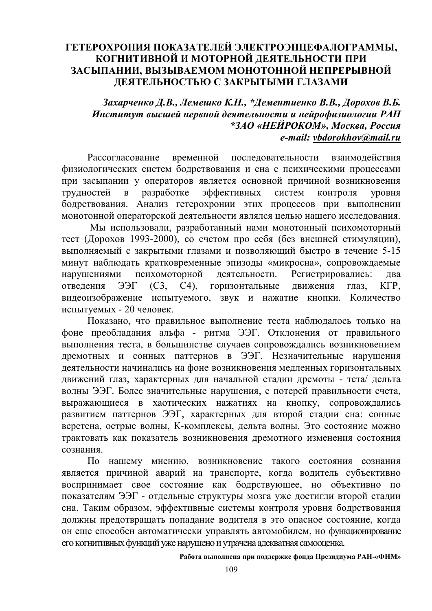# **ГЕТЕРОХРОНИЯ ПОКАЗАТЕЛЕЙ ЭЛЕКТРОЭНЦЕФАЛОГРАММЫ, КОГНИТИВНОЙ И МОТОРНОЙ ДЕЯТЕЛЬНОСТИ ПРИ ЗАСЫПАНИИ, ВЫЗЫВАЕМОМ МОНОТОННОЙ НЕПРЕРЫВНОЙ ДЕЯТЕЛЬНОСТЬЮ С ЗАКРЫТЫМИ ГЛАЗАМИ**

# *Захарченко Д.В., Лемешко К.Н., \*Дементиенко В.В., Дорохов В.Б. Институт высшей нервной деятельности и нейрофизиологии РАН \*ЗАО «НЕЙРОКОМ», Москва, Россия e-mail: [vbdorokhov@mail.ru](mailto:vbdorokhov@mail.ru)*

Рассогласование временной последовательности взаимодействия физиологических систем бодрствования и сна с психическими процессами при засыпании у операторов является основной причиной возникновения трудностей в разработке эффективных систем контроля уровня бодрствования. Анализ гетерохронии этих процессов при выполнении монотонной операторской деятельности являлся целью нашего исследования.

 Мы использовали, разработанный нами монотонный психомоторный тест (Дорохов 1993-2000), со счетом про себя (без внешней стимуляции), выполняемый с закрытыми глазами и позволяющий быстро в течение 5-15 минут наблюдать кратковременные эпизоды «микросна», сопровождаемые нарушениями психомоторной деятельности. Регистрировались: два отведения ЭЭГ (С3, С4), горизонтальные движения глаз, КГР, видеоизображение испытуемого, звук и нажатие кнопки. Количество испытуемых - 20 человек.

Показано, что правильное выполнение теста наблюдалось только на фоне преобладания альфа - ритма ЭЭГ. Отклонения от правильного выполнения теста, в большинстве случаев сопровождались возникновением дремотных и сонных паттернов в ЭЭГ. Незначительные нарушения деятельности начинались на фоне возникновения медленных горизонтальных движений глаз, характерных для начальной стадии дремоты - тета/ дельта волны ЭЭГ. Более значительные нарушения, с потерей правильности счета, выражающиеся в хаотических нажатиях на кнопку, сопровождались развитием паттернов ЭЭГ, характерных для второй стадии сна: сонные веретена, острые волны, К-комплексы, дельта волны. Это состояние можно трактовать как показатель возникновения дремотного изменения состояния сознания.

По нашему мнению, возникновение такого состояния сознания является причиной аварий на транспорте, когда водитель субъективно воспринимает свое состояние как бодрствующее, но объективно по показателям ЭЭГ - отдельные структуры мозга уже достигли второй стадии сна. Таким образом, эффективные системы контроля уровня бодрствования должны предотвращать попадание водителя в это опасное состояние, когда он еще способен автоматически управлять автомобилем, но функционирование его когнитивных функций уже нарушено и утрачена адекватная самооценка.

#### **Работа выполнена при поддержке фонда Президиума РАН-«ФНМ»**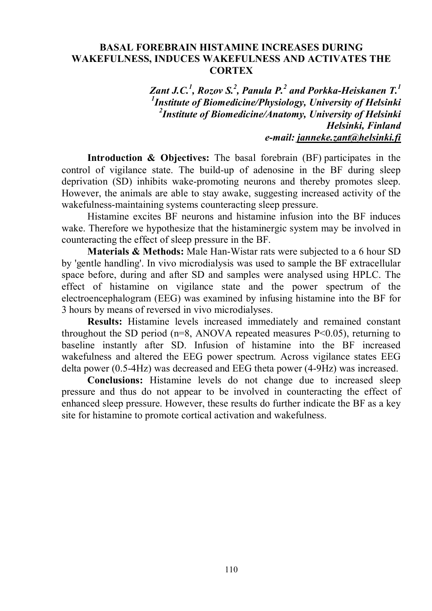# **BASAL FOREBRAIN HISTAMINE INCREASES DURING WAKEFULNESS, INDUCES WAKEFULNESS AND ACTIVATES THE CORTEX**

*Zant J.C.<sup>1</sup> , Rozov S.<sup>2</sup> , Panula P.<sup>2</sup> and Porkka-Heiskanen T.<sup>1</sup> 1 Institute of Biomedicine/Physiology, University of Helsinki 2 Institute of Biomedicine/Anatomy, University of Helsinki Helsinki, Finland*

*e-mail: janneke.zant@helsinki.fi*

**Introduction & Objectives:** The basal forebrain (BF) participates in the control of vigilance state. The build-up of adenosine in the BF during sleep deprivation (SD) inhibits wake-promoting neurons and thereby promotes sleep. However, the animals are able to stay awake, suggesting increased activity of the wakefulness-maintaining systems counteracting sleep pressure.

Histamine excites BF neurons and histamine infusion into the BF induces wake. Therefore we hypothesize that the histaminergic system may be involved in counteracting the effect of sleep pressure in the BF.

**Materials & Methods:** Male Han-Wistar rats were subjected to a 6 hour SD by 'gentle handling'. In vivo microdialysis was used to sample the BF extracellular space before, during and after SD and samples were analysed using HPLC. The effect of histamine on vigilance state and the power spectrum of the electroencephalogram (EEG) was examined by infusing histamine into the BF for 3 hours by means of reversed in vivo microdialyses.

**Results:** Histamine levels increased immediately and remained constant throughout the SD period ( $n=8$ , ANOVA repeated measures P<0.05), returning to baseline instantly after SD. Infusion of histamine into the BF increased wakefulness and altered the EEG power spectrum. Across vigilance states EEG delta power (0.5-4Hz) was decreased and EEG theta power (4-9Hz) was increased.

**Conclusions:** Histamine levels do not change due to increased sleep pressure and thus do not appear to be involved in counteracting the effect of enhanced sleep pressure. However, these results do further indicate the BF as a key site for histamine to promote cortical activation and wakefulness.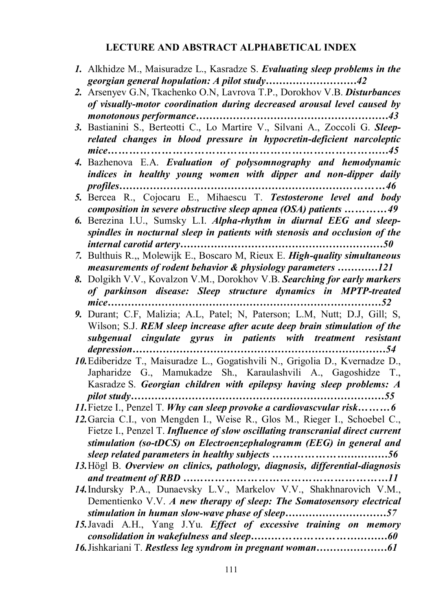## **LECTURE AND ABSTRACT ALPHABETICAL INDEX**

- *1.* Alkhidze M., Maisuradze L., Kasradze S. *Evaluating sleep problems in the georgian general hopulation: A pilot study………………………42*
- *2.* Arsenyev G.N, Tkachenko O.N, Lavrova T.P., Dorokhov V.B. *Disturbances of visually-motor coordination during decreased arousal level caused by monotonous performance…………………………………………………43*
- *3.* Bastianini S., Berteotti C., Lo Martire V., Silvani A., Zoccoli G. *Sleeprelated changes in blood pressure in hypocretin-deficient narcoleptic mice……………………………………………………………………45*
- *4.* Bazhenova E.A. *Evaluation of polysomnography and hemodynamic indices in healthy young women with dipper and non-dipper daily profiles……………………………………………………………………46*
- *5.* Bercea R., Cojocaru E., Mihaescu T. *Testosterone level and body composition in severe obstructive sleep apnea (OSA) patients …………49*
- *6.* Berezina I.U., Sumsky L.I. *Alpha-rhythm in diurnal EEG and sleepspindles in nocturnal sleep in patients with stenosis and occlusion of the internal carotid artery……………………………………………………50*
- *7.* Bulthuis R.,, Molewijk E., Boscaro M, Rieux E. *High-quality simultaneous measurements of rodent behavior & physiology parameters …………121*
- *8.* Dolgikh V.V., Kovalzon V.M., Dorokhov V.B. *Searching for early markers of parkinson disease: Sleep structure dynamics in MPTP-treated mice………………………………………………………………………52*
- *9.* Durant; C.F, Malizia; A.L, Patel; N, Paterson; L.M, Nutt; D.J, Gill; S, Wilson; S.J. *REM sleep increase after acute deep brain stimulation of the subgenual cingulate gyrus in patients with treatment resistant depression…………………………………………………………………54*
- *10.*Ediberidze T., Maisuradze L., Gogatishvili N., Grigolia D., Kvernadze D., Japharidze G., Mamukadze Sh., Karaulashvili A., Gagoshidze T., Kasradze S. *Georgian children with epilepsy having sleep problems: A pilot study…………………………………………………………………55*
- *11.*Fietze I., Penzel T. *Why can sleep provoke a cardiovascvular risk………6*
- *12.*Garcia C.I., von Mengden I., Weise R., Glos M., Rieger I., Schoebel C., Fietze I., Penzel T. *Influence of slow oscillating transcranial direct current stimulation (so-tDCS) on Electroenzephalogramm (EEG) in general and sleep related parameters in healthy subjects ……………………………56*
- *13.*Högl B. *Overview on clinics, pathology, diagnosis, differential-diagnosis and treatment of RBD …………………………………………………11*
- *14.*Indursky P.A., Dunaevsky L.V., Markelov V.V., Shakhnarovich V.M., Dementienko V.V. *A new therapy of sleep: The Somatosensory electrical stimulation in human slow-wave phase of sleep…………………………57*
- *15.*Javadi A.H., Yang J.Yu. *Effect of excessive training on memory consolidation in wakefulness and sleep…………………………………60*
- *16.*Jishkariani T. *Restless leg syndrom in pregnant woman…………………61*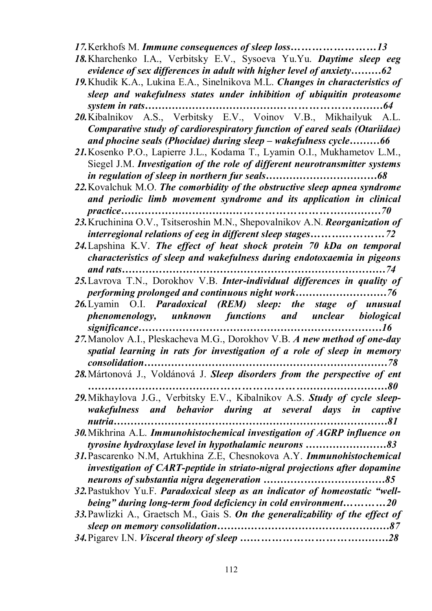*17.*Kerkhofs M. *Immune consequences of sleep loss……………………13*

- *18.*Kharchenko I.A., Verbitsky E.V., Sysoeva Yu.Yu. *Daytime sleep eeg evidence of sex differences in adult with higher level of anxiety………62*
- *19.*Khudik K.A., Lukina E.A., Sinelnikova M.L. *Changes in characteristics of sleep and wakefulness states under inhibition of ubiquitin proteasome system in rats……………………………………………………………64*
- *20.*Kibalnikov A.S., Verbitsky E.V., Voinov V.B., Mikhailyuk A.L. *Comparative study of cardiorespiratory function of eared seals (Otariidae) and phocine seals (Phocidae) during sleep – wakefulness cycle………66*
- *21.*Kosenko P.O., Lapierre J.L., Kodama T., Lyamin O.I., Mukhametov L.M., Siegel J.M. *Investigation of the role of different neurotransmitter systems in regulation of sleep in northern fur seals……………………………68*
- *22.*Kovalchuk M.O. *The comorbidity of the obstructive sleep apnea syndrome and periodic limb movement syndrome and its application in clinical practice…………………………………………………………………70*
- *23.*Kruchinina O.V., Tsitseroshin M.N., Shepovalnikov A.N. *Reorganization of interregional relations of eeg in different sleep stages…………………72*
- *24.*Lapshina K.V. *The effect of heat shock protein 70 kDа on temporal characteristics of sleep and wakefulness during endotoxaemia in pigeons and rats……………………………………………………………………74*
- *25.*Lavrova T.N., Dorokhov V.B. *Inter-individual differences in quality of performing prolonged and continuous night work………………………76*
- *26.*Lyamin O.I. *Paradoxical (REM) sleep: the stage of unusual phenomenology, unknown functions and unclear biological significance………………………………………………………………16*
- *27.*Manolov A.I., Pleskacheva M.G., Dorokhov V.B. *A new method of one-day spatial learning in rats for investigation of a role of sleep in memory consolidation………………………………………………………………78*
- *28.*Mártonová J., Voldánová J. *Sleep disorders from the perspective of ent ……………………………………………………………………………80*
- *29.*Mikhaylova J.G., Verbitsky E.V., Kibalnikov A.S. *Study of cycle sleepwakefulness and behavior during at several days in captive nutria………………………………………………………………………81*
- *30.*Mikhrina A.L. *Immunohistochemical investigation of AGRP influence on tyrosine hydroxylase level in hypothalamic neurons ……………………83*
- *31.*Pascarenko N.M, Artukhina Z.E, Chesnokova A.Y. *Immunohistochemical investigation of CART-peptide in striato-nigral projections after dopamine neurons of substantia nigra degeneration ………………………………85*
- *32.*Pastukhov Yu.F. *Paradoxical sleep as an indicator of homeostatic "wellbeing" during long-term food deficiency in cold environment…………20*
- *33.*Pawlizki A., Graetsch M., Gais S. *On the generalizability of the effect of sleep on memory consolidation……………………………………………87*
- *34.*Pigarev I.N. *Visceral theory of sleep ……………………………………28*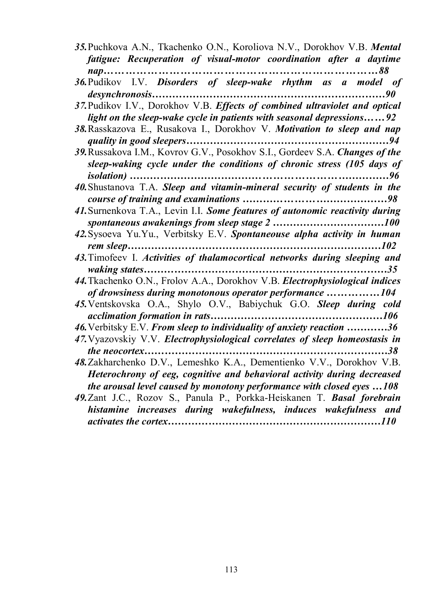| 35. Puchkova A.N., Tkachenko O.N., Koroliova N.V., Dorokhov V.B. Mental      |  |
|------------------------------------------------------------------------------|--|
| fatigue: Recuperation of visual-motor coordination after a daytime           |  |
|                                                                              |  |
| 36. Pudikov I.V. Disorders of sleep-wake rhythm as a model of                |  |
| . 90                                                                         |  |
| 37. Pudikov I.V., Dorokhov V.B. Effects of combined ultraviolet and optical  |  |
| light on the sleep-wake cycle in patients with seasonal depressions92        |  |
| 38. Rasskazova E., Rusakova I., Dorokhov V. Motivation to sleep and nap      |  |
|                                                                              |  |
| 39. Russakova I.M., Kovrov G.V., Posokhov S.I., Gordeev S.A. Changes of the  |  |
| sleep-waking cycle under the conditions of chronic stress (105 days of       |  |
| . 96                                                                         |  |
| 40. Shustanova T.A. Sleep and vitamin-mineral security of students in the    |  |
|                                                                              |  |
| 41. Surnenkova T.A., Levin I.I. Some features of autonomic reactivity during |  |
|                                                                              |  |
| 42. Sysoeva Yu.Yu., Verbitsky E.V. Spontaneouse alpha activity in human      |  |
| $\ldots \ldots 102$                                                          |  |
| 43. Timofeev I. Activities of thalamocortical networks during sleeping and   |  |
|                                                                              |  |
| 44. Tkachenko O.N., Frolov A.A., Dorokhov V.B. Electrophysiological indices  |  |
| of drowsiness during monotonous operator performance 104                     |  |
| 45. Ventskovska O.A., Shylo O.V., Babiychuk G.O. Sleep during cold           |  |
|                                                                              |  |
| 46. Verbitsky E.V. From sleep to individuality of anxiety reaction 36        |  |
| 47. Vyazovskiy V.V. Electrophysiological correlates of sleep homeostasis in  |  |
| .38                                                                          |  |
| 48. Zakharchenko D.V., Lemeshko K.A., Dementienko V.V., Dorokhov V.B.        |  |
| Heterochrony of eeg, cognitive and behavioral activity during decreased      |  |
| the arousal level caused by monotony performance with closed eyes 108        |  |
| 49. Zant J.C., Rozov S., Panula P., Porkka-Heiskanen T. Basal forebrain      |  |
| histamine increases during wakefulness, induces wakefulness and              |  |
|                                                                              |  |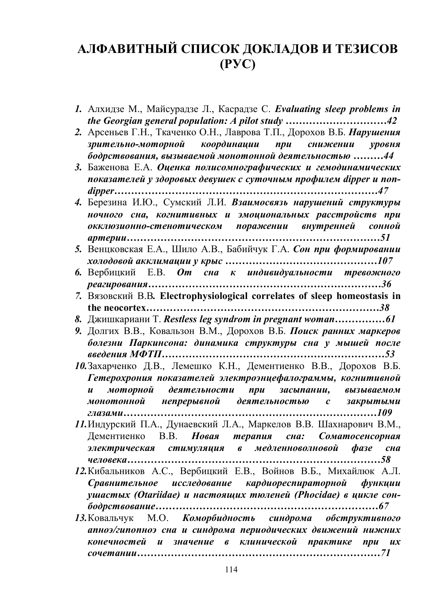# **АЛФАВИТНЫЙ СПИСОК ДОКЛАДОВ И ТЕЗИСОВ (РУС)**

*1.* Алхидзе М., Майсурадзе Л., Касрадзе С. *Evaluating sleep problems in*

| the Georgian general population: A pilot study 42                         |
|---------------------------------------------------------------------------|
| 2. Арсеньев Г.Н., Ткаченко О.Н., Лаврова Т.П., Дорохов В.Б. Нарушения     |
| зрительно-моторной координации при снижении уровня                        |
| бодрствования, вызываемой монотонной деятельностью 44                     |
| 3. Баженова Е.А. Оценка полисомнографических и гемодинамических           |
| показателей у здоровых девушек с суточным профилем dipper и non-          |
|                                                                           |
| 4. Березина И.Ю., Сумский Л.И. Взаимосвязь нарушений структуры            |
| ночного сна, когнитивных и эмоциональных расстройств при                  |
| окклюзионно-стенотическом поражении внутренней сонной                     |
|                                                                           |
| 5. Венцковская Е.А., Шило А.В., Бабийчук Г.А. Сон при формировании        |
|                                                                           |
| 6. Вербицкий Е.В. От сна к индивидуальности тревожного                    |
|                                                                           |
| 7. Вязовский В.В. Electrophysiological correlates of sleep homeostasis in |
|                                                                           |
|                                                                           |
| 9. Долгих В.В., Ковальзон В.М., Дорохов В.Б. Поиск ранних маркеров        |
| болезни Паркинсона: динамика структуры сна у мышей после                  |
|                                                                           |
| 10. Захарченко Д.В., Лемешко К.Н., Дементиенко В.В., Дорохов В.Б.         |
| Гетерохрония показателей электроэнцефалограммы, когнитивной               |
| моторной деятельности при засыпании, вызываемом<br>$\boldsymbol{u}$       |
| монотонной непрерывной деятельностью с закрытыми                          |
|                                                                           |
| 11. Индурский П.А., Дунаевский Л.А., Маркелов В.В. Шахнарович В.М.,       |
| Дементиенко В.В. Новая терапия сна: Соматосенсорная                       |
| электрическая стимуляция в медленноволновой фазе сна                      |
|                                                                           |
| 12. Кибальников А.С., Вербицкий Е.В., Войнов В.Б., Михайлюк А.Л.          |
| Сравнительное исследование кардиореспираторной функции                    |
| ушастых (Otariidae) и настоящих тюленей (Phocidae) в цикле сон-           |
|                                                                           |
| 13. Ковальчук М.О. Коморбидность синдрома обструктивного                  |
| апноэ/гипопноэ сна и синдрома периодических движений нижних               |
| конечностей и значение в клинической практике при их                      |
|                                                                           |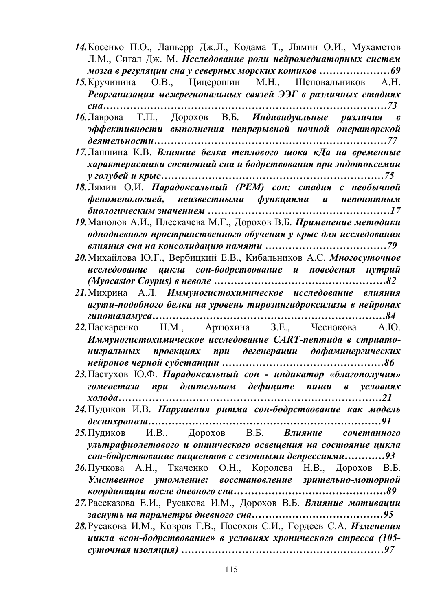|  |  | 14. Косенко П.О., Лапьерр Дж.Л., Кодама Т., Лямин О.И., Мухаметов |  |  |  |
|--|--|-------------------------------------------------------------------|--|--|--|
|  |  | Л.М., Сигал Дж. М. Исследование роли нейромедиаторных систем      |  |  |  |
|  |  |                                                                   |  |  |  |

*15.*Кручинина О.В., Цицерошин М.Н., Шеповальников А.Н. *Реорганизация межрегиональных связей ЭЭГ в различных стадиях сна…………………………………………………………………………73*

*16.*Лаврова Т.П., Дорохов В.Б. *Индивидуальные различия в эффективности выполнения непрерывной ночной операторской деятельности……………………………………………………………77*

*17.*Лапшина К.В. *Влияние белка теплового шока кДа на временные характеристики состояний сна и бодрствования при эндотоксемии у голубей и крыс…………………………………………………………75*

*18.*Лямин О.И. *Парадоксальный (РЕМ) сон: стадия с необычной феноменологией, неизвестными функциями и непонятным биологическим значением ………………………………………………17*

*19.*Манолов А.И., Плескачева М.Г., Дорохов В.Б. *Применение методики однодневного пространственного обучения у крыс для исследования влияния сна на консолидацию памяти ………………………………79*

*20.*Михайлова Ю.Г., Вербицкий Е.В., Кибальников А.С. *Многосуточное исследование цикла сон-бодрствование и поведения нутрий (Myocastor Coypus) в неволе ……………………………………………82*

*21.*Михрина А.Л. *Иммуногистохимическое исследование влияния агути-подобного белка на уровень тирозингидроксилазы в нейронах гипоталамуса……………………………………………………………84*

- *22.*Паскаренко Н.М., Артюхина З.Е., Чеснокова А.Ю. *Иммуногистохимическое исследование CART-пептида в стриатонигральных проекциях при дегенерации дофаминергических нейронов черной субстанции …………………………………………86*
- *23.*Пастухов Ю.Ф. *Парадоксальный сон индикатор «благополучия» гомеостаза при длительном дефиците пищи в условиях холода……………………………………………………………………21*
- *24.*Пудиков И.В. *Нарушения ритма сон-бодрствование как модель десинхроноза……………………………………………………………91*
- *25.*Пудиков И.В., Дорохов В.Б. *Влияние сочетанного ультрафиолетового и оптического освещения на состояние цикла сон-бодрствование пациентов с сезонными депрессиями…………93*
- *26.*Пучкова А.Н., Ткаченко О.Н., Королева Н.В., Дорохов В.Б. *Умственное утомление: восстановление зрительно-моторной координации после дневного сна………………………………………89*

*27.*Рассказова Е.И., Русакова И.М., Дорохов В.Б. *Влияние мотивации заснуть на параметры дневного сна…………………………………95*

*28.*Русакова И.М., Ковров Г.В., Посохов С.И., Гордеев С.А. *Изменения цикла «сон-бодрствование» в условиях хронического стресса (105 суточная изоляция) ……………………………………………………97*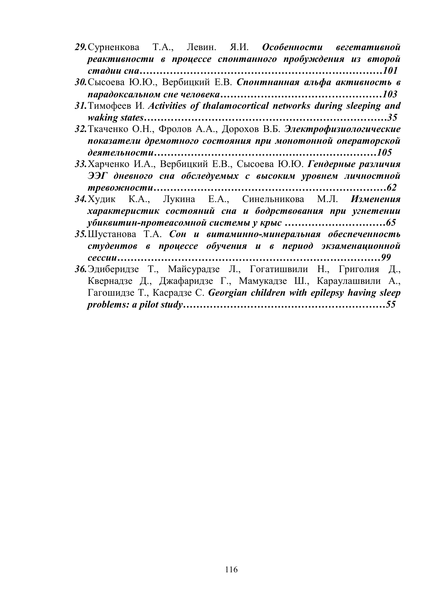| 29. Сурненкова Т.А., Левин. Я.И. Особенности вегетативной                          |
|------------------------------------------------------------------------------------|
| реактивности в процессе спонтанного пробуждения из второй                          |
|                                                                                    |
| 30. Сысоева Ю.Ю., Вербицкий Е.В. Спонтнанная альфа активность в                    |
|                                                                                    |
| 31. THMO been <i>H. Activities of thalamocortical networks during sleeping and</i> |
|                                                                                    |
| 32. Ткаченко О.Н., Фролов А.А., Дорохов В.Б. Электрофизиологические                |
| показатели дремотного состояния при монотонной операторской                        |
|                                                                                    |
| 33. Харченко И.А., Вербицкий Е.В., Сысоева Ю.Ю. Гендерные различия                 |
| ЭЭГ дневного сна обследуемых с высоким уровнем личностной                          |
|                                                                                    |
| 34. Худик К.А., Лукина Е.А., Синельникова М.Л. Изменения                           |
| характеристик состояний сна и бодрствования при угнетении                          |
|                                                                                    |
| 35. Шустанова Т.А. Сон и витаминно-минеральная обеспеченность                      |
| студентов в процессе обучения и в период экзаменационной                           |
|                                                                                    |
| 36. Эдиберидзе Т., Майсурадзе Л., Гогатишвили Н., Григолия Д.,                     |
| Квернадзе Д., Джафаридзе Г., Мамукадзе Ш., Караулашвили А.,                        |
| Гагошидзе Т., Касрадзе С. Georgian children with epilepsy having sleep             |
|                                                                                    |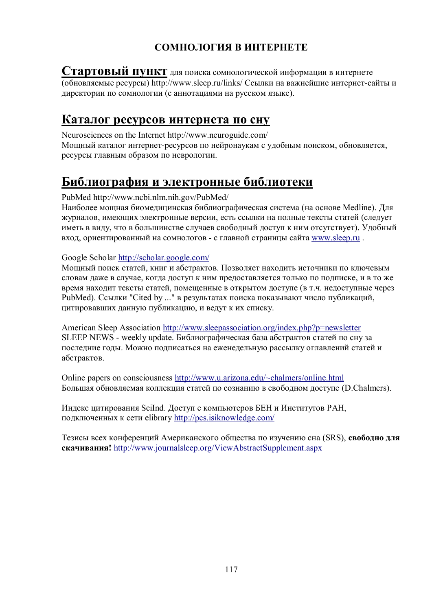# **СОМНОЛОГИЯ В ИНТЕРНЕТЕ**

**Стартовый пункт** для поиска сомнологической информации в интернете (обновляемые ресурсы) http://www.sleep.ru/links/ Ссылки на важнейшие интернет-сайты и директории по сомнологии (с аннотациями на русском языке).

## **Каталог ресурсов интернета по сну**

Neurosciences on the Internet http://www.neuroguide.com/ Мощный каталог интернет-ресурсов по нейронаукам с удобным поиском, обновляется, ресурсы главным образом по неврологии.

# **Библиография и электронные библиотеки**

PubMed http://www.ncbi.nlm.nih.gov/PubMed/

Наиболее мощная биомедицинская библиографическая система (на основе Medline). Для журналов, имеющих электронные версии, есть ссылки на полные тексты статей (следует иметь в виду, что в большинстве случаев свободный доступ к ним отсутствует). Удобный вход, ориентированный на сомнологов - с главной страницы сайта [www.sleep.ru](http://www.sleep.ru/) .

Google Scholar <http://scholar.google.com/>

Мощный поиск статей, книг и абстрактов. Позволяет находить источники по ключевым словам даже в случае, когда доступ к ним предоставляется только по подписке, и в то же время находит тексты статей, помещенные в открытом доступе (в т.ч. недоступные через PubMed). Ссылки "Cited by ..." в результатах поиска показывают число публикаций, цитировавших данную публикацию, и ведут к их списку.

American Sleep Association <http://www.sleepassociation.org/index.php?p=newsletter> SLEEP NEWS - weekly update. Библиографическая база абстрактов статей по сну за последние годы. Можно подписаться на еженедельную рассылку оглавлений статей и абстрактов.

Online papers on consciousness <http://www.u.arizona.edu/~chalmers/online.html> Большая обновляемая коллекция статей по сознанию в свободном доступе (D.Chalmers).

Индекс цитирования SciInd. Доступ с компьютеров БЕН и Институтов РАН, подключенных к сети elibrary <http://pcs.isiknowledge.com/>

Тезисы всех конференций Американского общества по изучению сна (SRS), **свободно для скачивания!** <http://www.journalsleep.org/ViewAbstractSupplement.aspx>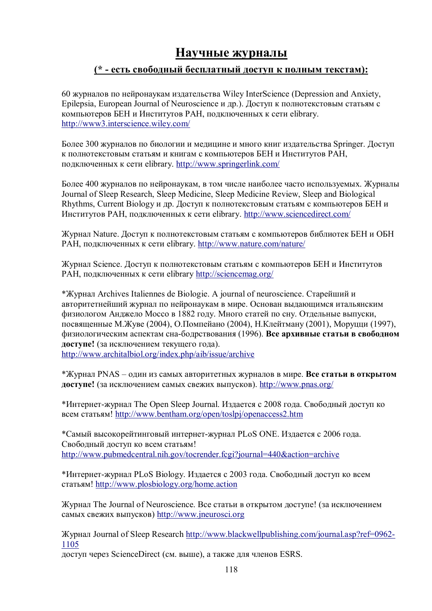# **Научные журналы**

## **(\* - есть свободный бесплатный доступ к полным текстам):**

60 журналов по нейронаукам издательства Wiley InterScience (Depression and Anxiety, Epilepsia, European Journal of Neuroscience и др.). Доступ к полнотекстовым статьям с компьютеров БЕН и Институтов РАН, подключенных к сети elibrary. <http://www3.interscience.wiley.com/>

Более 300 журналов по биологии и медицине и много книг издательства Springer. Доступ к полнотекстовым статьям и книгам с компьютеров БЕН и Институтов РАН, подключенных к сети elibrary. <http://www.springerlink.com/>

Более 400 журналов по нейронаукам, в том числе наиболее часто используемых. Журналы Journal of Sleep Research, Sleep Medicine, Sleep Medicine Review, Sleep and Biological Rhythms, Current Biology и др. Доступ к полнотекстовым статьям с компьютеров БЕН и Институтов РАН, подключенных к сети elibrary. <http://www.sciencedirect.com/>

Журнал Nature. Доступ к полнотекстовым статьям с компьютеров библиотек БЕН и ОБН РАН, подключенных к сети elibrary. <http://www.nature.com/nature/>

Журнал Science. Доступ к полнотекстовым статьям с компьютеров БЕН и Институтов РАН, подключенных к сети elibrary <http://sciencemag.org/>

\*Журнал Archives Italiennes de Biologie. A journal of neuroscience. Старейший и авторитетнейший журнал по нейронаукам в мире. Основан выдающимся итальянским физиологом Анджело Моссо в 1882 году. Много статей по сну. Отдельные выпуски, посвященные М.Жуве (2004), О.Помпейано (2004), Н.Клейтману (2001), Моруцци (1997), физиологическим аспектам сна-бодрствования (1996). **Все архивные статьи в свободном доступе!** (за исключением текущего года).

<http://www.architalbiol.org/index.php/aib/issue/archive>

\*Журнал PNAS – один из самых авторитетных журналов в мире. **Все статьи в открытом доступе!** (за исключением самых свежих выпусков). <http://www.pnas.org/>

\*Интернет-журнал The Open Sleep Journal. Издается с 2008 года. Свободный доступ ко всем статьям! <http://www.bentham.org/open/toslpj/openaccess2.htm>

\*Самый высокорейтинговый интернет-журнал PLoS ONE. Издается с 2006 года. Свободный доступ ко всем статьям! <http://www.pubmedcentral.nih.gov/tocrender.fcgi?journal=440&action=archive>

\*Интернет-журнал PLoS Biology. Издается с 2003 года. Свободный доступ ко всем статьям! <http://www.plosbiology.org/home.action>

Журнал The Journal of Neuroscience. Все статьи в открытом доступе! (за исключением самых свежих выпусков) [http://www.jneurosci.org](http://www.jneurosci.org/)

Журнал Journal of Sleep Research [http://www.blackwellpublishing.com/journal.asp?ref=0962-](http://www.blackwellpublishing.com/journal.asp?ref=0962-1105) [1105](http://www.blackwellpublishing.com/journal.asp?ref=0962-1105)

доступ через ScienceDirect (см. выше), а также для членов ESRS.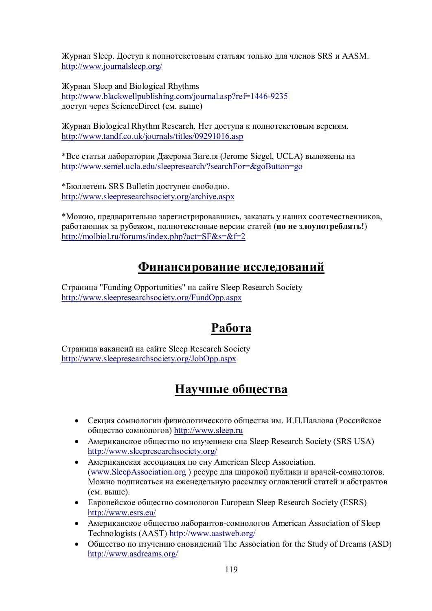Журнал Sleep. Доступ к полнотекстовым статьям только для членов SRS и AASM. <http://www.journalsleep.org/>

Журнал Sleep and Biological Rhythms <http://www.blackwellpublishing.com/journal.asp?ref=1446-9235> доступ через ScienceDirect (см. выше)

Журнал Biological Rhythm Research. Нет доступа к полнотекстовым версиям. <http://www.tandf.co.uk/journals/titles/09291016.asp>

\*Все статьи лаборатории Джерома Зигеля (Jerome Siegel, UCLA) выложены на <http://www.semel.ucla.edu/sleepresearch/?searchFor=&goButton=go>

\*Бюллетень SRS Bulletin доступен свободно. <http://www.sleepresearchsociety.org/archive.aspx>

\*Можно, предварительно зарегистрировавшись, заказать у наших соотечественников, работающих за рубежом, полнотекстовые версии статей (**но не злоупотреблять!**) <http://molbiol.ru/forums/index.php?act=SF&s=&f=2>

## **Финансирование исследований**

Страница "Funding Opportunities" на сайте Sleep Research Society <http://www.sleepresearchsociety.org/FundOpp.aspx>

# **Работа**

Страница вакансий на сайте Sleep Research Society <http://www.sleepresearchsociety.org/JobOpp.aspx>

# **Научные общества**

- · Секция сомнологии физиологического общества им. И.П.Павлова (Российское общество сомнологов) [http://www.sleep.ru](http://www.sleep.ru/)
- Американское общество по изучениею сна Sleep Research Society (SRS USA) <http://www.sleepresearchsociety.org/>
- Американская ассоциация по сну American Sleep Association. [\(www.SleepAssociation.org](http://www.sleepassociation.org/) ) ресурс для широкой публики и врачей-сомнологов. Можно подписаться на еженедельную рассылку оглавлений статей и абстрактов (см. выше).
- Европейское общество сомнологов European Sleep Research Society (ESRS) <http://www.esrs.eu/>
- Американское общество лаборантов-сомнологов American Association of Sleep Technologists (AAST) <http://www.aastweb.org/>
- Общество по изучению сновидений The Association for the Study of Dreams (ASD) <http://www.asdreams.org/>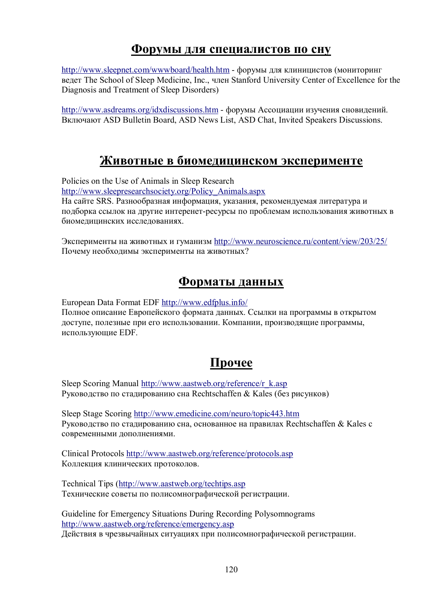## **Форумы для специалистов по сну**

<http://www.sleepnet.com/wwwboard/health.htm> - форумы для клиницистов (мониторинг ведет The School of Sleep Medicine, Inc., член Stanford University Center of Excellence for the Diagnosis and Treatment of Sleep Disorders)

<http://www.asdreams.org/idxdiscussions.htm>- форумы Ассоциации изучения сновидений. Включают ASD Bulletin Board, ASD News List, ASD Chat, Invited Speakers Discussions.

# **Животные в биомедицинском эксперименте**

Policies on the Use of Animals in Sleep Research [http://www.sleepresearchsociety.org/Policy\\_Animals.aspx](http://www.sleepresearchsociety.org/Policy_Animals.aspx) На сайте SRS. Разнообразная информация, указания, рекомендуемая литература и

подборка ссылок на другие интеренет-ресурсы по проблемам использования животных в биомедицинских исследованиях.

Эксперименты на животных и гуманизм <http://www.neuroscience.ru/content/view/203/25/> Почему необходимы эксперименты на животных?

# **Форматы данных**

European Data Format EDF <http://www.edfplus.info/> Полное описание Европейского формата данных. Ссылки на программы в открытом доступе, полезные при его использовании. Компании, производящие программы, использующие EDF.

# **Прочее**

Sleep Scoring Manual [http://www.aastweb.org/reference/r\\_k.asp](http://www.aastweb.org/reference/r_k.asp) Руководство по стадированию сна Rechtschaffen & Kales (без рисунков)

Sleep Stage Scoring <http://www.emedicine.com/neuro/topic443.htm> Руководство по стадированию сна, основанное на правилах Rechtschaffen & Kales с современными дополнениями.

Clinical Protocols <http://www.aastweb.org/reference/protocols.asp> Коллекция клинических протоколов.

Technical Tips (<http://www.aastweb.org/techtips.asp> Технические советы по полисомнографической регистрации.

Guideline for Emergency Situations During Recording Polysomnograms <http://www.aastweb.org/reference/emergency.asp> Действия в чрезвычайных ситуациях при полисомнографической регистрации.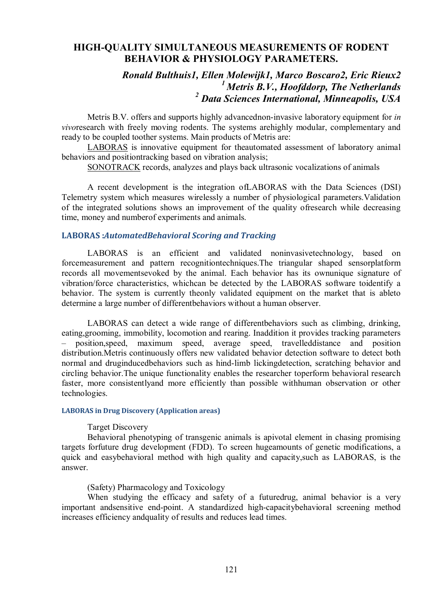## **HIGH-QUALITY SIMULTANEOUS MEASUREMENTS OF RODENT BEHAVIOR & PHYSIOLOGY PARAMETERS.**

## *Ronald Bulthuis1, Ellen Molewijk1, Marco Boscaro2, Eric Rieux2 <sup>1</sup> Metris B.V., Hoofddorp, The Netherlands 2 Data Sciences International, Minneapolis, USA*

Metris B.V. offers and supports highly advancednon-invasive laboratory equipment for *in vivo*research with freely moving rodents. The systems arehighly modular, complementary and ready to be coupled toother systems. Main products of Metris are:

LABORAS is innovative equipment for theautomated assessment of laboratory animal behaviors and positiontracking based on vibration analysis;

SONOTRACK records, analyzes and plays back ultrasonic vocalizations of animals

A recent development is the integration ofLABORAS with the Data Sciences (DSI) Telemetry system which measures wirelessly a number of physiological parameters.Validation of the integrated solutions shows an improvement of the quality ofresearch while decreasing time, money and numberof experiments and animals.

### **LABORAS :***AutomatedBehavioral Scoring and Tracking*

LABORAS is an efficient and validated noninvasivetechnology, based on forcemeasurement and pattern recognitiontechniques.The triangular shaped sensorplatform records all movementsevoked by the animal. Each behavior has its ownunique signature of vibration/force characteristics, whichcan be detected by the LABORAS software toidentify a behavior. The system is currently theonly validated equipment on the market that is ableto determine a large number of differentbehaviors without a human observer.

LABORAS can detect a wide range of differentbehaviors such as climbing, drinking, eating,grooming, immobility, locomotion and rearing. Inaddition it provides tracking parameters – position,speed, maximum speed, average speed, travelleddistance and position distribution.Metris continuously offers new validated behavior detection software to detect both normal and druginducedbehaviors such as hind-limb lickingdetection, scratching behavior and circling behavior.The unique functionality enables the researcher toperform behavioral research faster, more consistentlyand more efficiently than possible withhuman observation or other technologies.

### **LABORAS in Drug Discovery (Application areas)**

### Target Discovery

Behavioral phenotyping of transgenic animals is apivotal element in chasing promising targets forfuture drug development (FDD). To screen hugeamounts of genetic modifications, a quick and easybehavioral method with high quality and capacity, such as LABORAS, is the answer.

#### (Safety) Pharmacology and Toxicology

When studying the efficacy and safety of a futuredrug, animal behavior is a very important andsensitive end-point. A standardized high-capacitybehavioral screening method increases efficiency andquality of results and reduces lead times.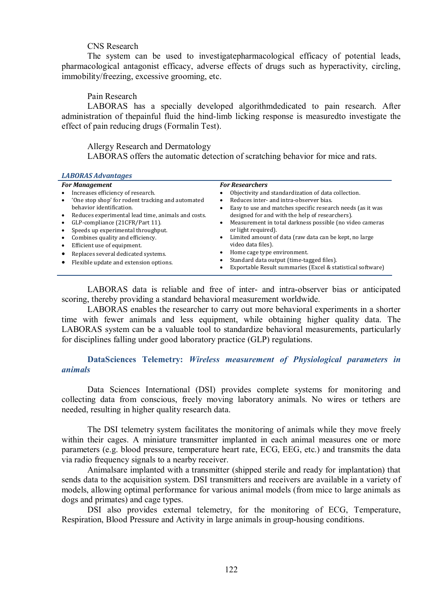#### CNS Research

The system can be used to investigatepharmacological efficacy of potential leads, pharmacological antagonist efficacy, adverse effects of drugs such as hyperactivity, circling, immobility/freezing, excessive grooming, etc.

#### Pain Research

LABORAS has a specially developed algorithmdedicated to pain research. After administration of thepainful fluid the hind-limb licking response is measuredto investigate the effect of pain reducing drugs (Formalin Test).

#### Allergy Research and Dermatology

LABORAS offers the automatic detection of scratching behavior for mice and rats.

| <b>LABORAS Advantages</b>                                                                                                                                                                                                                                                                                                                                                                                                                                                   |                                                                                                                                                                                                                                                                                                                                                                                                                                                                                                                                                                                                         |
|-----------------------------------------------------------------------------------------------------------------------------------------------------------------------------------------------------------------------------------------------------------------------------------------------------------------------------------------------------------------------------------------------------------------------------------------------------------------------------|---------------------------------------------------------------------------------------------------------------------------------------------------------------------------------------------------------------------------------------------------------------------------------------------------------------------------------------------------------------------------------------------------------------------------------------------------------------------------------------------------------------------------------------------------------------------------------------------------------|
| <b>For Management</b><br>Increases efficiency of research.<br>٠<br>'One stop shop' for rodent tracking and automated<br>٠<br>behavior identification.<br>Reduces experimental lead time, animals and costs.<br>٠<br>GLP-compliance (21CFR/Part 11).<br>٠<br>Speeds up experimental throughput.<br>٠<br>Combines quality and efficiency.<br>٠<br>Efficient use of equipment.<br>٠<br>Replaces several dedicated systems.<br>٠<br>Flexible update and extension options.<br>٠ | <b>For Researchers</b><br>Objectivity and standardization of data collection.<br>Reduces inter- and intra-observer bias.<br>$\bullet$<br>Easy to use and matches specific research needs (as it was<br>٠<br>designed for and with the help of researchers).<br>Measurement in total darkness possible (no video cameras<br>$\bullet$<br>or light required).<br>Limited amount of data (raw data can be kept, no large<br>$\bullet$<br>video data files).<br>Home cage type environment.<br>٠<br>Standard data output (time-tagged files).<br>Exportable Result summaries (Excel & statistical software) |

LABORAS data is reliable and free of inter- and intra-observer bias or anticipated scoring, thereby providing a standard behavioral measurement worldwide.

LABORAS enables the researcher to carry out more behavioral experiments in a shorter time with fewer animals and less equipment, while obtaining higher quality data. The LABORAS system can be a valuable tool to standardize behavioral measurements, particularly for disciplines falling under good laboratory practice (GLP) regulations.

### **DataSciences Telemetry:** *Wireless measurement of Physiological parameters in animals*

Data Sciences International (DSI) provides complete systems for monitoring and collecting data from conscious, freely moving laboratory animals. No wires or tethers are needed, resulting in higher quality research data.

The DSI telemetry system facilitates the monitoring of animals while they move freely within their cages. A miniature transmitter implanted in each animal measures one or more parameters (e.g. blood pressure, temperature heart rate, ECG, EEG, etc.) and transmits the data via radio frequency signals to a nearby receiver.

Animalsare implanted with a transmitter (shipped sterile and ready for implantation) that sends data to the acquisition system. DSI transmitters and receivers are available in a variety of models, allowing optimal performance for various animal models (from mice to large animals as dogs and primates) and cage types.

DSI also provides external telemetry, for the monitoring of ECG, Temperature, Respiration, Blood Pressure and Activity in large animals in group-housing conditions.